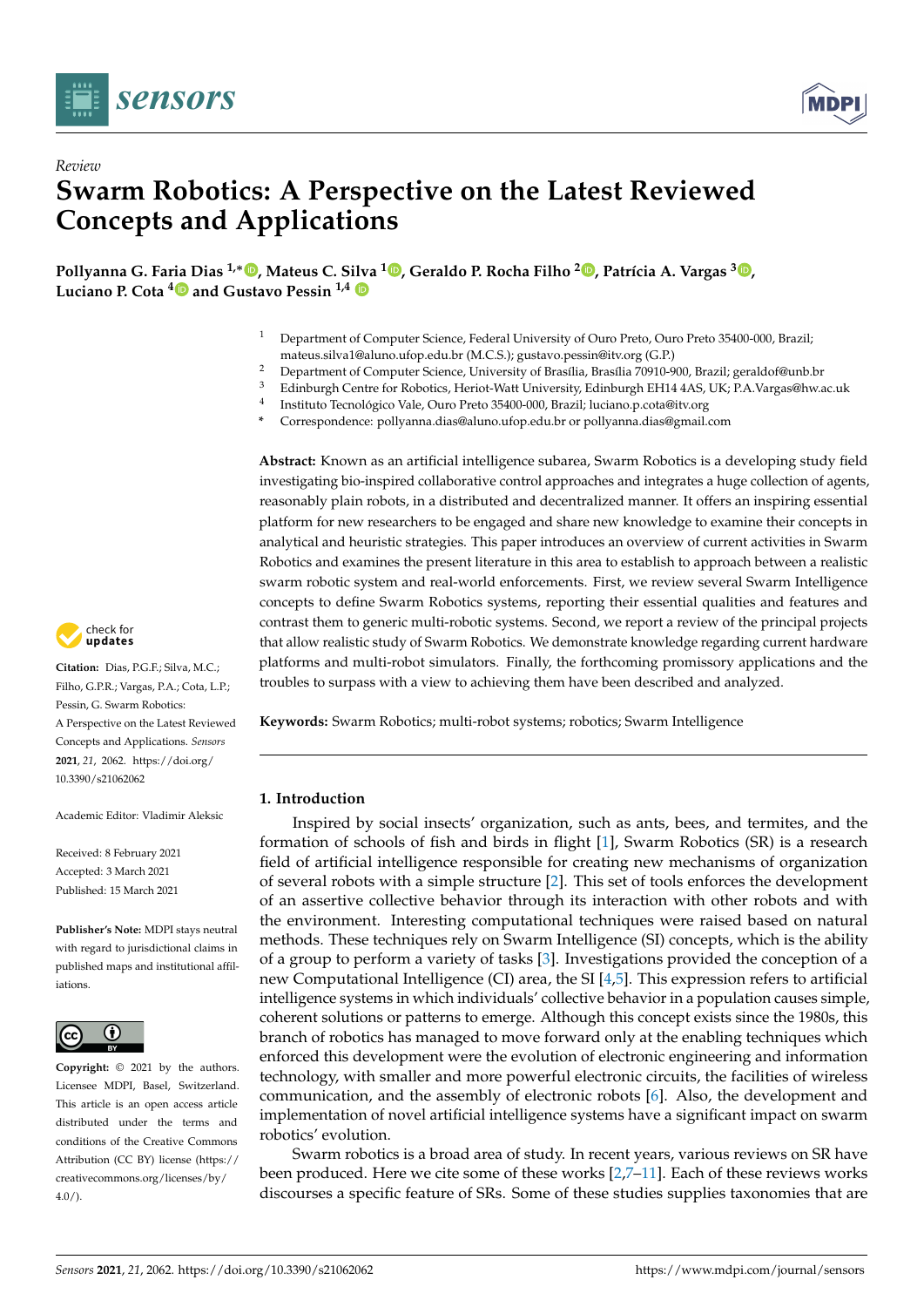

*Review*



# **Swarm Robotics: A Perspective on the Latest Reviewed Concepts and Applications**

**Pollyanna G. Fa[ria D](https://orcid.org/0000-0002-8385-7573)ias 1,**<sup>∗</sup> **[,](https://orcid.org/0000-0001-9924-6630) Mateus C. S[ilva](https://orcid.org/0000-0002-7411-9229) <sup>1</sup> [,](https://orcid.org/0000-0003-3717-1906) Geraldo P. Rocha Filho <sup>2</sup> [,](https://orcid.org/0000-0001-6795-2768) Patrícia A. Vargas <sup>3</sup> [,](https://orcid.org/0000-0002-3272-2521) Luciano P. Cota <sup>4</sup> and Gustavo Pessin 1,4**

- <sup>1</sup> Department of Computer Science, Federal University of Ouro Preto, Ouro Preto 35400-000, Brazil; mateus.silva1@aluno.ufop.edu.br (M.C.S.); gustavo.pessin@itv.org (G.P.)
- <sup>2</sup> Department of Computer Science, University of Brasília, Brasília 70910-900, Brazil; geraldof@unb.br<br><sup>3</sup> Ediphurch Contra for Behatias, Hariet Watt University, Ediphurch FH14 AAS, UK: P.A. Varga@hyte
- <sup>3</sup> Edinburgh Centre for Robotics, Heriot-Watt University, Edinburgh EH14 4AS, UK; P.A.Vargas@hw.ac.uk
- 4 Instituto Tecnológico Vale, Ouro Preto 35400-000, Brazil; luciano.p.cota@itv.org
- **\*** Correspondence: pollyanna.dias@aluno.ufop.edu.br or pollyanna.dias@gmail.com

**Abstract:** Known as an artificial intelligence subarea, Swarm Robotics is a developing study field investigating bio-inspired collaborative control approaches and integrates a huge collection of agents, reasonably plain robots, in a distributed and decentralized manner. It offers an inspiring essential platform for new researchers to be engaged and share new knowledge to examine their concepts in analytical and heuristic strategies. This paper introduces an overview of current activities in Swarm Robotics and examines the present literature in this area to establish to approach between a realistic swarm robotic system and real-world enforcements. First, we review several Swarm Intelligence concepts to define Swarm Robotics systems, reporting their essential qualities and features and contrast them to generic multi-robotic systems. Second, we report a review of the principal projects that allow realistic study of Swarm Robotics. We demonstrate knowledge regarding current hardware platforms and multi-robot simulators. Finally, the forthcoming promissory applications and the troubles to surpass with a view to achieving them have been described and analyzed.

**Keywords:** Swarm Robotics; multi-robot systems; robotics; Swarm Intelligence

# **1. Introduction**

Inspired by social insects' organization, such as ants, bees, and termites, and the formation of schools of fish and birds in flight [\[1\]](#page-24-0), Swarm Robotics (SR) is a research field of artificial intelligence responsible for creating new mechanisms of organization of several robots with a simple structure [\[2\]](#page-24-1). This set of tools enforces the development of an assertive collective behavior through its interaction with other robots and with the environment. Interesting computational techniques were raised based on natural methods. These techniques rely on Swarm Intelligence (SI) concepts, which is the ability of a group to perform a variety of tasks [\[3\]](#page-24-2). Investigations provided the conception of a new Computational Intelligence (CI) area, the SI [\[4](#page-24-3)[,5\]](#page-24-4). This expression refers to artificial intelligence systems in which individuals' collective behavior in a population causes simple, coherent solutions or patterns to emerge. Although this concept exists since the 1980s, this branch of robotics has managed to move forward only at the enabling techniques which enforced this development were the evolution of electronic engineering and information technology, with smaller and more powerful electronic circuits, the facilities of wireless communication, and the assembly of electronic robots [\[6\]](#page-24-5). Also, the development and implementation of novel artificial intelligence systems have a significant impact on swarm robotics' evolution.

Swarm robotics is a broad area of study. In recent years, various reviews on SR have been produced. Here we cite some of these works [\[2](#page-24-1)[,7](#page-24-6)[–11\]](#page-24-7). Each of these reviews works discourses a specific feature of SRs. Some of these studies supplies taxonomies that are



**Citation:** Dias, P.G.F.; Silva, M.C.; Filho, G.P.R.; Vargas, P.A.; Cota, L.P.; Pessin, G. Swarm Robotics: A Perspective on the Latest Reviewed Concepts and Applications. *Sensors* **2021**, *21*, 2062. [https://doi.org/](https://doi.org/10.3390/s21062062) [10.3390/s21062062](https://doi.org/10.3390/s21062062)

Academic Editor: Vladimir Aleksic

Received: 8 February 2021 Accepted: 3 March 2021 Published: 15 March 2021

**Publisher's Note:** MDPI stays neutral with regard to jurisdictional claims in published maps and institutional affiliations.



**Copyright:** © 2021 by the authors. Licensee MDPI, Basel, Switzerland. This article is an open access article distributed under the terms and conditions of the Creative Commons Attribution (CC BY) license (https:/[/](https://creativecommons.org/licenses/by/4.0/) [creativecommons.org/licenses/by/](https://creativecommons.org/licenses/by/4.0/)  $4.0/$ ).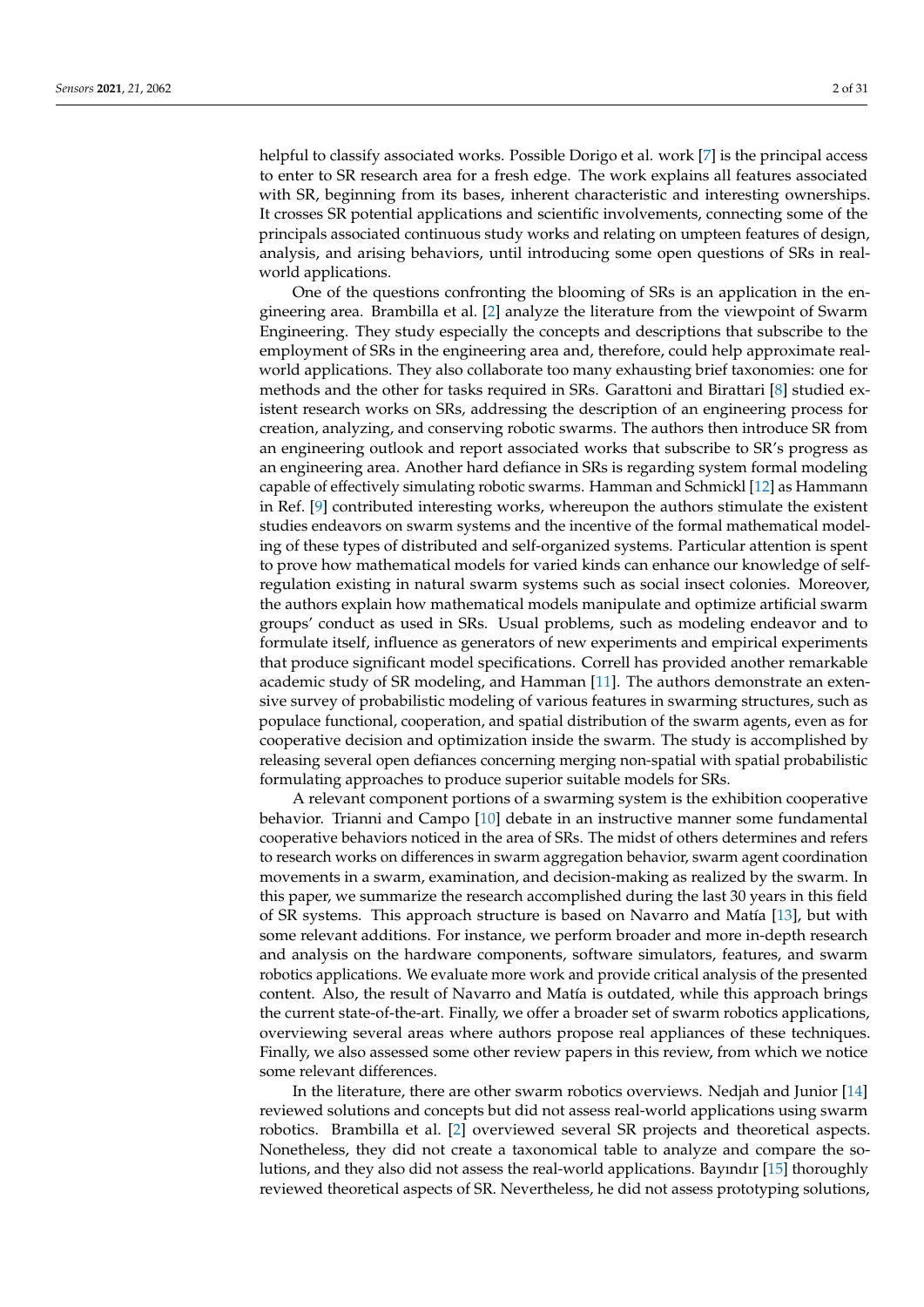helpful to classify associated works. Possible Dorigo et al. work [\[7\]](#page-24-6) is the principal access to enter to SR research area for a fresh edge. The work explains all features associated with SR, beginning from its bases, inherent characteristic and interesting ownerships. It crosses SR potential applications and scientific involvements, connecting some of the principals associated continuous study works and relating on umpteen features of design, analysis, and arising behaviors, until introducing some open questions of SRs in realworld applications.

One of the questions confronting the blooming of SRs is an application in the engineering area. Brambilla et al. [\[2\]](#page-24-1) analyze the literature from the viewpoint of Swarm Engineering. They study especially the concepts and descriptions that subscribe to the employment of SRs in the engineering area and, therefore, could help approximate realworld applications. They also collaborate too many exhausting brief taxonomies: one for methods and the other for tasks required in SRs. Garattoni and Birattari [\[8\]](#page-24-8) studied existent research works on SRs, addressing the description of an engineering process for creation, analyzing, and conserving robotic swarms. The authors then introduce SR from an engineering outlook and report associated works that subscribe to SR's progress as an engineering area. Another hard defiance in SRs is regarding system formal modeling capable of effectively simulating robotic swarms. Hamman and Schmickl [\[12\]](#page-24-9) as Hammann in Ref. [\[9\]](#page-24-10) contributed interesting works, whereupon the authors stimulate the existent studies endeavors on swarm systems and the incentive of the formal mathematical modeling of these types of distributed and self-organized systems. Particular attention is spent to prove how mathematical models for varied kinds can enhance our knowledge of selfregulation existing in natural swarm systems such as social insect colonies. Moreover, the authors explain how mathematical models manipulate and optimize artificial swarm groups' conduct as used in SRs. Usual problems, such as modeling endeavor and to formulate itself, influence as generators of new experiments and empirical experiments that produce significant model specifications. Correll has provided another remarkable academic study of SR modeling, and Hamman [\[11\]](#page-24-7). The authors demonstrate an extensive survey of probabilistic modeling of various features in swarming structures, such as populace functional, cooperation, and spatial distribution of the swarm agents, even as for cooperative decision and optimization inside the swarm. The study is accomplished by releasing several open defiances concerning merging non-spatial with spatial probabilistic formulating approaches to produce superior suitable models for SRs.

A relevant component portions of a swarming system is the exhibition cooperative behavior. Trianni and Campo [\[10\]](#page-24-11) debate in an instructive manner some fundamental cooperative behaviors noticed in the area of SRs. The midst of others determines and refers to research works on differences in swarm aggregation behavior, swarm agent coordination movements in a swarm, examination, and decision-making as realized by the swarm. In this paper, we summarize the research accomplished during the last 30 years in this field of SR systems. This approach structure is based on Navarro and Matía [\[13\]](#page-24-12), but with some relevant additions. For instance, we perform broader and more in-depth research and analysis on the hardware components, software simulators, features, and swarm robotics applications. We evaluate more work and provide critical analysis of the presented content. Also, the result of Navarro and Matía is outdated, while this approach brings the current state-of-the-art. Finally, we offer a broader set of swarm robotics applications, overviewing several areas where authors propose real appliances of these techniques. Finally, we also assessed some other review papers in this review, from which we notice some relevant differences.

In the literature, there are other swarm robotics overviews. Nedjah and Junior [\[14\]](#page-24-13) reviewed solutions and concepts but did not assess real-world applications using swarm robotics. Brambilla et al. [\[2\]](#page-24-1) overviewed several SR projects and theoretical aspects. Nonetheless, they did not create a taxonomical table to analyze and compare the solutions, and they also did not assess the real-world applications. Bayındır [\[15\]](#page-24-14) thoroughly reviewed theoretical aspects of SR. Nevertheless, he did not assess prototyping solutions,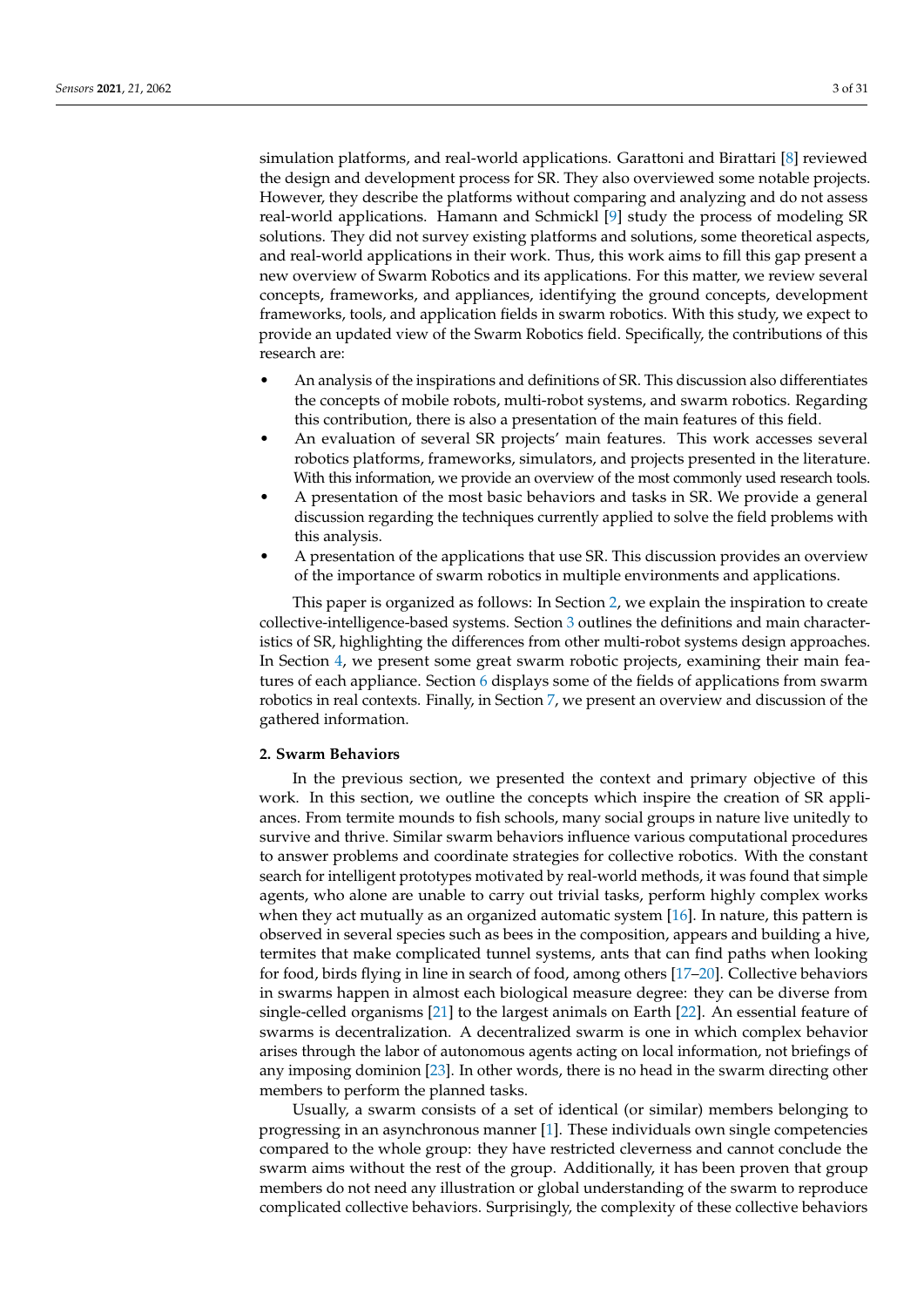simulation platforms, and real-world applications. Garattoni and Birattari [\[8\]](#page-24-8) reviewed the design and development process for SR. They also overviewed some notable projects. However, they describe the platforms without comparing and analyzing and do not assess real-world applications. Hamann and Schmickl [\[9\]](#page-24-10) study the process of modeling SR solutions. They did not survey existing platforms and solutions, some theoretical aspects, and real-world applications in their work. Thus, this work aims to fill this gap present a new overview of Swarm Robotics and its applications. For this matter, we review several concepts, frameworks, and appliances, identifying the ground concepts, development frameworks, tools, and application fields in swarm robotics. With this study, we expect to provide an updated view of the Swarm Robotics field. Specifically, the contributions of this research are:

- An analysis of the inspirations and definitions of SR. This discussion also differentiates the concepts of mobile robots, multi-robot systems, and swarm robotics. Regarding this contribution, there is also a presentation of the main features of this field.
- An evaluation of several SR projects' main features. This work accesses several robotics platforms, frameworks, simulators, and projects presented in the literature. With this information, we provide an overview of the most commonly used research tools.
- A presentation of the most basic behaviors and tasks in SR. We provide a general discussion regarding the techniques currently applied to solve the field problems with this analysis.
- A presentation of the applications that use SR. This discussion provides an overview of the importance of swarm robotics in multiple environments and applications.

This paper is organized as follows: In Section [2,](#page-2-0) we explain the inspiration to create collective-intelligence-based systems. Section [3](#page-3-0) outlines the definitions and main characteristics of SR, highlighting the differences from other multi-robot systems design approaches. In Section [4,](#page-5-0) we present some great swarm robotic projects, examining their main features of each appliance. Section [6](#page-19-0) displays some of the fields of applications from swarm robotics in real contexts. Finally, in Section [7,](#page-23-0) we present an overview and discussion of the gathered information.

#### <span id="page-2-0"></span>**2. Swarm Behaviors**

In the previous section, we presented the context and primary objective of this work. In this section, we outline the concepts which inspire the creation of SR appliances. From termite mounds to fish schools, many social groups in nature live unitedly to survive and thrive. Similar swarm behaviors influence various computational procedures to answer problems and coordinate strategies for collective robotics. With the constant search for intelligent prototypes motivated by real-world methods, it was found that simple agents, who alone are unable to carry out trivial tasks, perform highly complex works when they act mutually as an organized automatic system [\[16\]](#page-24-15). In nature, this pattern is observed in several species such as bees in the composition, appears and building a hive, termites that make complicated tunnel systems, ants that can find paths when looking for food, birds flying in line in search of food, among others [\[17–](#page-24-16)[20\]](#page-24-17). Collective behaviors in swarms happen in almost each biological measure degree: they can be diverse from single-celled organisms [\[21\]](#page-24-18) to the largest animals on Earth [\[22\]](#page-24-19). An essential feature of swarms is decentralization. A decentralized swarm is one in which complex behavior arises through the labor of autonomous agents acting on local information, not briefings of any imposing dominion [\[23\]](#page-24-20). In other words, there is no head in the swarm directing other members to perform the planned tasks.

Usually, a swarm consists of a set of identical (or similar) members belonging to progressing in an asynchronous manner [\[1\]](#page-24-0). These individuals own single competencies compared to the whole group: they have restricted cleverness and cannot conclude the swarm aims without the rest of the group. Additionally, it has been proven that group members do not need any illustration or global understanding of the swarm to reproduce complicated collective behaviors. Surprisingly, the complexity of these collective behaviors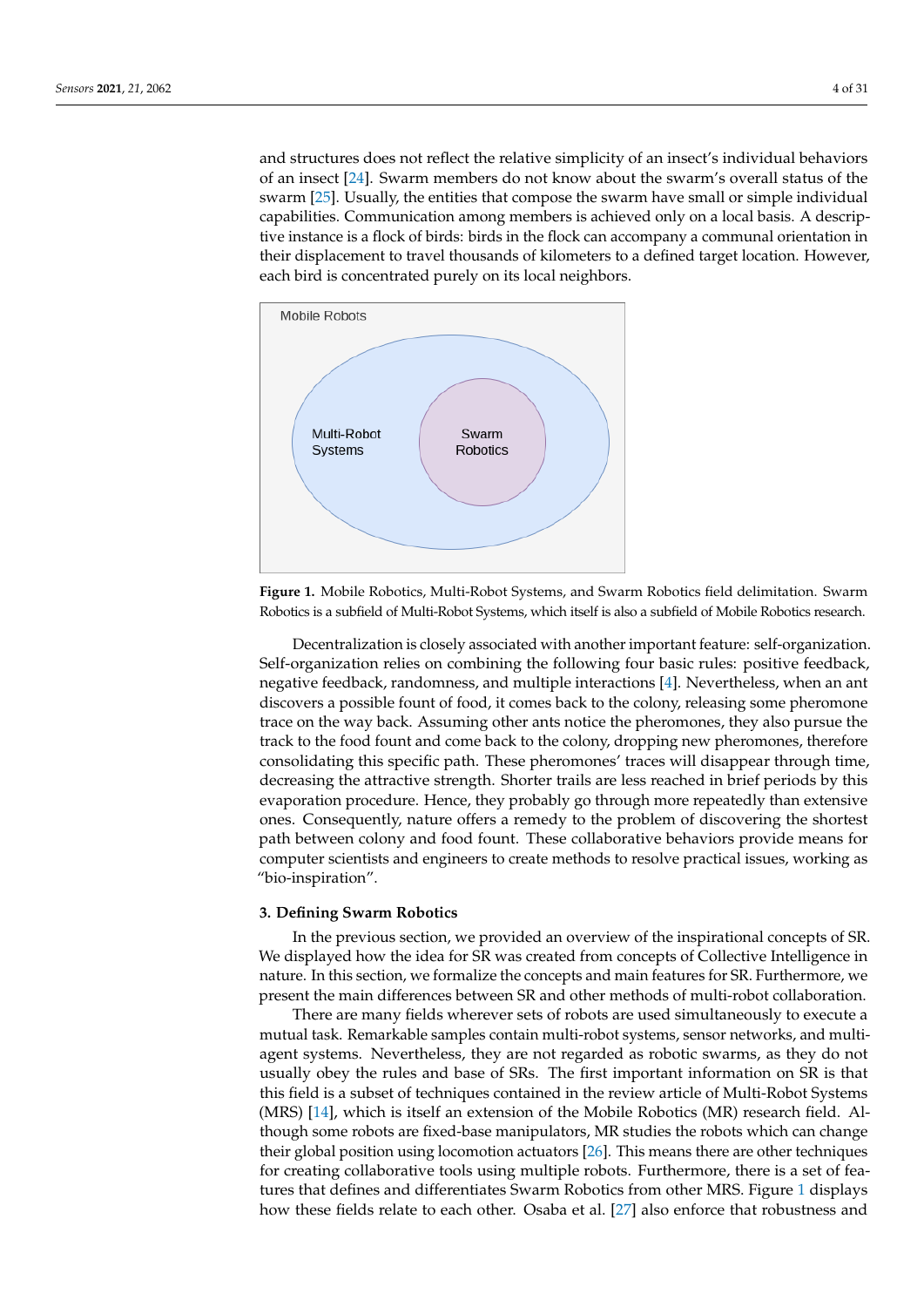and structures does not reflect the relative simplicity of an insect's individual behaviors of an insect [\[24\]](#page-24-21). Swarm members do not know about the swarm's overall status of the swarm [\[25\]](#page-24-22). Usually, the entities that compose the swarm have small or simple individual capabilities. Communication among members is achieved only on a local basis. A descriptive instance is a flock of birds: birds in the flock can accompany a communal orientation in their displacement to travel thousands of kilometers to a defined target location. However, each bird is concentrated purely on its local neighbors.

<span id="page-3-1"></span>

**Figure 1.** Mobile Robotics, Multi-Robot Systems, and Swarm Robotics field delimitation. Swarm Robotics is a subfield of Multi-Robot Systems, which itself is also a subfield of Mobile Robotics research.

Decentralization is closely associated with another important feature: self-organization. Self-organization relies on combining the following four basic rules: positive feedback, negative feedback, randomness, and multiple interactions [\[4\]](#page-24-3). Nevertheless, when an ant discovers a possible fount of food, it comes back to the colony, releasing some pheromone trace on the way back. Assuming other ants notice the pheromones, they also pursue the track to the food fount and come back to the colony, dropping new pheromones, therefore consolidating this specific path. These pheromones' traces will disappear through time, decreasing the attractive strength. Shorter trails are less reached in brief periods by this evaporation procedure. Hence, they probably go through more repeatedly than extensive ones. Consequently, nature offers a remedy to the problem of discovering the shortest path between colony and food fount. These collaborative behaviors provide means for computer scientists and engineers to create methods to resolve practical issues, working as "bio-inspiration".

#### <span id="page-3-0"></span>**3. Defining Swarm Robotics**

In the previous section, we provided an overview of the inspirational concepts of SR. We displayed how the idea for SR was created from concepts of Collective Intelligence in nature. In this section, we formalize the concepts and main features for SR. Furthermore, we present the main differences between SR and other methods of multi-robot collaboration.

There are many fields wherever sets of robots are used simultaneously to execute a mutual task. Remarkable samples contain multi-robot systems, sensor networks, and multiagent systems. Nevertheless, they are not regarded as robotic swarms, as they do not usually obey the rules and base of SRs. The first important information on SR is that this field is a subset of techniques contained in the review article of Multi-Robot Systems (MRS) [\[14\]](#page-24-13), which is itself an extension of the Mobile Robotics (MR) research field. Although some robots are fixed-base manipulators, MR studies the robots which can change their global position using locomotion actuators [\[26\]](#page-24-23). This means there are other techniques for creating collaborative tools using multiple robots. Furthermore, there is a set of features that defines and differentiates Swarm Robotics from other MRS. Figure [1](#page-3-1) displays how these fields relate to each other. Osaba et al. [\[27\]](#page-24-24) also enforce that robustness and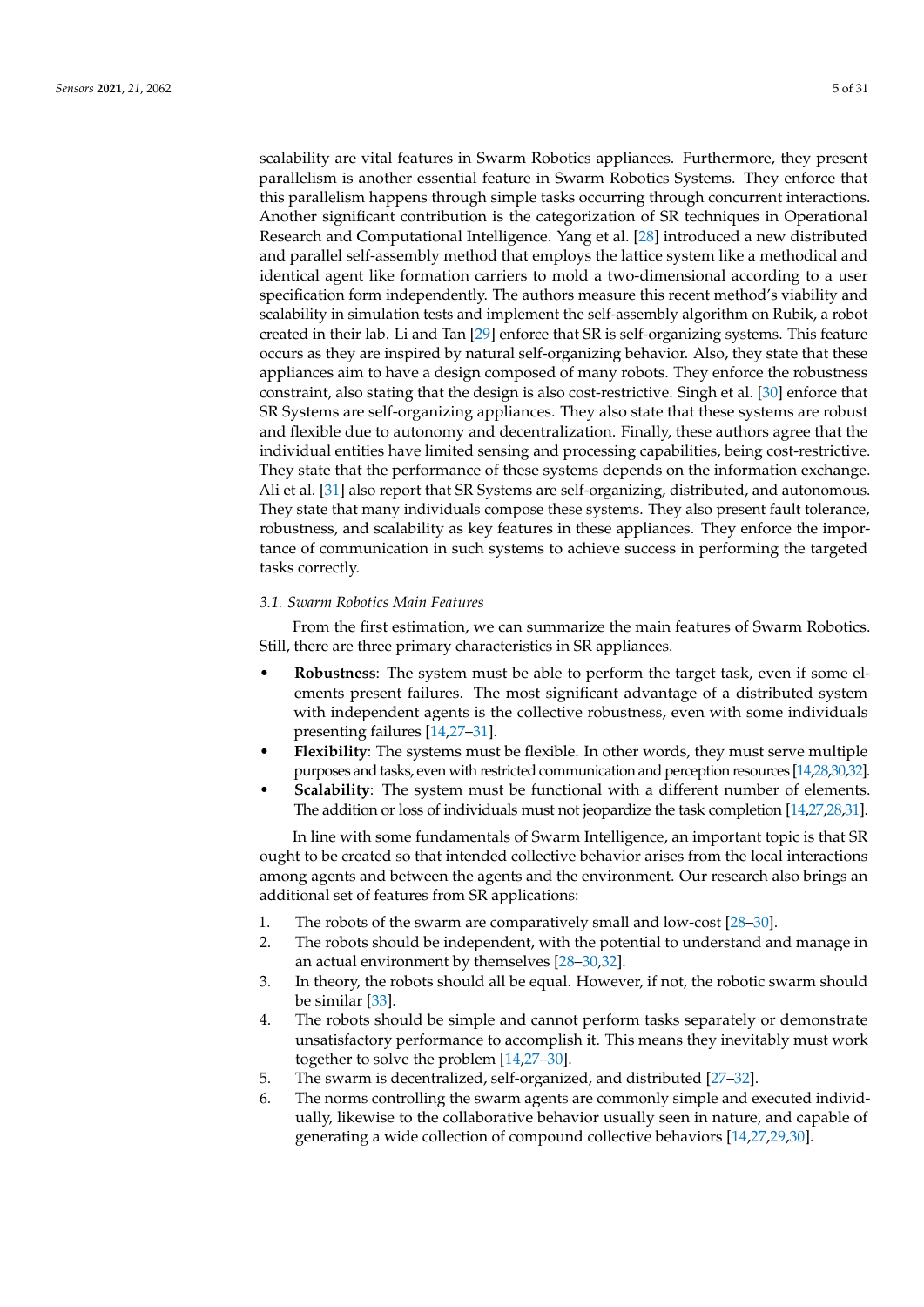scalability are vital features in Swarm Robotics appliances. Furthermore, they present parallelism is another essential feature in Swarm Robotics Systems. They enforce that this parallelism happens through simple tasks occurring through concurrent interactions. Another significant contribution is the categorization of SR techniques in Operational Research and Computational Intelligence. Yang et al. [\[28\]](#page-24-25) introduced a new distributed and parallel self-assembly method that employs the lattice system like a methodical and identical agent like formation carriers to mold a two-dimensional according to a user specification form independently. The authors measure this recent method's viability and scalability in simulation tests and implement the self-assembly algorithm on Rubik, a robot created in their lab. Li and Tan [\[29\]](#page-24-26) enforce that SR is self-organizing systems. This feature occurs as they are inspired by natural self-organizing behavior. Also, they state that these appliances aim to have a design composed of many robots. They enforce the robustness constraint, also stating that the design is also cost-restrictive. Singh et al. [\[30\]](#page-24-27) enforce that SR Systems are self-organizing appliances. They also state that these systems are robust and flexible due to autonomy and decentralization. Finally, these authors agree that the individual entities have limited sensing and processing capabilities, being cost-restrictive. They state that the performance of these systems depends on the information exchange. Ali et al. [\[31\]](#page-24-28) also report that SR Systems are self-organizing, distributed, and autonomous. They state that many individuals compose these systems. They also present fault tolerance, robustness, and scalability as key features in these appliances. They enforce the importance of communication in such systems to achieve success in performing the targeted tasks correctly.

# *3.1. Swarm Robotics Main Features*

From the first estimation, we can summarize the main features of Swarm Robotics. Still, there are three primary characteristics in SR appliances.

- **Robustness**: The system must be able to perform the target task, even if some elements present failures. The most significant advantage of a distributed system with independent agents is the collective robustness, even with some individuals presenting failures [\[14](#page-24-13)[,27–](#page-24-24)[31\]](#page-24-28).
- **Flexibility**: The systems must be flexible. In other words, they must serve multiple purposes and tasks, even with restricted communication and perception resources [\[14,](#page-24-13)[28,](#page-24-25)[30,](#page-24-27)[32\]](#page-24-29).
- **Scalability**: The system must be functional with a different number of elements. The addition or loss of individuals must not jeopardize the task completion [\[14](#page-24-13)[,27,](#page-24-24)[28](#page-24-25)[,31\]](#page-24-28).

In line with some fundamentals of Swarm Intelligence, an important topic is that SR ought to be created so that intended collective behavior arises from the local interactions among agents and between the agents and the environment. Our research also brings an additional set of features from SR applications:

- 1. The robots of the swarm are comparatively small and low-cost [\[28–](#page-24-25)[30\]](#page-24-27).
- 2. The robots should be independent, with the potential to understand and manage in an actual environment by themselves [\[28](#page-24-25)[–30,](#page-24-27)[32\]](#page-24-29).
- 3. In theory, the robots should all be equal. However, if not, the robotic swarm should be similar [\[33\]](#page-25-0).
- 4. The robots should be simple and cannot perform tasks separately or demonstrate unsatisfactory performance to accomplish it. This means they inevitably must work together to solve the problem [\[14](#page-24-13)[,27–](#page-24-24)[30\]](#page-24-27).
- 5. The swarm is decentralized, self-organized, and distributed [\[27](#page-24-24)[–32\]](#page-24-29).
- 6. The norms controlling the swarm agents are commonly simple and executed individually, likewise to the collaborative behavior usually seen in nature, and capable of generating a wide collection of compound collective behaviors [\[14](#page-24-13)[,27](#page-24-24)[,29](#page-24-26)[,30\]](#page-24-27).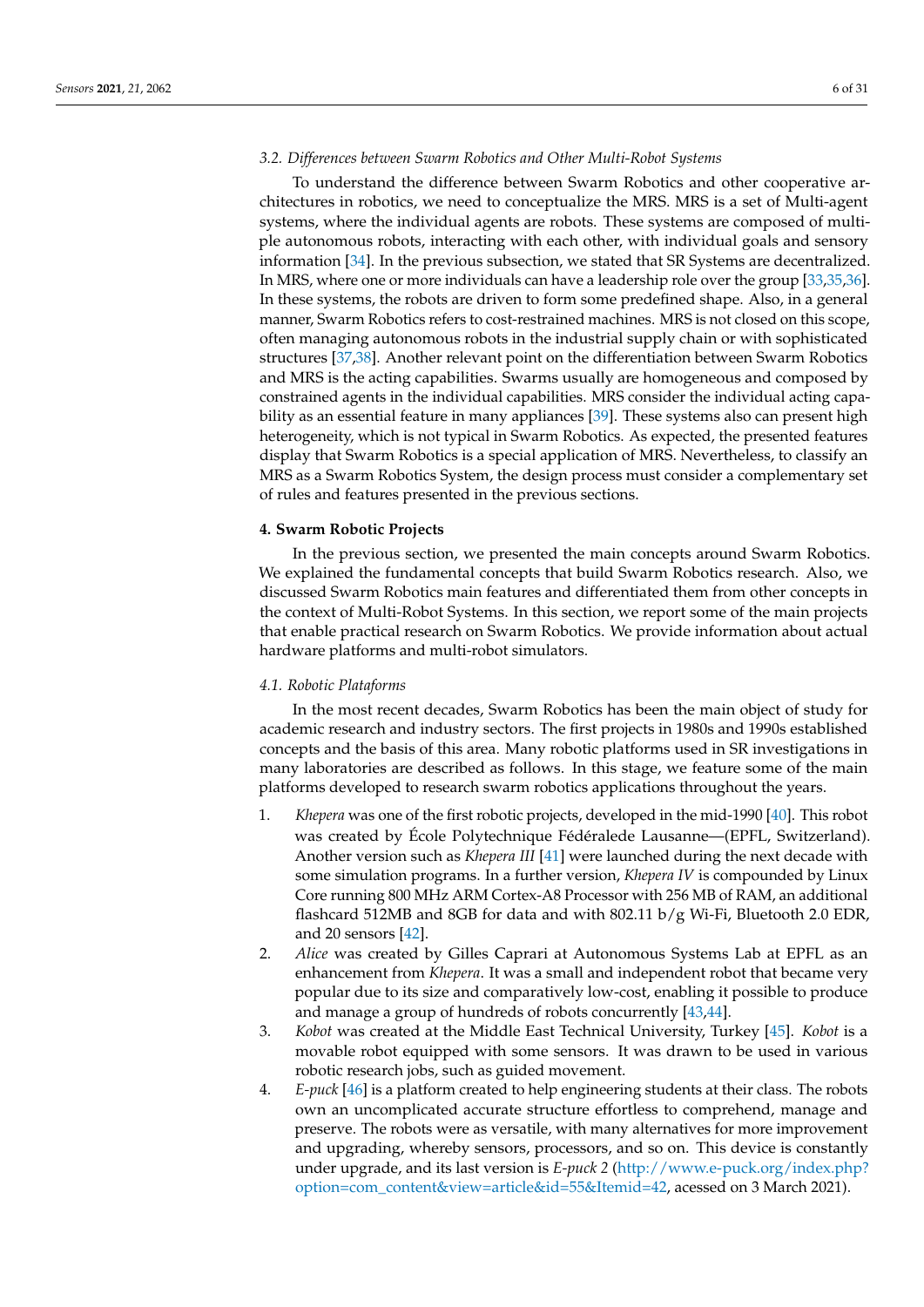# *3.2. Differences between Swarm Robotics and Other Multi-Robot Systems*

To understand the difference between Swarm Robotics and other cooperative architectures in robotics, we need to conceptualize the MRS. MRS is a set of Multi-agent systems, where the individual agents are robots. These systems are composed of multiple autonomous robots, interacting with each other, with individual goals and sensory information [\[34\]](#page-25-1). In the previous subsection, we stated that SR Systems are decentralized. In MRS, where one or more individuals can have a leadership role over the group [\[33,](#page-25-0)[35](#page-25-2)[,36\]](#page-25-3). In these systems, the robots are driven to form some predefined shape. Also, in a general manner, Swarm Robotics refers to cost-restrained machines. MRS is not closed on this scope, often managing autonomous robots in the industrial supply chain or with sophisticated structures [\[37](#page-25-4)[,38\]](#page-25-5). Another relevant point on the differentiation between Swarm Robotics and MRS is the acting capabilities. Swarms usually are homogeneous and composed by constrained agents in the individual capabilities. MRS consider the individual acting capability as an essential feature in many appliances [\[39\]](#page-25-6). These systems also can present high heterogeneity, which is not typical in Swarm Robotics. As expected, the presented features display that Swarm Robotics is a special application of MRS. Nevertheless, to classify an MRS as a Swarm Robotics System, the design process must consider a complementary set of rules and features presented in the previous sections.

#### <span id="page-5-0"></span>**4. Swarm Robotic Projects**

In the previous section, we presented the main concepts around Swarm Robotics. We explained the fundamental concepts that build Swarm Robotics research. Also, we discussed Swarm Robotics main features and differentiated them from other concepts in the context of Multi-Robot Systems. In this section, we report some of the main projects that enable practical research on Swarm Robotics. We provide information about actual hardware platforms and multi-robot simulators.

# *4.1. Robotic Plataforms*

In the most recent decades, Swarm Robotics has been the main object of study for academic research and industry sectors. The first projects in 1980s and 1990s established concepts and the basis of this area. Many robotic platforms used in SR investigations in many laboratories are described as follows. In this stage, we feature some of the main platforms developed to research swarm robotics applications throughout the years.

- 1. *Khepera* was one of the first robotic projects, developed in the mid-1990 [\[40\]](#page-25-7). This robot was created by École Polytechnique Fédéralede Lausanne—(EPFL, Switzerland). Another version such as *Khepera III* [\[41\]](#page-25-8) were launched during the next decade with some simulation programs. In a further version, *Khepera IV* is compounded by Linux Core running 800 MHz ARM Cortex-A8 Processor with 256 MB of RAM, an additional flashcard 512MB and 8GB for data and with 802.11 b/g Wi-Fi, Bluetooth 2.0 EDR, and 20 sensors [\[42\]](#page-25-9).
- 2. *Alice* was created by Gilles Caprari at Autonomous Systems Lab at EPFL as an enhancement from *Khepera*. It was a small and independent robot that became very popular due to its size and comparatively low-cost, enabling it possible to produce and manage a group of hundreds of robots concurrently [\[43,](#page-25-10)[44\]](#page-25-11).
- 3. *Kobot* was created at the Middle East Technical University, Turkey [\[45\]](#page-25-12). *Kobot* is a movable robot equipped with some sensors. It was drawn to be used in various robotic research jobs, such as guided movement.
- 4. *E-puck* [\[46\]](#page-25-13) is a platform created to help engineering students at their class. The robots own an uncomplicated accurate structure effortless to comprehend, manage and preserve. The robots were as versatile, with many alternatives for more improvement and upgrading, whereby sensors, processors, and so on. This device is constantly under upgrade, and its last version is *E-puck 2* [\(http://www.e-puck.org/index.php?](http://www.e-puck.org/index.php?option=com_content&view=article&id=55&Itemid=42) [option=com\\_content&view=article&id=55&Itemid=42,](http://www.e-puck.org/index.php?option=com_content&view=article&id=55&Itemid=42) acessed on 3 March 2021).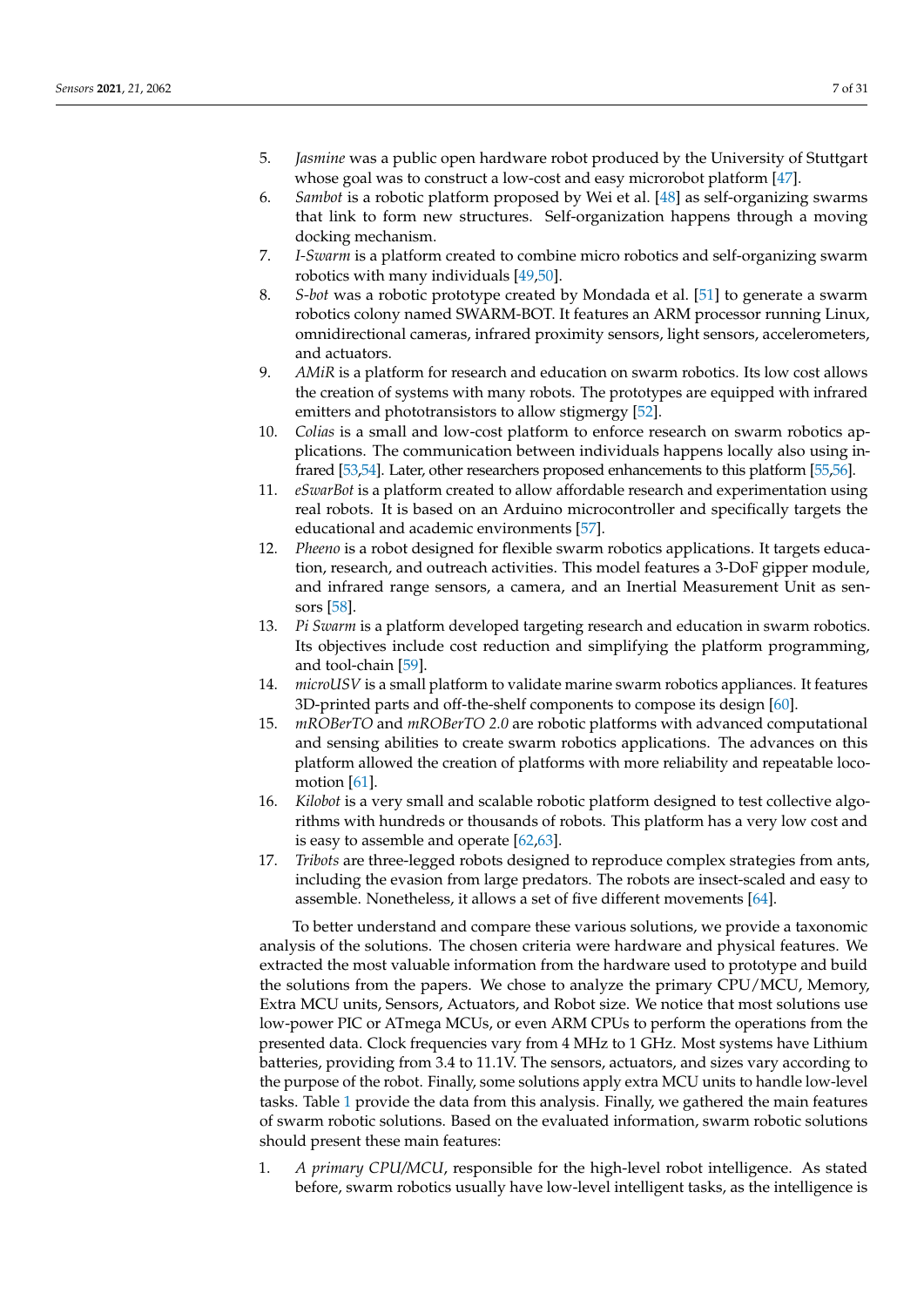- 5. *Jasmine* was a public open hardware robot produced by the University of Stuttgart whose goal was to construct a low-cost and easy microrobot platform [\[47\]](#page-25-14).
- 6. *Sambot* is a robotic platform proposed by Wei et al. [\[48\]](#page-25-15) as self-organizing swarms that link to form new structures. Self-organization happens through a moving docking mechanism.
- 7. *I-Swarm* is a platform created to combine micro robotics and self-organizing swarm robotics with many individuals [\[49](#page-25-16)[,50\]](#page-25-17).
- 8. *S-bot* was a robotic prototype created by Mondada et al. [\[51\]](#page-25-18) to generate a swarm robotics colony named SWARM-BOT. It features an ARM processor running Linux, omnidirectional cameras, infrared proximity sensors, light sensors, accelerometers, and actuators.
- 9. *AMiR* is a platform for research and education on swarm robotics. Its low cost allows the creation of systems with many robots. The prototypes are equipped with infrared emitters and phototransistors to allow stigmergy [\[52\]](#page-25-19).
- 10. *Colias* is a small and low-cost platform to enforce research on swarm robotics applications. The communication between individuals happens locally also using infrared [\[53,](#page-25-20)[54\]](#page-25-21). Later, other researchers proposed enhancements to this platform [\[55,](#page-25-22)[56\]](#page-25-23).
- 11. *eSwarBot* is a platform created to allow affordable research and experimentation using real robots. It is based on an Arduino microcontroller and specifically targets the educational and academic environments [\[57\]](#page-25-24).
- 12. *Pheeno* is a robot designed for flexible swarm robotics applications. It targets education, research, and outreach activities. This model features a 3-DoF gipper module, and infrared range sensors, a camera, and an Inertial Measurement Unit as sensors [\[58\]](#page-25-25).
- 13. *Pi Swarm* is a platform developed targeting research and education in swarm robotics. Its objectives include cost reduction and simplifying the platform programming, and tool-chain [\[59\]](#page-26-0).
- 14. *microUSV* is a small platform to validate marine swarm robotics appliances. It features 3D-printed parts and off-the-shelf components to compose its design [\[60\]](#page-26-1).
- 15. *mROBerTO* and *mROBerTO 2.0* are robotic platforms with advanced computational and sensing abilities to create swarm robotics applications. The advances on this platform allowed the creation of platforms with more reliability and repeatable locomotion [\[61\]](#page-26-2).
- 16. *Kilobot* is a very small and scalable robotic platform designed to test collective algorithms with hundreds or thousands of robots. This platform has a very low cost and is easy to assemble and operate [\[62,](#page-26-3)[63\]](#page-26-4).
- 17. *Tribots* are three-legged robots designed to reproduce complex strategies from ants, including the evasion from large predators. The robots are insect-scaled and easy to assemble. Nonetheless, it allows a set of five different movements [\[64\]](#page-26-5).

To better understand and compare these various solutions, we provide a taxonomic analysis of the solutions. The chosen criteria were hardware and physical features. We extracted the most valuable information from the hardware used to prototype and build the solutions from the papers. We chose to analyze the primary CPU/MCU, Memory, Extra MCU units, Sensors, Actuators, and Robot size. We notice that most solutions use low-power PIC or ATmega MCUs, or even ARM CPUs to perform the operations from the presented data. Clock frequencies vary from 4 MHz to 1 GHz. Most systems have Lithium batteries, providing from 3.4 to 11.1V. The sensors, actuators, and sizes vary according to the purpose of the robot. Finally, some solutions apply extra MCU units to handle low-level tasks. Table [1](#page-9-0) provide the data from this analysis. Finally, we gathered the main features of swarm robotic solutions. Based on the evaluated information, swarm robotic solutions should present these main features:

1. *A primary CPU/MCU*, responsible for the high-level robot intelligence. As stated before, swarm robotics usually have low-level intelligent tasks, as the intelligence is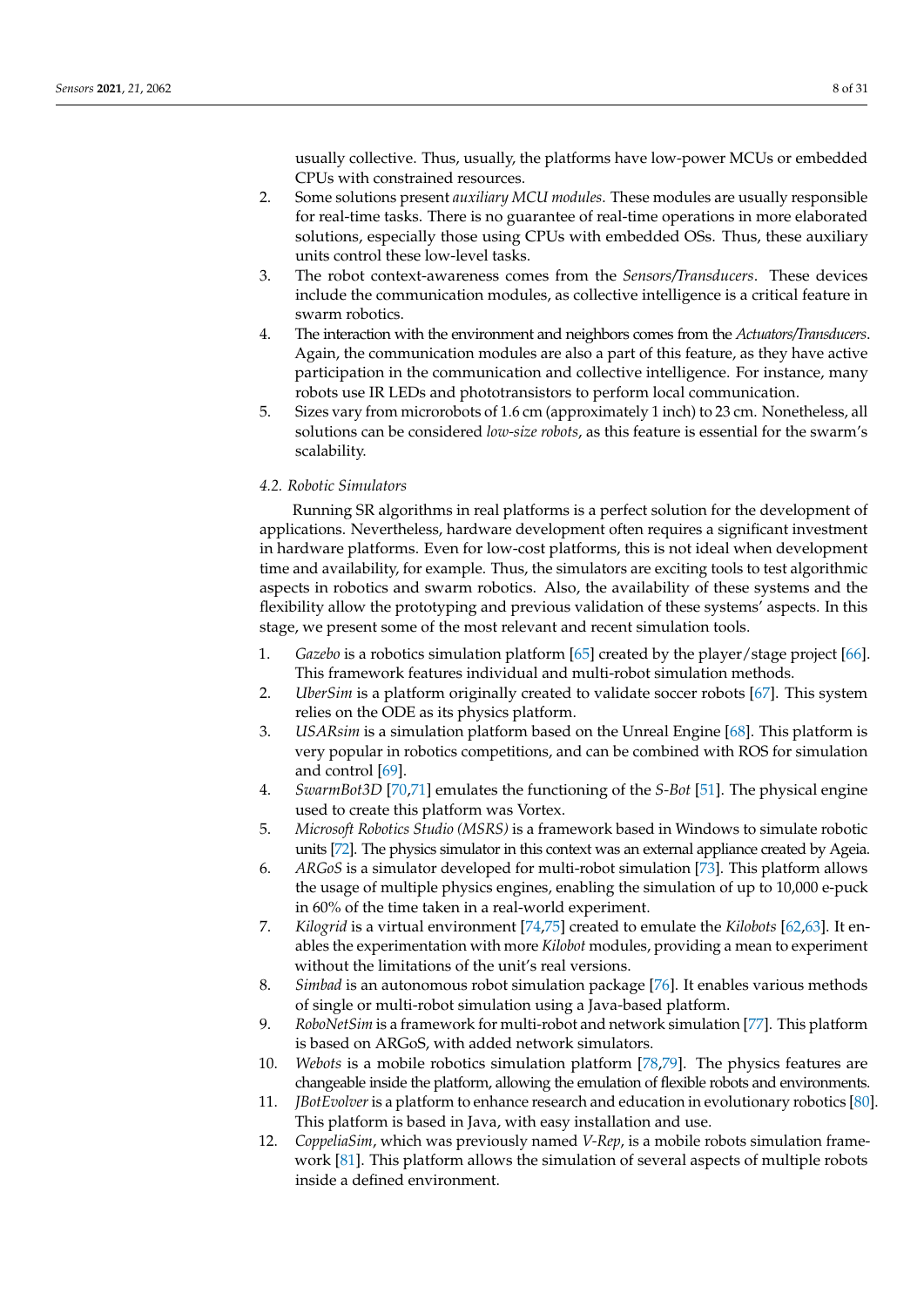usually collective. Thus, usually, the platforms have low-power MCUs or embedded CPUs with constrained resources.

- 2. Some solutions present *auxiliary MCU modules*. These modules are usually responsible for real-time tasks. There is no guarantee of real-time operations in more elaborated solutions, especially those using CPUs with embedded OSs. Thus, these auxiliary units control these low-level tasks.
- 3. The robot context-awareness comes from the *Sensors/Transducers*. These devices include the communication modules, as collective intelligence is a critical feature in swarm robotics.
- 4. The interaction with the environment and neighbors comes from the *Actuators/Transducers*. Again, the communication modules are also a part of this feature, as they have active participation in the communication and collective intelligence. For instance, many robots use IR LEDs and phototransistors to perform local communication.
- 5. Sizes vary from microrobots of 1.6 cm (approximately 1 inch) to 23 cm. Nonetheless, all solutions can be considered *low-size robots*, as this feature is essential for the swarm's scalability.

# *4.2. Robotic Simulators*

Running SR algorithms in real platforms is a perfect solution for the development of applications. Nevertheless, hardware development often requires a significant investment in hardware platforms. Even for low-cost platforms, this is not ideal when development time and availability, for example. Thus, the simulators are exciting tools to test algorithmic aspects in robotics and swarm robotics. Also, the availability of these systems and the flexibility allow the prototyping and previous validation of these systems' aspects. In this stage, we present some of the most relevant and recent simulation tools.

- 1. *Gazebo* is a robotics simulation platform [\[65\]](#page-26-6) created by the player/stage project [\[66\]](#page-26-7). This framework features individual and multi-robot simulation methods.
- 2. *UberSim* is a platform originally created to validate soccer robots [\[67\]](#page-26-8). This system relies on the ODE as its physics platform.
- 3. *USARsim* is a simulation platform based on the Unreal Engine [\[68\]](#page-26-9). This platform is very popular in robotics competitions, and can be combined with ROS for simulation and control [\[69\]](#page-26-10).
- 4. *SwarmBot3D* [\[70](#page-26-11)[,71\]](#page-26-12) emulates the functioning of the *S-Bot* [\[51\]](#page-25-18). The physical engine used to create this platform was Vortex.
- 5. *Microsoft Robotics Studio (MSRS)* is a framework based in Windows to simulate robotic units [\[72\]](#page-26-13). The physics simulator in this context was an external appliance created by Ageia.
- 6. *ARGoS* is a simulator developed for multi-robot simulation [\[73\]](#page-26-14). This platform allows the usage of multiple physics engines, enabling the simulation of up to 10,000 e-puck in 60% of the time taken in a real-world experiment.
- 7. *Kilogrid* is a virtual environment [\[74,](#page-26-15)[75\]](#page-26-16) created to emulate the *Kilobots* [\[62](#page-26-3)[,63\]](#page-26-4). It enables the experimentation with more *Kilobot* modules, providing a mean to experiment without the limitations of the unit's real versions.
- 8. *Simbad* is an autonomous robot simulation package [\[76\]](#page-26-17). It enables various methods of single or multi-robot simulation using a Java-based platform.
- 9. *RoboNetSim* is a framework for multi-robot and network simulation [\[77\]](#page-26-18). This platform is based on ARGoS, with added network simulators.
- 10. *Webots* is a mobile robotics simulation platform [\[78,](#page-26-19)[79\]](#page-26-20). The physics features are changeable inside the platform, allowing the emulation of flexible robots and environments.
- 11. *JBotEvolver*is a platform to enhance research and education in evolutionary robotics [\[80\]](#page-26-21). This platform is based in Java, with easy installation and use.
- 12. *CoppeliaSim*, which was previously named *V-Rep*, is a mobile robots simulation framework [\[81\]](#page-26-22). This platform allows the simulation of several aspects of multiple robots inside a defined environment.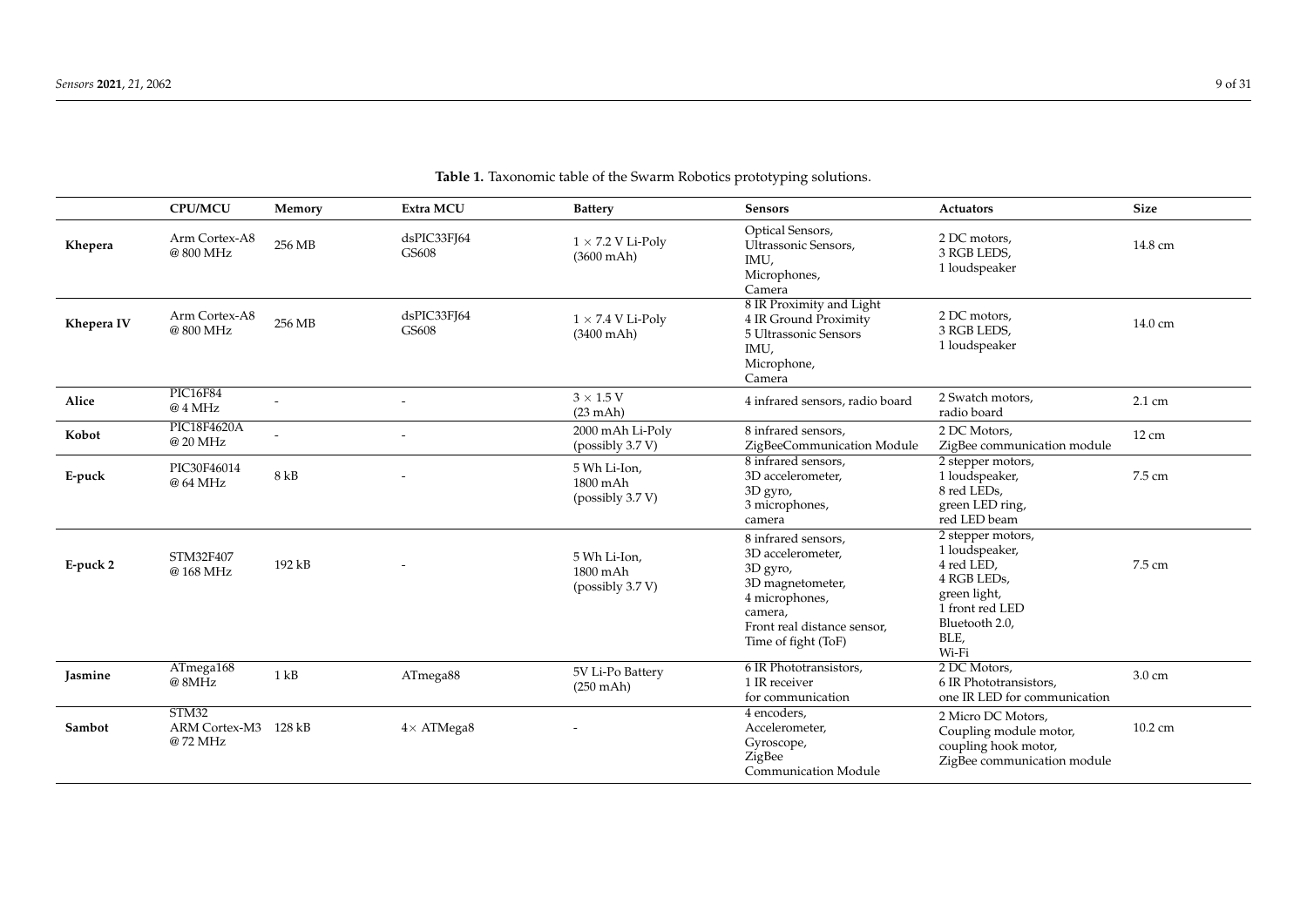|            | <b>CPU/MCU</b>                           | Memory | Extra MCU            | <b>Battery</b>                                   | <b>Sensors</b>                                                                                                                                              | <b>Actuators</b>                                                                                                                       | <b>Size</b>      |
|------------|------------------------------------------|--------|----------------------|--------------------------------------------------|-------------------------------------------------------------------------------------------------------------------------------------------------------------|----------------------------------------------------------------------------------------------------------------------------------------|------------------|
| Khepera    | Arm Cortex-A8<br>@800 MHz                | 256 MB | dsPIC33FJ64<br>GS608 | $1 \times 7.2$ V Li-Poly<br>$(3600 \text{ mA}h)$ | Optical Sensors,<br>Ultrassonic Sensors,<br>IMU,<br>Microphones,<br>Camera                                                                                  | 2 DC motors,<br>3 RGB LEDS,<br>1 loudspeaker                                                                                           | 14.8 cm          |
| Khepera IV | Arm Cortex-A8<br>@800 MHz                | 256 MB | dsPIC33FI64<br>GS608 | $1 \times 7.4$ V Li-Poly<br>$(3400 \text{ mA})$  | 8 IR Proximity and Light<br>4 IR Ground Proximity<br>5 Ultrassonic Sensors<br>IMU.<br>Microphone,<br>Camera                                                 | 2 DC motors,<br>3 RGB LEDS,<br>1 loudspeaker                                                                                           | 14.0 cm          |
| Alice      | <b>PIC16F84</b><br>@ 4 MHz               |        |                      | $3 \times 1.5$ V<br>$(23 \text{ mAh})$           | 4 infrared sensors, radio board                                                                                                                             | 2 Swatch motors,<br>radio board                                                                                                        | $2.1 \text{ cm}$ |
| Kobot      | <b>PIC18F4620A</b><br>@ 20 MHz           |        |                      | 2000 mAh Li-Poly<br>(possibly 3.7 V)             | 8 infrared sensors,<br>ZigBeeCommunication Module                                                                                                           | 2 DC Motors,<br>ZigBee communication module                                                                                            | $12 \text{ cm}$  |
| E-puck     | PIC30F46014<br>@ 64 MHz                  | 8 kB   |                      | 5 Wh Li-Ion,<br>1800 mAh<br>(possibly 3.7 V)     | 8 infrared sensors,<br>3D accelerometer,<br>3D gyro,<br>3 microphones,<br>camera                                                                            | 2 stepper motors,<br>1 loudspeaker,<br>8 red LEDs,<br>green LED ring,<br>red LED beam                                                  | 7.5 cm           |
| E-puck 2   | STM32F407<br>@168 MHz                    | 192 kB |                      | 5 Wh Li-Ion.<br>1800 mAh<br>(possibly 3.7 V)     | 8 infrared sensors,<br>3D accelerometer,<br>3D gyro,<br>3D magnetometer,<br>4 microphones,<br>camera,<br>Front real distance sensor,<br>Time of fight (ToF) | 2 stepper motors,<br>1 loudspeaker,<br>4 red LED,<br>4 RGB LEDs,<br>green light,<br>1 front red LED<br>Bluetooth 2.0,<br>BLE,<br>Wi-Fi | 7.5 cm           |
| Jasmine    | ATmega168<br>@8MHz                       | 1 kB   | ATmega88             | 5V Li-Po Battery<br>$(250 \text{ m/h})$          | 6 IR Phototransistors,<br>1 IR receiver<br>for communication                                                                                                | 2 DC Motors,<br>6 IR Phototransistors,<br>one IR LED for communication                                                                 | 3.0 cm           |
| Sambot     | STM32<br><b>ARM Cortex-M3</b><br>@72 MHz | 128 kB | $4\times$ ATMega8    |                                                  | 4 encoders.<br>Accelerometer,<br>Gyroscope,<br>ZigBee<br><b>Communication Module</b>                                                                        | 2 Micro DC Motors,<br>Coupling module motor,<br>coupling hook motor,<br>ZigBee communication module                                    | 10.2 cm          |

# **Table 1.** Taxonomic table of the Swarm Robotics prototyping solutions.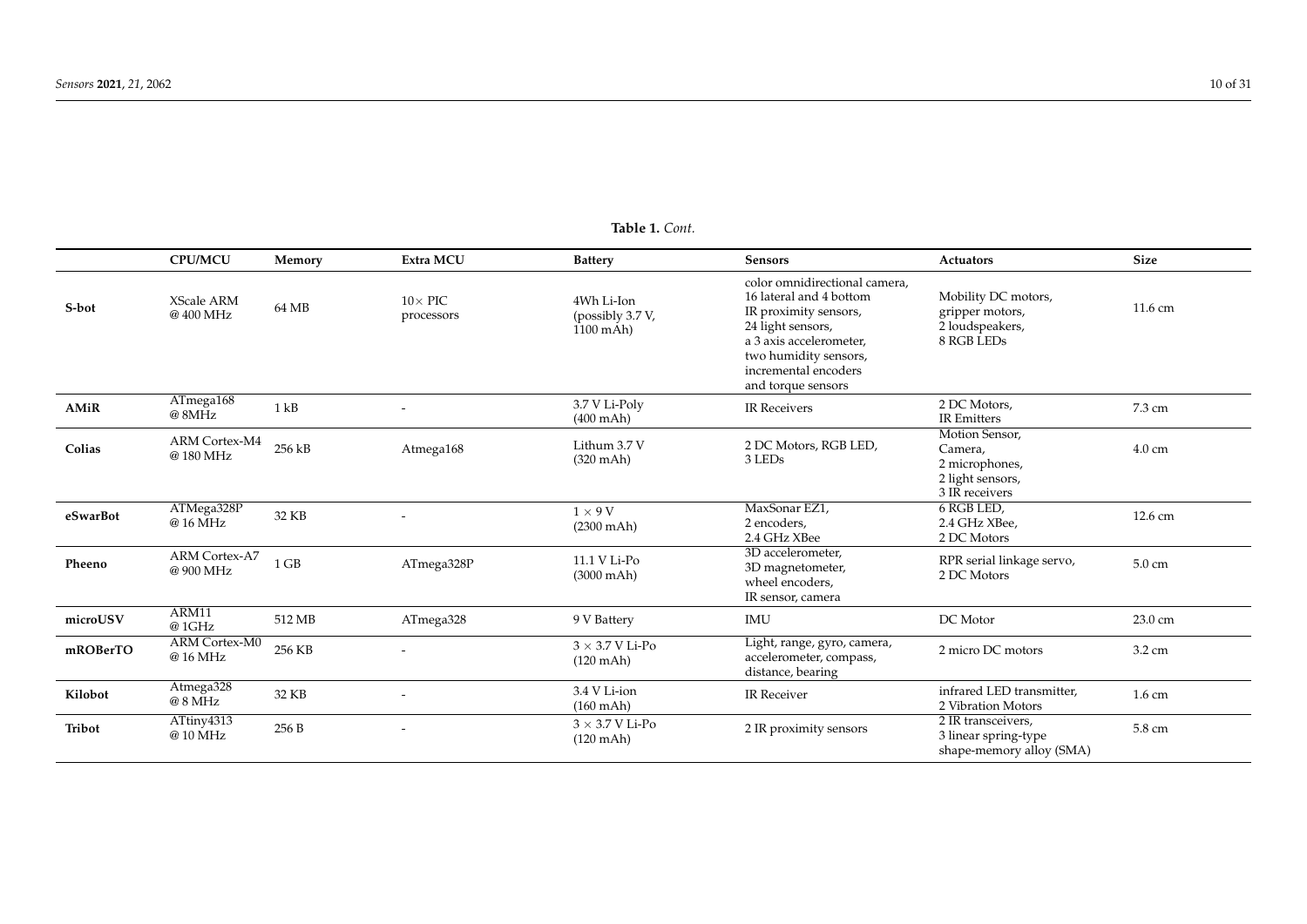# **Table 1.** *Cont.*

<span id="page-9-0"></span>

|          | <b>CPU/MCU</b>                   | Memory   | Extra MCU                    | <b>Battery</b>                                   | Sensors                                                                                                                                                                                                  | Actuators                                                                         | <b>Size</b>      |
|----------|----------------------------------|----------|------------------------------|--------------------------------------------------|----------------------------------------------------------------------------------------------------------------------------------------------------------------------------------------------------------|-----------------------------------------------------------------------------------|------------------|
| S-bot    | <b>XScale ARM</b><br>@400 MHz    | 64 MB    | $10\times$ PIC<br>processors | 4Wh Li-Ion<br>(possibly 3.7 V,<br>$1100$ mAh $)$ | color omnidirectional camera,<br>16 lateral and 4 bottom<br>IR proximity sensors,<br>24 light sensors,<br>a 3 axis accelerometer,<br>two humidity sensors,<br>incremental encoders<br>and torque sensors | Mobility DC motors,<br>gripper motors,<br>2 loudspeakers,<br>8 RGB LEDs           | 11.6 cm          |
| AMiR     | ATmega168<br>@ 8MHz              | $1$ $kB$ |                              | 3.7 V Li-Poly<br>$(400 \text{ mA})$              | <b>IR Receivers</b>                                                                                                                                                                                      | 2 DC Motors,<br><b>IR Emitters</b>                                                | 7.3 cm           |
| Colias   | <b>ARM Cortex-M4</b><br>@180 MHz | 256 kB   | Atmega168                    | Lithum 3.7 V<br>$(320 \text{ mAh})$              | 2 DC Motors, RGB LED,<br>3 LEDs                                                                                                                                                                          | Motion Sensor,<br>Camera,<br>2 microphones,<br>2 light sensors,<br>3 IR receivers | 4.0 cm           |
| eSwarBot | ATMega328P<br>@ 16 MHz           | 32 KB    |                              | $1 \times 9$ V<br>$(2300 \text{ mA})$            | MaxSonar EZ1,<br>2 encoders,<br>2.4 GHz XBee                                                                                                                                                             | 6 RGB LED,<br>2.4 GHz XBee.<br>2 DC Motors                                        | 12.6 cm          |
| Pheeno   | ARM Cortex-A7<br>@900 MHz        | $1$ GB   | ATmega328P                   | 11.1 V Li-Po<br>$(3000 \text{ mA})$              | 3D accelerometer,<br>3D magnetometer,<br>wheel encoders,<br>IR sensor, camera                                                                                                                            | RPR serial linkage servo,<br>2 DC Motors                                          | $5.0 \text{ cm}$ |
| microUSV | ARM11<br>@1GHz                   | 512 MB   | ATmega328                    | 9 V Battery                                      | <b>IMU</b>                                                                                                                                                                                               | DC Motor                                                                          | 23.0 cm          |
| mROBerTO | <b>ARM Cortex-M0</b><br>@ 16 MHz | 256 KB   |                              | $3\times3.7$ V Li-Po<br>$(120$ mAh)              | Light, range, gyro, camera,<br>accelerometer, compass,<br>distance, bearing                                                                                                                              | 2 micro DC motors                                                                 | 3.2 cm           |
| Kilobot  | Atmega328<br>@ 8 MHz             | 32 KB    |                              | 3.4 V Li-ion<br>$(160 \text{ mAh})$              | IR Receiver                                                                                                                                                                                              | infrared LED transmitter,<br>2 Vibration Motors                                   | $1.6 \text{ cm}$ |
| Tribot   | ATtiny4313<br>@ 10 MHz           | 256 B    |                              | $3 \times 3.7$ V Li-Po<br>$(120 \text{ m/h})$    | 2 IR proximity sensors                                                                                                                                                                                   | 2 IR transceivers,<br>3 linear spring-type<br>shape-memory alloy (SMA)            | 5.8 cm           |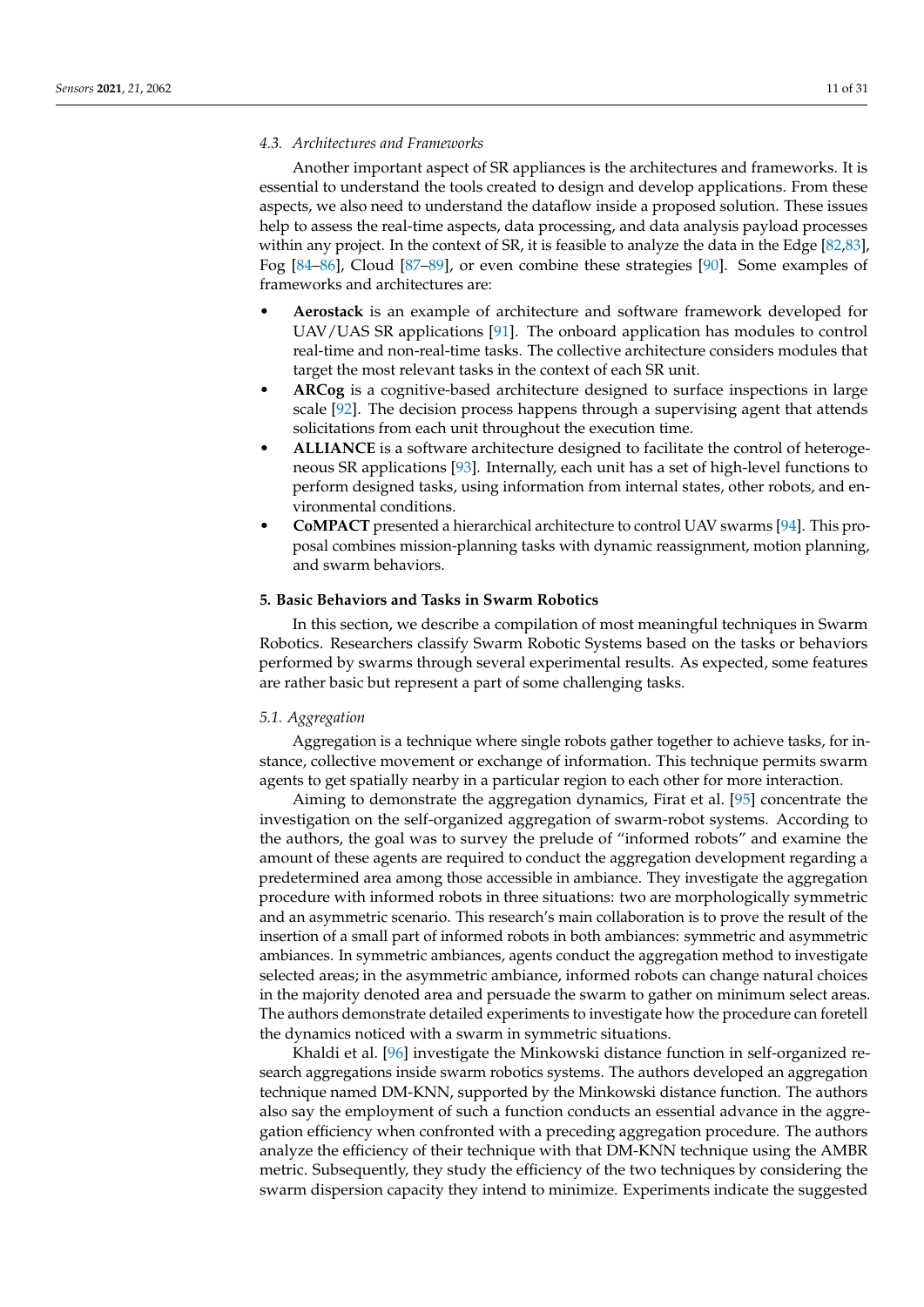#### *4.3. Architectures and Frameworks*

Another important aspect of SR appliances is the architectures and frameworks. It is essential to understand the tools created to design and develop applications. From these aspects, we also need to understand the dataflow inside a proposed solution. These issues help to assess the real-time aspects, data processing, and data analysis payload processes within any project. In the context of SR, it is feasible to analyze the data in the Edge [\[82](#page-26-23)[,83\]](#page-26-24), Fog [\[84](#page-26-25)[–86\]](#page-26-26), Cloud [\[87](#page-27-0)[–89\]](#page-27-1), or even combine these strategies [\[90\]](#page-27-2). Some examples of frameworks and architectures are:

- **Aerostack** is an example of architecture and software framework developed for UAV/UAS SR applications [\[91\]](#page-27-3). The onboard application has modules to control real-time and non-real-time tasks. The collective architecture considers modules that target the most relevant tasks in the context of each SR unit.
- **ARCog** is a cognitive-based architecture designed to surface inspections in large scale [\[92\]](#page-27-4). The decision process happens through a supervising agent that attends solicitations from each unit throughout the execution time.
- **ALLIANCE** is a software architecture designed to facilitate the control of heterogeneous SR applications [\[93\]](#page-27-5). Internally, each unit has a set of high-level functions to perform designed tasks, using information from internal states, other robots, and environmental conditions.
- **CoMPACT** presented a hierarchical architecture to control UAV swarms [\[94\]](#page-27-6). This proposal combines mission-planning tasks with dynamic reassignment, motion planning, and swarm behaviors.

#### **5. Basic Behaviors and Tasks in Swarm Robotics**

In this section, we describe a compilation of most meaningful techniques in Swarm Robotics. Researchers classify Swarm Robotic Systems based on the tasks or behaviors performed by swarms through several experimental results. As expected, some features are rather basic but represent a part of some challenging tasks.

#### *5.1. Aggregation*

Aggregation is a technique where single robots gather together to achieve tasks, for instance, collective movement or exchange of information. This technique permits swarm agents to get spatially nearby in a particular region to each other for more interaction.

Aiming to demonstrate the aggregation dynamics, Firat et al. [\[95\]](#page-27-7) concentrate the investigation on the self-organized aggregation of swarm-robot systems. According to the authors, the goal was to survey the prelude of "informed robots" and examine the amount of these agents are required to conduct the aggregation development regarding a predetermined area among those accessible in ambiance. They investigate the aggregation procedure with informed robots in three situations: two are morphologically symmetric and an asymmetric scenario. This research's main collaboration is to prove the result of the insertion of a small part of informed robots in both ambiances: symmetric and asymmetric ambiances. In symmetric ambiances, agents conduct the aggregation method to investigate selected areas; in the asymmetric ambiance, informed robots can change natural choices in the majority denoted area and persuade the swarm to gather on minimum select areas. The authors demonstrate detailed experiments to investigate how the procedure can foretell the dynamics noticed with a swarm in symmetric situations.

Khaldi et al. [\[96\]](#page-27-8) investigate the Minkowski distance function in self-organized research aggregations inside swarm robotics systems. The authors developed an aggregation technique named DM-KNN, supported by the Minkowski distance function. The authors also say the employment of such a function conducts an essential advance in the aggregation efficiency when confronted with a preceding aggregation procedure. The authors analyze the efficiency of their technique with that DM-KNN technique using the AMBR metric. Subsequently, they study the efficiency of the two techniques by considering the swarm dispersion capacity they intend to minimize. Experiments indicate the suggested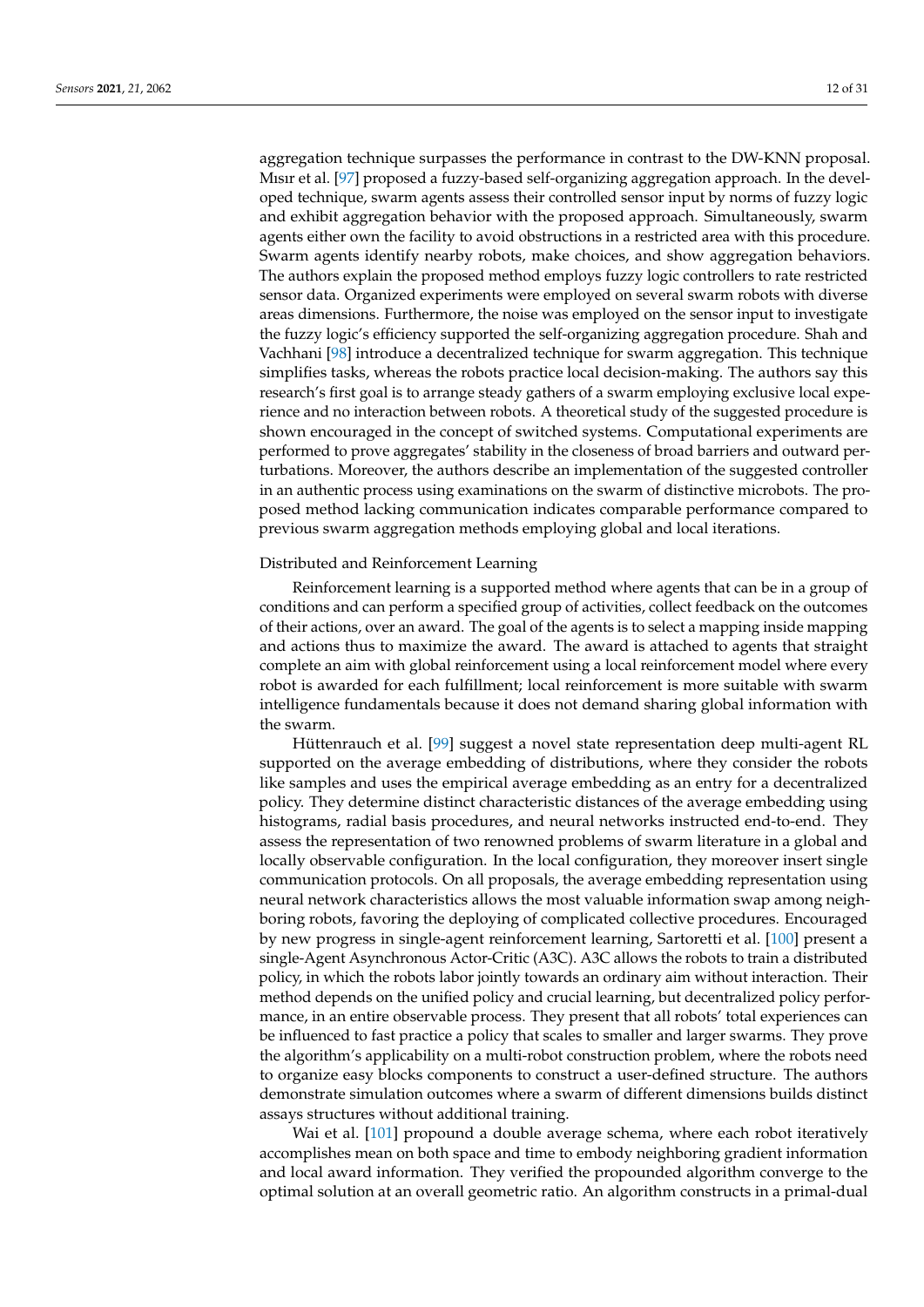aggregation technique surpasses the performance in contrast to the DW-KNN proposal. Mısır et al. [\[97\]](#page-27-9) proposed a fuzzy-based self-organizing aggregation approach. In the developed technique, swarm agents assess their controlled sensor input by norms of fuzzy logic and exhibit aggregation behavior with the proposed approach. Simultaneously, swarm agents either own the facility to avoid obstructions in a restricted area with this procedure. Swarm agents identify nearby robots, make choices, and show aggregation behaviors. The authors explain the proposed method employs fuzzy logic controllers to rate restricted sensor data. Organized experiments were employed on several swarm robots with diverse areas dimensions. Furthermore, the noise was employed on the sensor input to investigate the fuzzy logic's efficiency supported the self-organizing aggregation procedure. Shah and Vachhani [\[98\]](#page-27-10) introduce a decentralized technique for swarm aggregation. This technique simplifies tasks, whereas the robots practice local decision-making. The authors say this research's first goal is to arrange steady gathers of a swarm employing exclusive local experience and no interaction between robots. A theoretical study of the suggested procedure is shown encouraged in the concept of switched systems. Computational experiments are performed to prove aggregates' stability in the closeness of broad barriers and outward perturbations. Moreover, the authors describe an implementation of the suggested controller in an authentic process using examinations on the swarm of distinctive microbots. The proposed method lacking communication indicates comparable performance compared to previous swarm aggregation methods employing global and local iterations.

#### Distributed and Reinforcement Learning

Reinforcement learning is a supported method where agents that can be in a group of conditions and can perform a specified group of activities, collect feedback on the outcomes of their actions, over an award. The goal of the agents is to select a mapping inside mapping and actions thus to maximize the award. The award is attached to agents that straight complete an aim with global reinforcement using a local reinforcement model where every robot is awarded for each fulfillment; local reinforcement is more suitable with swarm intelligence fundamentals because it does not demand sharing global information with the swarm.

Hüttenrauch et al. [\[99\]](#page-27-11) suggest a novel state representation deep multi-agent RL supported on the average embedding of distributions, where they consider the robots like samples and uses the empirical average embedding as an entry for a decentralized policy. They determine distinct characteristic distances of the average embedding using histograms, radial basis procedures, and neural networks instructed end-to-end. They assess the representation of two renowned problems of swarm literature in a global and locally observable configuration. In the local configuration, they moreover insert single communication protocols. On all proposals, the average embedding representation using neural network characteristics allows the most valuable information swap among neighboring robots, favoring the deploying of complicated collective procedures. Encouraged by new progress in single-agent reinforcement learning, Sartoretti et al. [\[100\]](#page-27-12) present a single-Agent Asynchronous Actor-Critic (A3C). A3C allows the robots to train a distributed policy, in which the robots labor jointly towards an ordinary aim without interaction. Their method depends on the unified policy and crucial learning, but decentralized policy performance, in an entire observable process. They present that all robots' total experiences can be influenced to fast practice a policy that scales to smaller and larger swarms. They prove the algorithm's applicability on a multi-robot construction problem, where the robots need to organize easy blocks components to construct a user-defined structure. The authors demonstrate simulation outcomes where a swarm of different dimensions builds distinct assays structures without additional training.

Wai et al. [\[101\]](#page-27-13) propound a double average schema, where each robot iteratively accomplishes mean on both space and time to embody neighboring gradient information and local award information. They verified the propounded algorithm converge to the optimal solution at an overall geometric ratio. An algorithm constructs in a primal-dual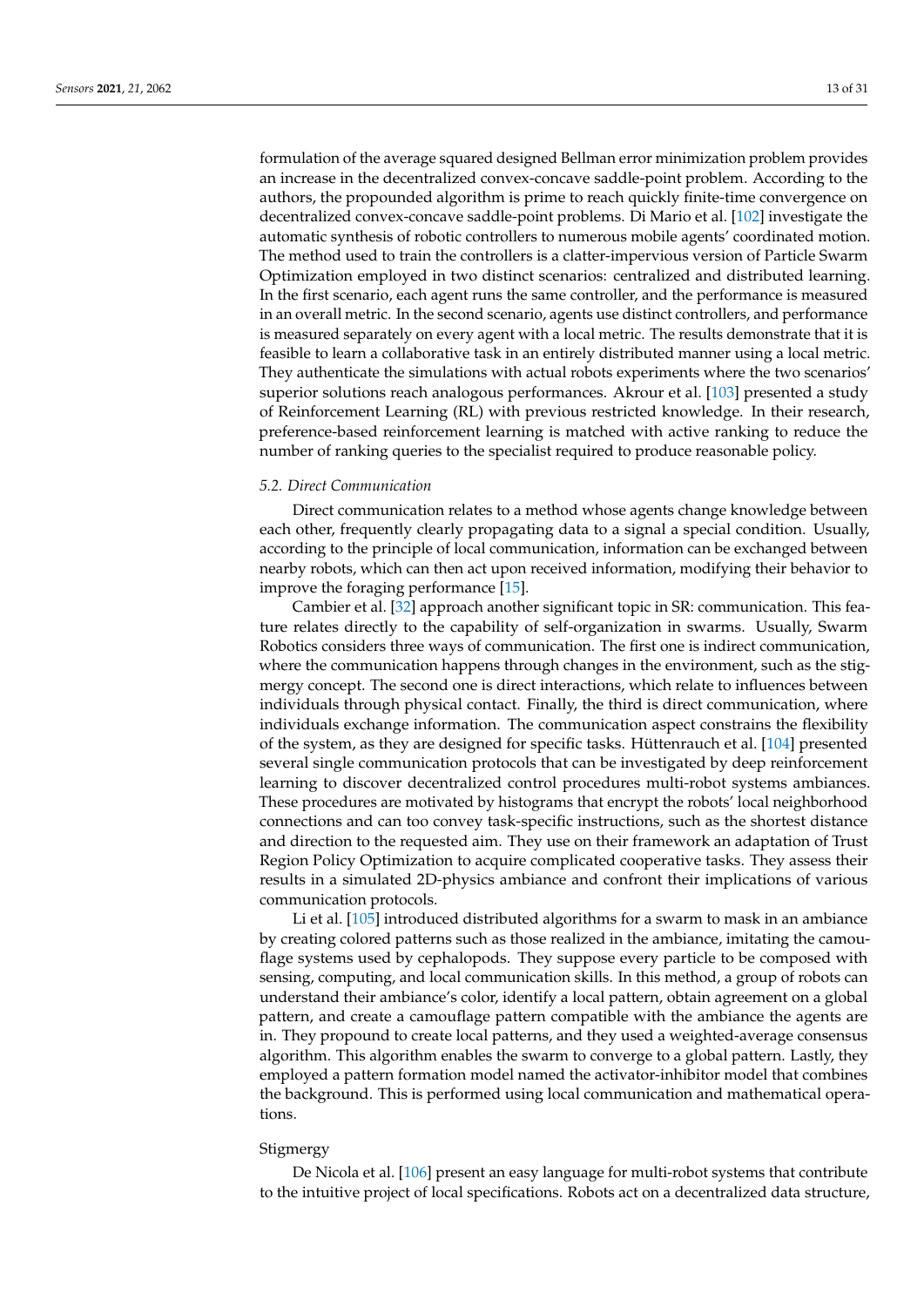formulation of the average squared designed Bellman error minimization problem provides an increase in the decentralized convex-concave saddle-point problem. According to the authors, the propounded algorithm is prime to reach quickly finite-time convergence on decentralized convex-concave saddle-point problems. Di Mario et al. [\[102\]](#page-27-14) investigate the automatic synthesis of robotic controllers to numerous mobile agents' coordinated motion. The method used to train the controllers is a clatter-impervious version of Particle Swarm Optimization employed in two distinct scenarios: centralized and distributed learning. In the first scenario, each agent runs the same controller, and the performance is measured in an overall metric. In the second scenario, agents use distinct controllers, and performance is measured separately on every agent with a local metric. The results demonstrate that it is feasible to learn a collaborative task in an entirely distributed manner using a local metric. They authenticate the simulations with actual robots experiments where the two scenarios' superior solutions reach analogous performances. Akrour et al. [\[103\]](#page-27-15) presented a study of Reinforcement Learning (RL) with previous restricted knowledge. In their research, preference-based reinforcement learning is matched with active ranking to reduce the number of ranking queries to the specialist required to produce reasonable policy.

# *5.2. Direct Communication*

Direct communication relates to a method whose agents change knowledge between each other, frequently clearly propagating data to a signal a special condition. Usually, according to the principle of local communication, information can be exchanged between nearby robots, which can then act upon received information, modifying their behavior to improve the foraging performance [\[15\]](#page-24-14).

Cambier et al. [\[32\]](#page-24-29) approach another significant topic in SR: communication. This feature relates directly to the capability of self-organization in swarms. Usually, Swarm Robotics considers three ways of communication. The first one is indirect communication, where the communication happens through changes in the environment, such as the stigmergy concept. The second one is direct interactions, which relate to influences between individuals through physical contact. Finally, the third is direct communication, where individuals exchange information. The communication aspect constrains the flexibility of the system, as they are designed for specific tasks. Hüttenrauch et al. [\[104\]](#page-27-16) presented several single communication protocols that can be investigated by deep reinforcement learning to discover decentralized control procedures multi-robot systems ambiances. These procedures are motivated by histograms that encrypt the robots' local neighborhood connections and can too convey task-specific instructions, such as the shortest distance and direction to the requested aim. They use on their framework an adaptation of Trust Region Policy Optimization to acquire complicated cooperative tasks. They assess their results in a simulated 2D-physics ambiance and confront their implications of various communication protocols.

Li et al. [\[105\]](#page-27-17) introduced distributed algorithms for a swarm to mask in an ambiance by creating colored patterns such as those realized in the ambiance, imitating the camouflage systems used by cephalopods. They suppose every particle to be composed with sensing, computing, and local communication skills. In this method, a group of robots can understand their ambiance's color, identify a local pattern, obtain agreement on a global pattern, and create a camouflage pattern compatible with the ambiance the agents are in. They propound to create local patterns, and they used a weighted-average consensus algorithm. This algorithm enables the swarm to converge to a global pattern. Lastly, they employed a pattern formation model named the activator-inhibitor model that combines the background. This is performed using local communication and mathematical operations.

#### Stigmergy

De Nicola et al. [\[106\]](#page-27-18) present an easy language for multi-robot systems that contribute to the intuitive project of local specifications. Robots act on a decentralized data structure,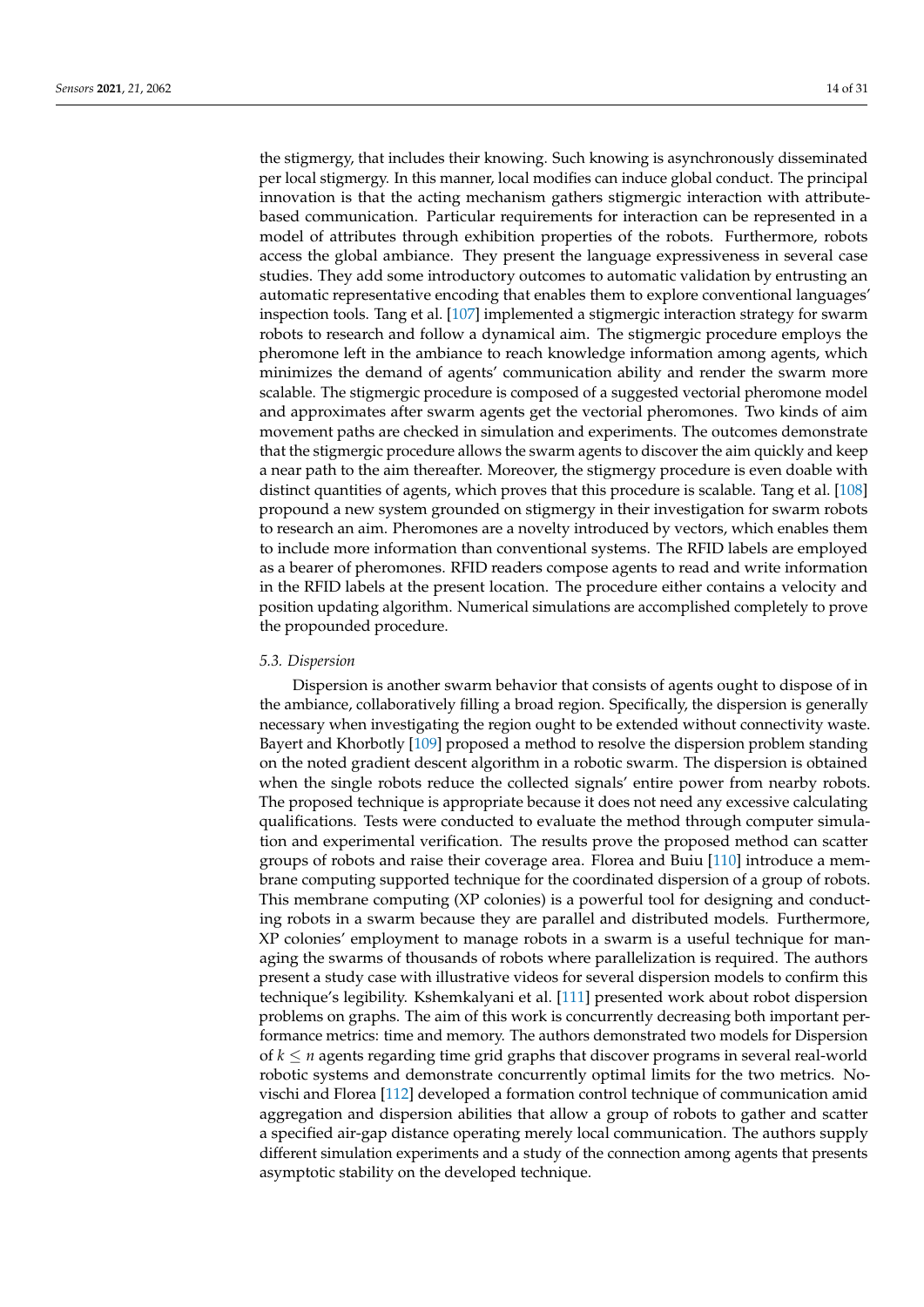the stigmergy, that includes their knowing. Such knowing is asynchronously disseminated per local stigmergy. In this manner, local modifies can induce global conduct. The principal innovation is that the acting mechanism gathers stigmergic interaction with attributebased communication. Particular requirements for interaction can be represented in a model of attributes through exhibition properties of the robots. Furthermore, robots access the global ambiance. They present the language expressiveness in several case studies. They add some introductory outcomes to automatic validation by entrusting an automatic representative encoding that enables them to explore conventional languages' inspection tools. Tang et al. [\[107\]](#page-27-19) implemented a stigmergic interaction strategy for swarm robots to research and follow a dynamical aim. The stigmergic procedure employs the pheromone left in the ambiance to reach knowledge information among agents, which minimizes the demand of agents' communication ability and render the swarm more scalable. The stigmergic procedure is composed of a suggested vectorial pheromone model and approximates after swarm agents get the vectorial pheromones. Two kinds of aim movement paths are checked in simulation and experiments. The outcomes demonstrate that the stigmergic procedure allows the swarm agents to discover the aim quickly and keep a near path to the aim thereafter. Moreover, the stigmergy procedure is even doable with distinct quantities of agents, which proves that this procedure is scalable. Tang et al. [\[108\]](#page-27-20) propound a new system grounded on stigmergy in their investigation for swarm robots to research an aim. Pheromones are a novelty introduced by vectors, which enables them to include more information than conventional systems. The RFID labels are employed as a bearer of pheromones. RFID readers compose agents to read and write information in the RFID labels at the present location. The procedure either contains a velocity and position updating algorithm. Numerical simulations are accomplished completely to prove the propounded procedure.

#### *5.3. Dispersion*

Dispersion is another swarm behavior that consists of agents ought to dispose of in the ambiance, collaboratively filling a broad region. Specifically, the dispersion is generally necessary when investigating the region ought to be extended without connectivity waste. Bayert and Khorbotly [\[109\]](#page-27-21) proposed a method to resolve the dispersion problem standing on the noted gradient descent algorithm in a robotic swarm. The dispersion is obtained when the single robots reduce the collected signals' entire power from nearby robots. The proposed technique is appropriate because it does not need any excessive calculating qualifications. Tests were conducted to evaluate the method through computer simulation and experimental verification. The results prove the proposed method can scatter groups of robots and raise their coverage area. Florea and Buiu [\[110\]](#page-27-22) introduce a membrane computing supported technique for the coordinated dispersion of a group of robots. This membrane computing (XP colonies) is a powerful tool for designing and conducting robots in a swarm because they are parallel and distributed models. Furthermore, XP colonies' employment to manage robots in a swarm is a useful technique for managing the swarms of thousands of robots where parallelization is required. The authors present a study case with illustrative videos for several dispersion models to confirm this technique's legibility. Kshemkalyani et al. [\[111\]](#page-27-23) presented work about robot dispersion problems on graphs. The aim of this work is concurrently decreasing both important performance metrics: time and memory. The authors demonstrated two models for Dispersion of *k* ≤ *n* agents regarding time grid graphs that discover programs in several real-world robotic systems and demonstrate concurrently optimal limits for the two metrics. Novischi and Florea [\[112\]](#page-28-0) developed a formation control technique of communication amid aggregation and dispersion abilities that allow a group of robots to gather and scatter a specified air-gap distance operating merely local communication. The authors supply different simulation experiments and a study of the connection among agents that presents asymptotic stability on the developed technique.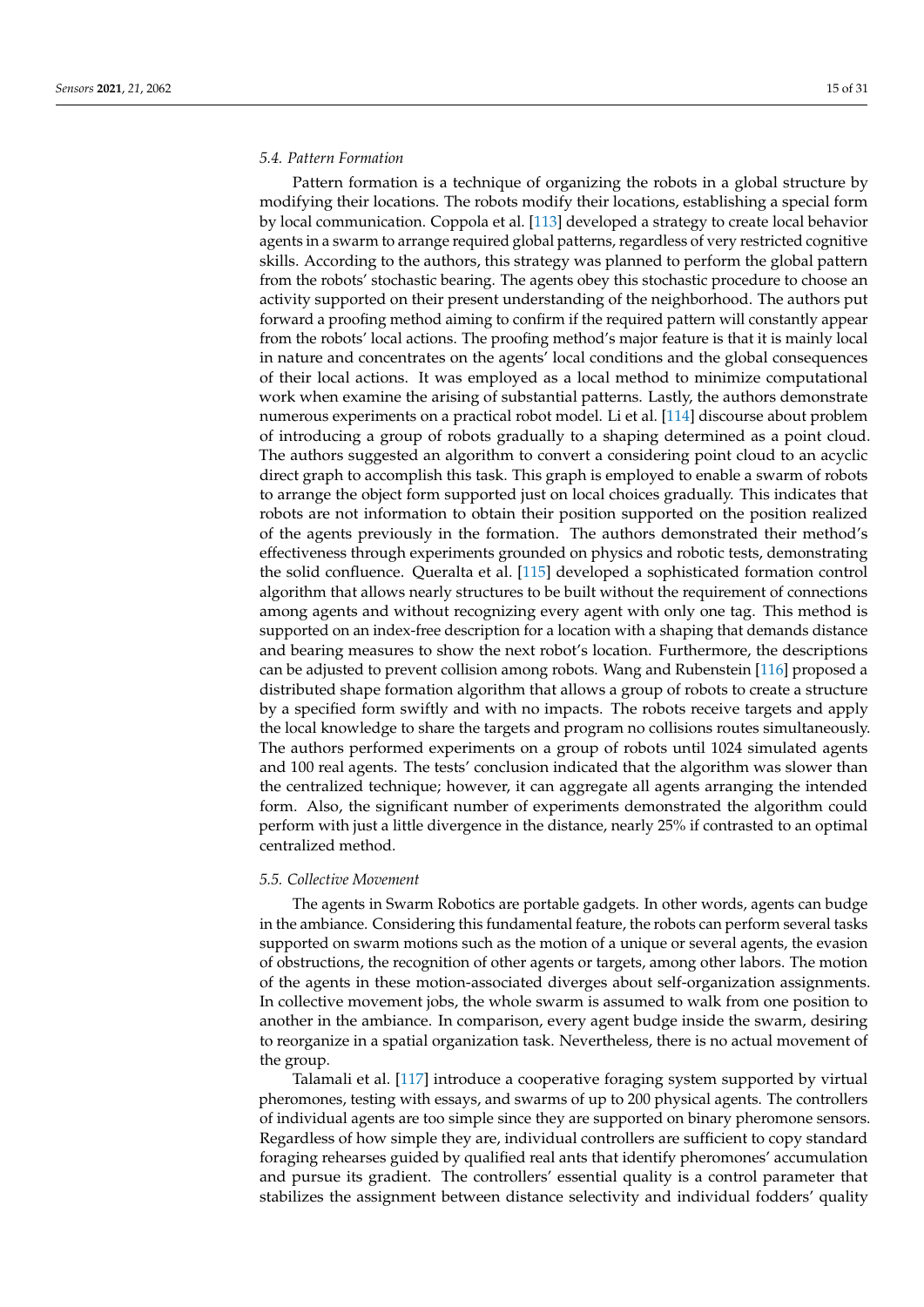#### *5.4. Pattern Formation*

Pattern formation is a technique of organizing the robots in a global structure by modifying their locations. The robots modify their locations, establishing a special form by local communication. Coppola et al. [\[113\]](#page-28-1) developed a strategy to create local behavior agents in a swarm to arrange required global patterns, regardless of very restricted cognitive skills. According to the authors, this strategy was planned to perform the global pattern from the robots' stochastic bearing. The agents obey this stochastic procedure to choose an activity supported on their present understanding of the neighborhood. The authors put forward a proofing method aiming to confirm if the required pattern will constantly appear from the robots' local actions. The proofing method's major feature is that it is mainly local in nature and concentrates on the agents' local conditions and the global consequences of their local actions. It was employed as a local method to minimize computational work when examine the arising of substantial patterns. Lastly, the authors demonstrate numerous experiments on a practical robot model. Li et al. [\[114\]](#page-28-2) discourse about problem of introducing a group of robots gradually to a shaping determined as a point cloud. The authors suggested an algorithm to convert a considering point cloud to an acyclic direct graph to accomplish this task. This graph is employed to enable a swarm of robots to arrange the object form supported just on local choices gradually. This indicates that robots are not information to obtain their position supported on the position realized of the agents previously in the formation. The authors demonstrated their method's effectiveness through experiments grounded on physics and robotic tests, demonstrating the solid confluence. Queralta et al. [\[115\]](#page-28-3) developed a sophisticated formation control algorithm that allows nearly structures to be built without the requirement of connections among agents and without recognizing every agent with only one tag. This method is supported on an index-free description for a location with a shaping that demands distance and bearing measures to show the next robot's location. Furthermore, the descriptions can be adjusted to prevent collision among robots. Wang and Rubenstein [\[116\]](#page-28-4) proposed a distributed shape formation algorithm that allows a group of robots to create a structure by a specified form swiftly and with no impacts. The robots receive targets and apply the local knowledge to share the targets and program no collisions routes simultaneously. The authors performed experiments on a group of robots until 1024 simulated agents and 100 real agents. The tests' conclusion indicated that the algorithm was slower than the centralized technique; however, it can aggregate all agents arranging the intended form. Also, the significant number of experiments demonstrated the algorithm could perform with just a little divergence in the distance, nearly 25% if contrasted to an optimal centralized method.

#### *5.5. Collective Movement*

The agents in Swarm Robotics are portable gadgets. In other words, agents can budge in the ambiance. Considering this fundamental feature, the robots can perform several tasks supported on swarm motions such as the motion of a unique or several agents, the evasion of obstructions, the recognition of other agents or targets, among other labors. The motion of the agents in these motion-associated diverges about self-organization assignments. In collective movement jobs, the whole swarm is assumed to walk from one position to another in the ambiance. In comparison, every agent budge inside the swarm, desiring to reorganize in a spatial organization task. Nevertheless, there is no actual movement of the group.

Talamali et al. [\[117\]](#page-28-5) introduce a cooperative foraging system supported by virtual pheromones, testing with essays, and swarms of up to 200 physical agents. The controllers of individual agents are too simple since they are supported on binary pheromone sensors. Regardless of how simple they are, individual controllers are sufficient to copy standard foraging rehearses guided by qualified real ants that identify pheromones' accumulation and pursue its gradient. The controllers' essential quality is a control parameter that stabilizes the assignment between distance selectivity and individual fodders' quality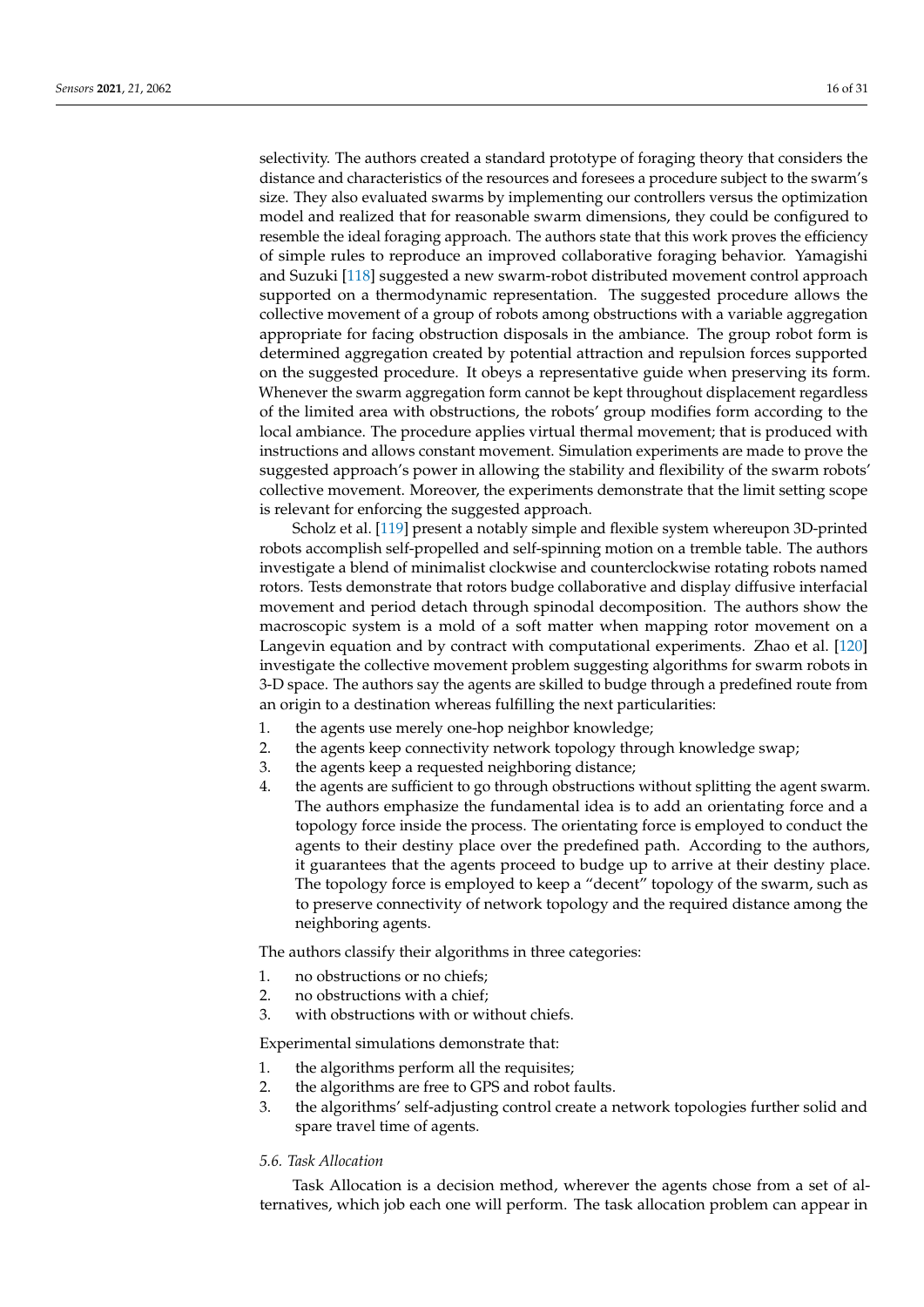selectivity. The authors created a standard prototype of foraging theory that considers the distance and characteristics of the resources and foresees a procedure subject to the swarm's size. They also evaluated swarms by implementing our controllers versus the optimization model and realized that for reasonable swarm dimensions, they could be configured to resemble the ideal foraging approach. The authors state that this work proves the efficiency of simple rules to reproduce an improved collaborative foraging behavior. Yamagishi and Suzuki [\[118\]](#page-28-6) suggested a new swarm-robot distributed movement control approach supported on a thermodynamic representation. The suggested procedure allows the collective movement of a group of robots among obstructions with a variable aggregation appropriate for facing obstruction disposals in the ambiance. The group robot form is determined aggregation created by potential attraction and repulsion forces supported on the suggested procedure. It obeys a representative guide when preserving its form. Whenever the swarm aggregation form cannot be kept throughout displacement regardless of the limited area with obstructions, the robots' group modifies form according to the local ambiance. The procedure applies virtual thermal movement; that is produced with instructions and allows constant movement. Simulation experiments are made to prove the suggested approach's power in allowing the stability and flexibility of the swarm robots' collective movement. Moreover, the experiments demonstrate that the limit setting scope is relevant for enforcing the suggested approach.

Scholz et al. [\[119\]](#page-28-7) present a notably simple and flexible system whereupon 3D-printed robots accomplish self-propelled and self-spinning motion on a tremble table. The authors investigate a blend of minimalist clockwise and counterclockwise rotating robots named rotors. Tests demonstrate that rotors budge collaborative and display diffusive interfacial movement and period detach through spinodal decomposition. The authors show the macroscopic system is a mold of a soft matter when mapping rotor movement on a Langevin equation and by contract with computational experiments. Zhao et al. [\[120\]](#page-28-8) investigate the collective movement problem suggesting algorithms for swarm robots in 3-D space. The authors say the agents are skilled to budge through a predefined route from an origin to a destination whereas fulfilling the next particularities:

- 1. the agents use merely one-hop neighbor knowledge;
- 2. the agents keep connectivity network topology through knowledge swap;
- 3. the agents keep a requested neighboring distance;
- 4. the agents are sufficient to go through obstructions without splitting the agent swarm. The authors emphasize the fundamental idea is to add an orientating force and a topology force inside the process. The orientating force is employed to conduct the agents to their destiny place over the predefined path. According to the authors, it guarantees that the agents proceed to budge up to arrive at their destiny place. The topology force is employed to keep a "decent" topology of the swarm, such as to preserve connectivity of network topology and the required distance among the neighboring agents.

The authors classify their algorithms in three categories:

- 1. no obstructions or no chiefs;
- 2. no obstructions with a chief;
- 3. with obstructions with or without chiefs.

Experimental simulations demonstrate that:

- 1. the algorithms perform all the requisites;
- 2. the algorithms are free to GPS and robot faults.
- 3. the algorithms' self-adjusting control create a network topologies further solid and spare travel time of agents.

## *5.6. Task Allocation*

Task Allocation is a decision method, wherever the agents chose from a set of alternatives, which job each one will perform. The task allocation problem can appear in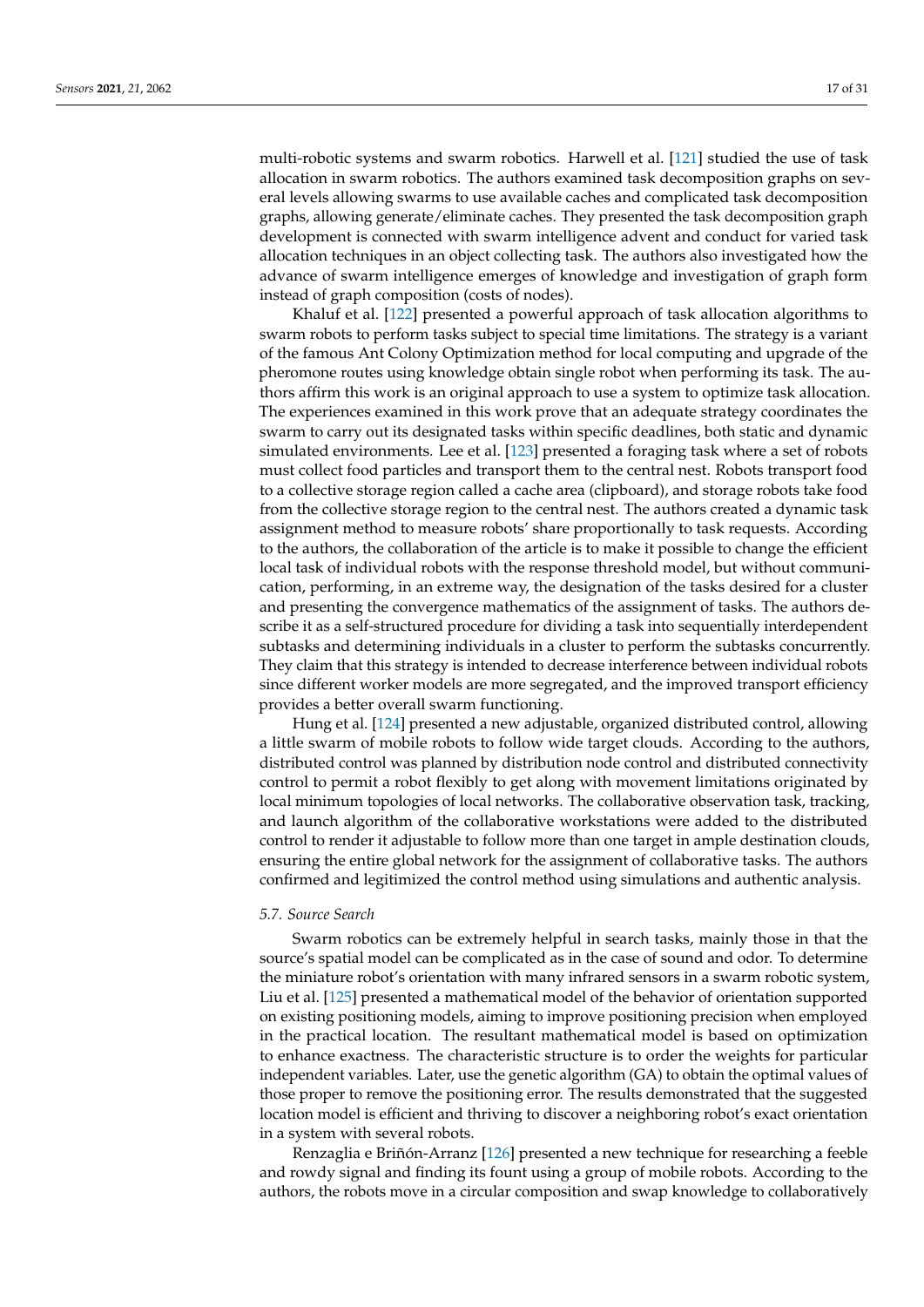multi-robotic systems and swarm robotics. Harwell et al. [\[121\]](#page-28-9) studied the use of task allocation in swarm robotics. The authors examined task decomposition graphs on several levels allowing swarms to use available caches and complicated task decomposition graphs, allowing generate/eliminate caches. They presented the task decomposition graph development is connected with swarm intelligence advent and conduct for varied task allocation techniques in an object collecting task. The authors also investigated how the advance of swarm intelligence emerges of knowledge and investigation of graph form instead of graph composition (costs of nodes).

Khaluf et al. [\[122\]](#page-28-10) presented a powerful approach of task allocation algorithms to swarm robots to perform tasks subject to special time limitations. The strategy is a variant of the famous Ant Colony Optimization method for local computing and upgrade of the pheromone routes using knowledge obtain single robot when performing its task. The authors affirm this work is an original approach to use a system to optimize task allocation. The experiences examined in this work prove that an adequate strategy coordinates the swarm to carry out its designated tasks within specific deadlines, both static and dynamic simulated environments. Lee et al. [\[123\]](#page-28-11) presented a foraging task where a set of robots must collect food particles and transport them to the central nest. Robots transport food to a collective storage region called a cache area (clipboard), and storage robots take food from the collective storage region to the central nest. The authors created a dynamic task assignment method to measure robots' share proportionally to task requests. According to the authors, the collaboration of the article is to make it possible to change the efficient local task of individual robots with the response threshold model, but without communication, performing, in an extreme way, the designation of the tasks desired for a cluster and presenting the convergence mathematics of the assignment of tasks. The authors describe it as a self-structured procedure for dividing a task into sequentially interdependent subtasks and determining individuals in a cluster to perform the subtasks concurrently. They claim that this strategy is intended to decrease interference between individual robots since different worker models are more segregated, and the improved transport efficiency provides a better overall swarm functioning.

Hung et al. [\[124\]](#page-28-12) presented a new adjustable, organized distributed control, allowing a little swarm of mobile robots to follow wide target clouds. According to the authors, distributed control was planned by distribution node control and distributed connectivity control to permit a robot flexibly to get along with movement limitations originated by local minimum topologies of local networks. The collaborative observation task, tracking, and launch algorithm of the collaborative workstations were added to the distributed control to render it adjustable to follow more than one target in ample destination clouds, ensuring the entire global network for the assignment of collaborative tasks. The authors confirmed and legitimized the control method using simulations and authentic analysis.

#### *5.7. Source Search*

Swarm robotics can be extremely helpful in search tasks, mainly those in that the source's spatial model can be complicated as in the case of sound and odor. To determine the miniature robot's orientation with many infrared sensors in a swarm robotic system, Liu et al. [\[125\]](#page-28-13) presented a mathematical model of the behavior of orientation supported on existing positioning models, aiming to improve positioning precision when employed in the practical location. The resultant mathematical model is based on optimization to enhance exactness. The characteristic structure is to order the weights for particular independent variables. Later, use the genetic algorithm (GA) to obtain the optimal values of those proper to remove the positioning error. The results demonstrated that the suggested location model is efficient and thriving to discover a neighboring robot's exact orientation in a system with several robots.

Renzaglia e Briñón-Arranz [\[126\]](#page-28-14) presented a new technique for researching a feeble and rowdy signal and finding its fount using a group of mobile robots. According to the authors, the robots move in a circular composition and swap knowledge to collaboratively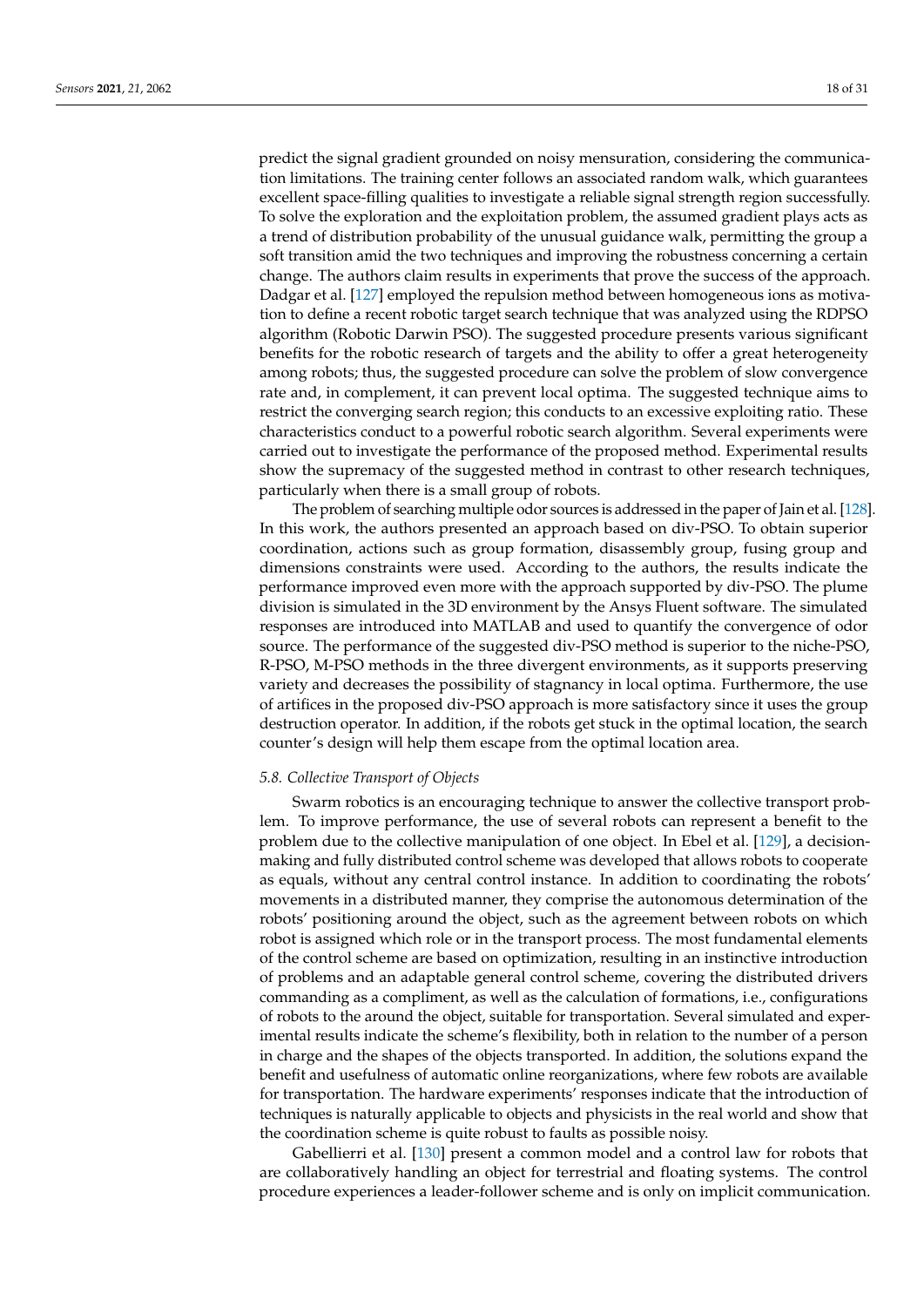predict the signal gradient grounded on noisy mensuration, considering the communication limitations. The training center follows an associated random walk, which guarantees excellent space-filling qualities to investigate a reliable signal strength region successfully. To solve the exploration and the exploitation problem, the assumed gradient plays acts as a trend of distribution probability of the unusual guidance walk, permitting the group a soft transition amid the two techniques and improving the robustness concerning a certain change. The authors claim results in experiments that prove the success of the approach. Dadgar et al. [\[127\]](#page-28-15) employed the repulsion method between homogeneous ions as motivation to define a recent robotic target search technique that was analyzed using the RDPSO algorithm (Robotic Darwin PSO). The suggested procedure presents various significant benefits for the robotic research of targets and the ability to offer a great heterogeneity among robots; thus, the suggested procedure can solve the problem of slow convergence rate and, in complement, it can prevent local optima. The suggested technique aims to restrict the converging search region; this conducts to an excessive exploiting ratio. These characteristics conduct to a powerful robotic search algorithm. Several experiments were carried out to investigate the performance of the proposed method. Experimental results show the supremacy of the suggested method in contrast to other research techniques, particularly when there is a small group of robots.

The problem of searching multiple odor sources is addressed in the paper of Jain et al. [\[128\]](#page-28-16). In this work, the authors presented an approach based on div-PSO. To obtain superior coordination, actions such as group formation, disassembly group, fusing group and dimensions constraints were used. According to the authors, the results indicate the performance improved even more with the approach supported by div-PSO. The plume division is simulated in the 3D environment by the Ansys Fluent software. The simulated responses are introduced into MATLAB and used to quantify the convergence of odor source. The performance of the suggested div-PSO method is superior to the niche-PSO, R-PSO, M-PSO methods in the three divergent environments, as it supports preserving variety and decreases the possibility of stagnancy in local optima. Furthermore, the use of artifices in the proposed div-PSO approach is more satisfactory since it uses the group destruction operator. In addition, if the robots get stuck in the optimal location, the search counter's design will help them escape from the optimal location area.

#### *5.8. Collective Transport of Objects*

Swarm robotics is an encouraging technique to answer the collective transport problem. To improve performance, the use of several robots can represent a benefit to the problem due to the collective manipulation of one object. In Ebel et al. [\[129\]](#page-28-17), a decisionmaking and fully distributed control scheme was developed that allows robots to cooperate as equals, without any central control instance. In addition to coordinating the robots' movements in a distributed manner, they comprise the autonomous determination of the robots' positioning around the object, such as the agreement between robots on which robot is assigned which role or in the transport process. The most fundamental elements of the control scheme are based on optimization, resulting in an instinctive introduction of problems and an adaptable general control scheme, covering the distributed drivers commanding as a compliment, as well as the calculation of formations, i.e., configurations of robots to the around the object, suitable for transportation. Several simulated and experimental results indicate the scheme's flexibility, both in relation to the number of a person in charge and the shapes of the objects transported. In addition, the solutions expand the benefit and usefulness of automatic online reorganizations, where few robots are available for transportation. The hardware experiments' responses indicate that the introduction of techniques is naturally applicable to objects and physicists in the real world and show that the coordination scheme is quite robust to faults as possible noisy.

Gabellierri et al. [\[130\]](#page-28-18) present a common model and a control law for robots that are collaboratively handling an object for terrestrial and floating systems. The control procedure experiences a leader-follower scheme and is only on implicit communication.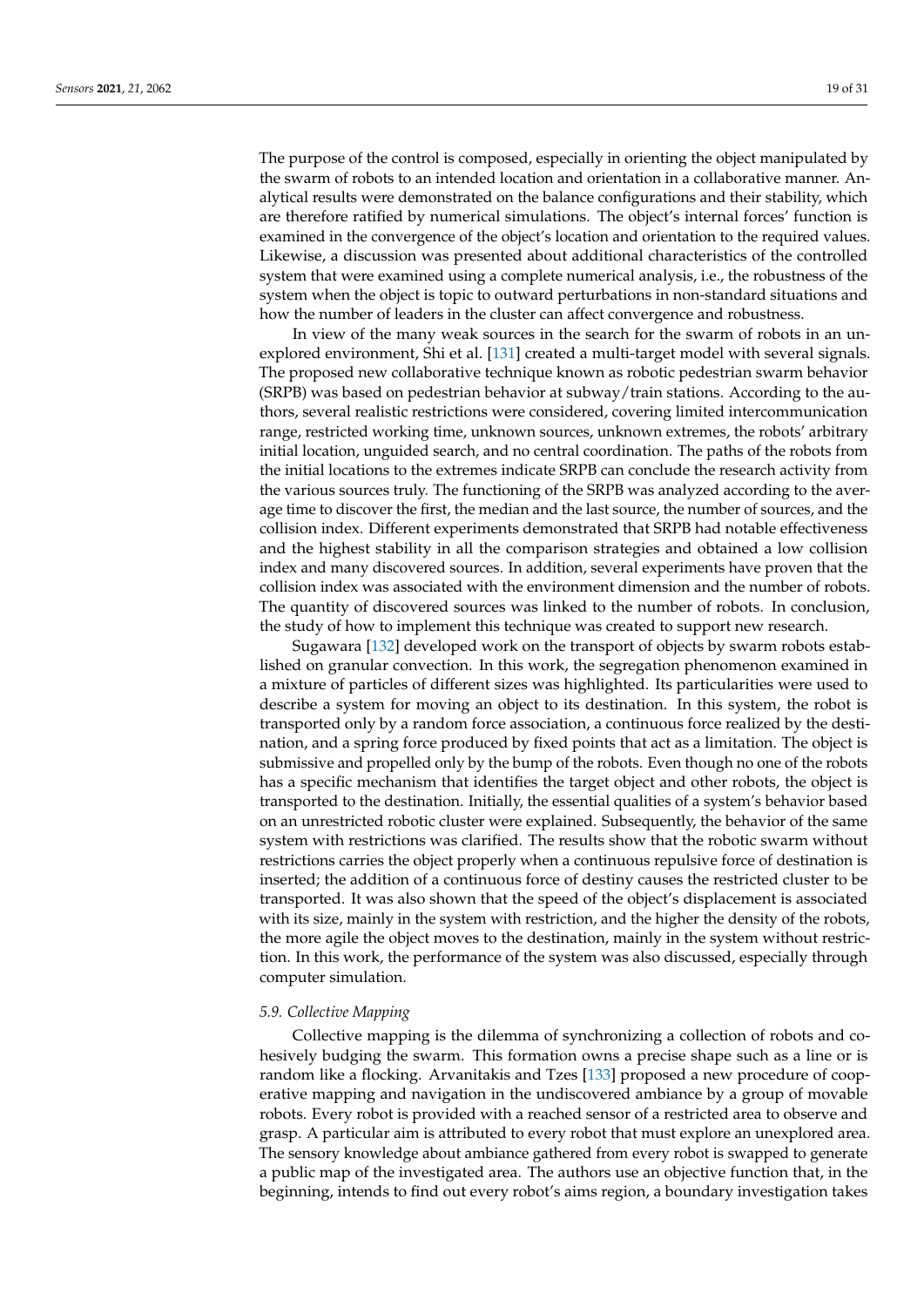The purpose of the control is composed, especially in orienting the object manipulated by the swarm of robots to an intended location and orientation in a collaborative manner. Analytical results were demonstrated on the balance configurations and their stability, which are therefore ratified by numerical simulations. The object's internal forces' function is examined in the convergence of the object's location and orientation to the required values. Likewise, a discussion was presented about additional characteristics of the controlled system that were examined using a complete numerical analysis, i.e., the robustness of the system when the object is topic to outward perturbations in non-standard situations and how the number of leaders in the cluster can affect convergence and robustness.

In view of the many weak sources in the search for the swarm of robots in an unexplored environment, Shi et al. [\[131\]](#page-28-19) created a multi-target model with several signals. The proposed new collaborative technique known as robotic pedestrian swarm behavior (SRPB) was based on pedestrian behavior at subway/train stations. According to the authors, several realistic restrictions were considered, covering limited intercommunication range, restricted working time, unknown sources, unknown extremes, the robots' arbitrary initial location, unguided search, and no central coordination. The paths of the robots from the initial locations to the extremes indicate SRPB can conclude the research activity from the various sources truly. The functioning of the SRPB was analyzed according to the average time to discover the first, the median and the last source, the number of sources, and the collision index. Different experiments demonstrated that SRPB had notable effectiveness and the highest stability in all the comparison strategies and obtained a low collision index and many discovered sources. In addition, several experiments have proven that the collision index was associated with the environment dimension and the number of robots. The quantity of discovered sources was linked to the number of robots. In conclusion, the study of how to implement this technique was created to support new research.

Sugawara [\[132\]](#page-28-20) developed work on the transport of objects by swarm robots established on granular convection. In this work, the segregation phenomenon examined in a mixture of particles of different sizes was highlighted. Its particularities were used to describe a system for moving an object to its destination. In this system, the robot is transported only by a random force association, a continuous force realized by the destination, and a spring force produced by fixed points that act as a limitation. The object is submissive and propelled only by the bump of the robots. Even though no one of the robots has a specific mechanism that identifies the target object and other robots, the object is transported to the destination. Initially, the essential qualities of a system's behavior based on an unrestricted robotic cluster were explained. Subsequently, the behavior of the same system with restrictions was clarified. The results show that the robotic swarm without restrictions carries the object properly when a continuous repulsive force of destination is inserted; the addition of a continuous force of destiny causes the restricted cluster to be transported. It was also shown that the speed of the object's displacement is associated with its size, mainly in the system with restriction, and the higher the density of the robots, the more agile the object moves to the destination, mainly in the system without restriction. In this work, the performance of the system was also discussed, especially through computer simulation.

#### *5.9. Collective Mapping*

Collective mapping is the dilemma of synchronizing a collection of robots and cohesively budging the swarm. This formation owns a precise shape such as a line or is random like a flocking. Arvanitakis and Tzes [\[133\]](#page-28-21) proposed a new procedure of cooperative mapping and navigation in the undiscovered ambiance by a group of movable robots. Every robot is provided with a reached sensor of a restricted area to observe and grasp. A particular aim is attributed to every robot that must explore an unexplored area. The sensory knowledge about ambiance gathered from every robot is swapped to generate a public map of the investigated area. The authors use an objective function that, in the beginning, intends to find out every robot's aims region, a boundary investigation takes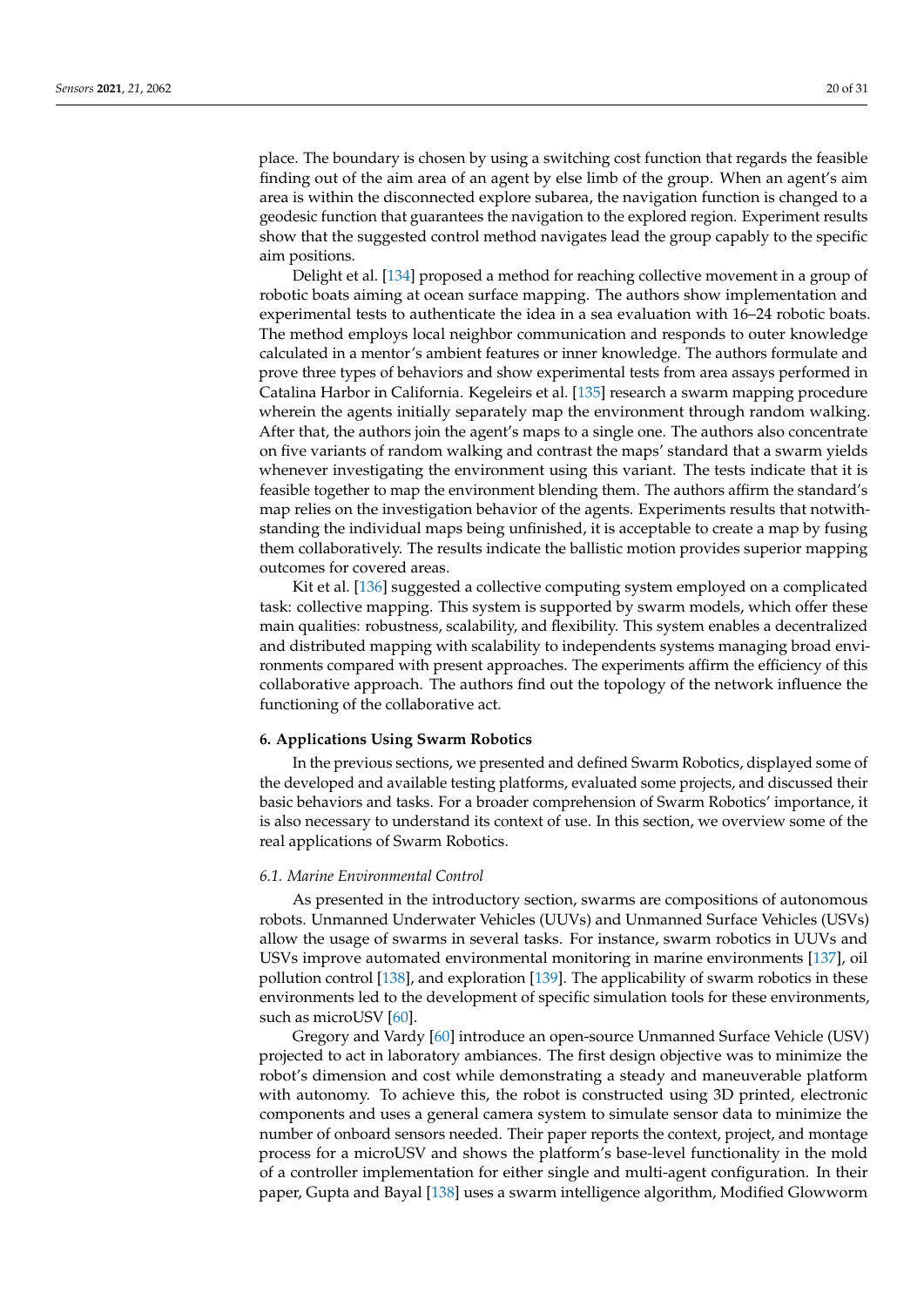place. The boundary is chosen by using a switching cost function that regards the feasible finding out of the aim area of an agent by else limb of the group. When an agent's aim area is within the disconnected explore subarea, the navigation function is changed to a geodesic function that guarantees the navigation to the explored region. Experiment results show that the suggested control method navigates lead the group capably to the specific aim positions.

Delight et al. [\[134\]](#page-28-22) proposed a method for reaching collective movement in a group of robotic boats aiming at ocean surface mapping. The authors show implementation and experimental tests to authenticate the idea in a sea evaluation with 16–24 robotic boats. The method employs local neighbor communication and responds to outer knowledge calculated in a mentor's ambient features or inner knowledge. The authors formulate and prove three types of behaviors and show experimental tests from area assays performed in Catalina Harbor in California. Kegeleirs et al. [\[135\]](#page-28-23) research a swarm mapping procedure wherein the agents initially separately map the environment through random walking. After that, the authors join the agent's maps to a single one. The authors also concentrate on five variants of random walking and contrast the maps' standard that a swarm yields whenever investigating the environment using this variant. The tests indicate that it is feasible together to map the environment blending them. The authors affirm the standard's map relies on the investigation behavior of the agents. Experiments results that notwithstanding the individual maps being unfinished, it is acceptable to create a map by fusing them collaboratively. The results indicate the ballistic motion provides superior mapping outcomes for covered areas.

Kit et al. [\[136\]](#page-28-24) suggested a collective computing system employed on a complicated task: collective mapping. This system is supported by swarm models, which offer these main qualities: robustness, scalability, and flexibility. This system enables a decentralized and distributed mapping with scalability to independents systems managing broad environments compared with present approaches. The experiments affirm the efficiency of this collaborative approach. The authors find out the topology of the network influence the functioning of the collaborative act.

#### <span id="page-19-0"></span>**6. Applications Using Swarm Robotics**

In the previous sections, we presented and defined Swarm Robotics, displayed some of the developed and available testing platforms, evaluated some projects, and discussed their basic behaviors and tasks. For a broader comprehension of Swarm Robotics' importance, it is also necessary to understand its context of use. In this section, we overview some of the real applications of Swarm Robotics.

# *6.1. Marine Environmental Control*

As presented in the introductory section, swarms are compositions of autonomous robots. Unmanned Underwater Vehicles (UUVs) and Unmanned Surface Vehicles (USVs) allow the usage of swarms in several tasks. For instance, swarm robotics in UUVs and USVs improve automated environmental monitoring in marine environments [\[137\]](#page-28-25), oil pollution control [\[138\]](#page-28-26), and exploration [\[139\]](#page-29-0). The applicability of swarm robotics in these environments led to the development of specific simulation tools for these environments, such as microUSV [\[60\]](#page-26-1).

Gregory and Vardy [\[60\]](#page-26-1) introduce an open-source Unmanned Surface Vehicle (USV) projected to act in laboratory ambiances. The first design objective was to minimize the robot's dimension and cost while demonstrating a steady and maneuverable platform with autonomy. To achieve this, the robot is constructed using 3D printed, electronic components and uses a general camera system to simulate sensor data to minimize the number of onboard sensors needed. Their paper reports the context, project, and montage process for a microUSV and shows the platform's base-level functionality in the mold of a controller implementation for either single and multi-agent configuration. In their paper, Gupta and Bayal [\[138\]](#page-28-26) uses a swarm intelligence algorithm, Modified Glowworm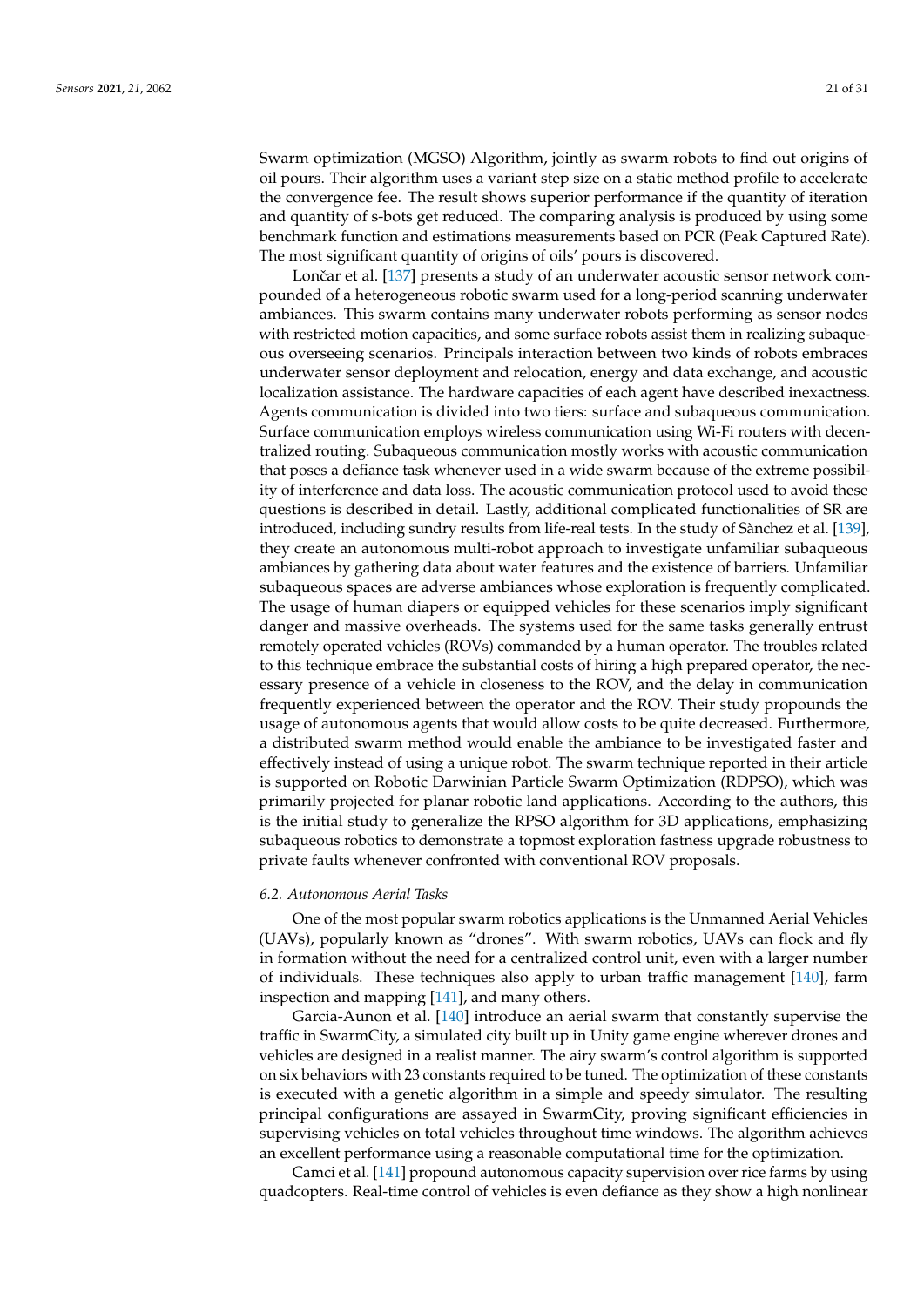Swarm optimization (MGSO) Algorithm, jointly as swarm robots to find out origins of oil pours. Their algorithm uses a variant step size on a static method profile to accelerate the convergence fee. The result shows superior performance if the quantity of iteration and quantity of s-bots get reduced. The comparing analysis is produced by using some benchmark function and estimations measurements based on PCR (Peak Captured Rate). The most significant quantity of origins of oils' pours is discovered.

Lončar et al. [\[137\]](#page-28-25) presents a study of an underwater acoustic sensor network compounded of a heterogeneous robotic swarm used for a long-period scanning underwater ambiances. This swarm contains many underwater robots performing as sensor nodes with restricted motion capacities, and some surface robots assist them in realizing subaqueous overseeing scenarios. Principals interaction between two kinds of robots embraces underwater sensor deployment and relocation, energy and data exchange, and acoustic localization assistance. The hardware capacities of each agent have described inexactness. Agents communication is divided into two tiers: surface and subaqueous communication. Surface communication employs wireless communication using Wi-Fi routers with decentralized routing. Subaqueous communication mostly works with acoustic communication that poses a defiance task whenever used in a wide swarm because of the extreme possibility of interference and data loss. The acoustic communication protocol used to avoid these questions is described in detail. Lastly, additional complicated functionalities of SR are introduced, including sundry results from life-real tests. In the study of Sànchez et al. [\[139\]](#page-29-0), they create an autonomous multi-robot approach to investigate unfamiliar subaqueous ambiances by gathering data about water features and the existence of barriers. Unfamiliar subaqueous spaces are adverse ambiances whose exploration is frequently complicated. The usage of human diapers or equipped vehicles for these scenarios imply significant danger and massive overheads. The systems used for the same tasks generally entrust remotely operated vehicles (ROVs) commanded by a human operator. The troubles related to this technique embrace the substantial costs of hiring a high prepared operator, the necessary presence of a vehicle in closeness to the ROV, and the delay in communication frequently experienced between the operator and the ROV. Their study propounds the usage of autonomous agents that would allow costs to be quite decreased. Furthermore, a distributed swarm method would enable the ambiance to be investigated faster and effectively instead of using a unique robot. The swarm technique reported in their article is supported on Robotic Darwinian Particle Swarm Optimization (RDPSO), which was primarily projected for planar robotic land applications. According to the authors, this is the initial study to generalize the RPSO algorithm for 3D applications, emphasizing subaqueous robotics to demonstrate a topmost exploration fastness upgrade robustness to private faults whenever confronted with conventional ROV proposals.

#### *6.2. Autonomous Aerial Tasks*

One of the most popular swarm robotics applications is the Unmanned Aerial Vehicles (UAVs), popularly known as "drones". With swarm robotics, UAVs can flock and fly in formation without the need for a centralized control unit, even with a larger number of individuals. These techniques also apply to urban traffic management [\[140\]](#page-29-1), farm inspection and mapping [\[141\]](#page-29-2), and many others.

Garcia-Aunon et al. [\[140\]](#page-29-1) introduce an aerial swarm that constantly supervise the traffic in SwarmCity, a simulated city built up in Unity game engine wherever drones and vehicles are designed in a realist manner. The airy swarm's control algorithm is supported on six behaviors with 23 constants required to be tuned. The optimization of these constants is executed with a genetic algorithm in a simple and speedy simulator. The resulting principal configurations are assayed in SwarmCity, proving significant efficiencies in supervising vehicles on total vehicles throughout time windows. The algorithm achieves an excellent performance using a reasonable computational time for the optimization.

Camci et al. [\[141\]](#page-29-2) propound autonomous capacity supervision over rice farms by using quadcopters. Real-time control of vehicles is even defiance as they show a high nonlinear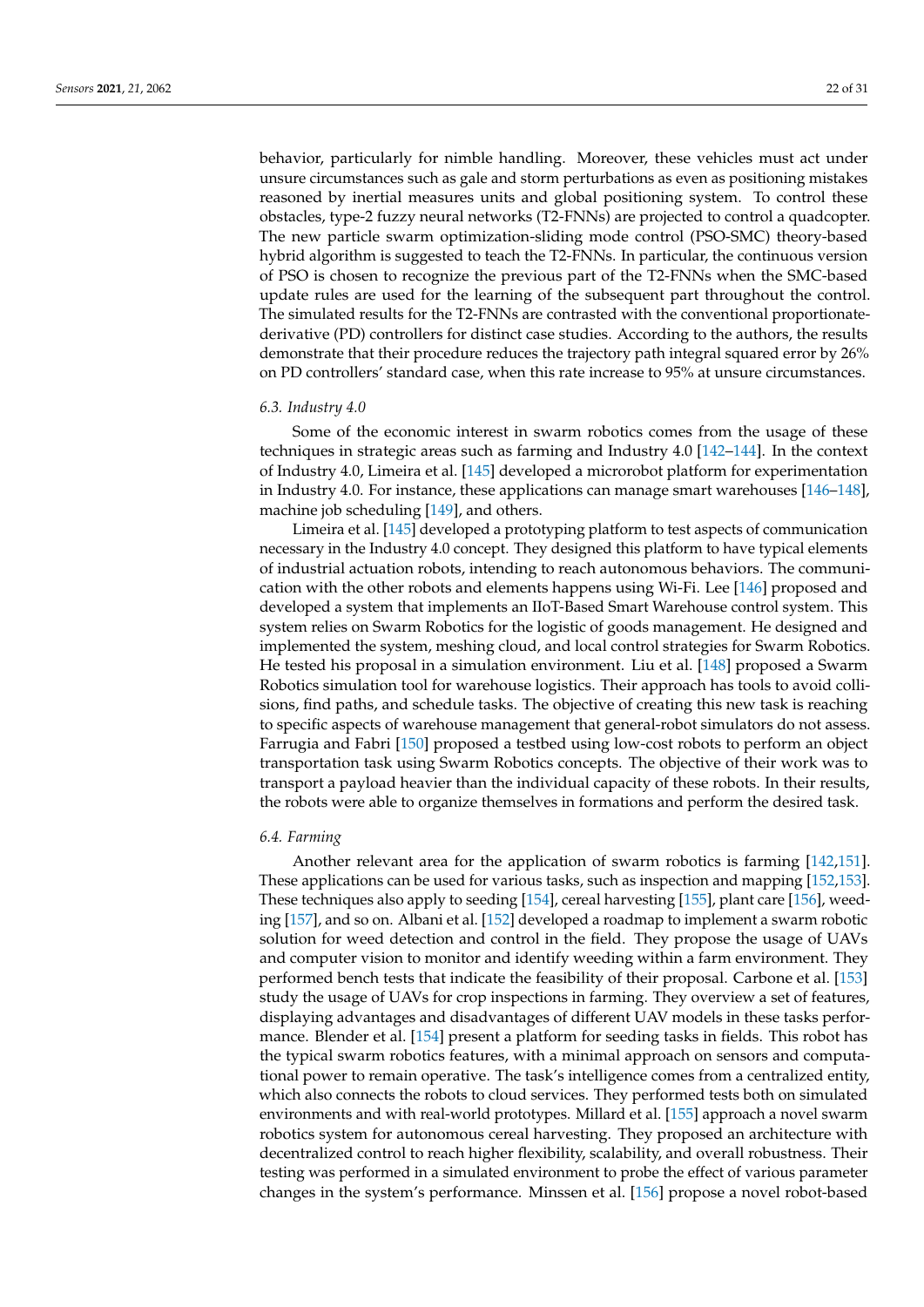behavior, particularly for nimble handling. Moreover, these vehicles must act under unsure circumstances such as gale and storm perturbations as even as positioning mistakes reasoned by inertial measures units and global positioning system. To control these obstacles, type-2 fuzzy neural networks (T2-FNNs) are projected to control a quadcopter. The new particle swarm optimization-sliding mode control (PSO-SMC) theory-based hybrid algorithm is suggested to teach the T2-FNNs. In particular, the continuous version of PSO is chosen to recognize the previous part of the T2-FNNs when the SMC-based update rules are used for the learning of the subsequent part throughout the control. The simulated results for the T2-FNNs are contrasted with the conventional proportionatederivative (PD) controllers for distinct case studies. According to the authors, the results demonstrate that their procedure reduces the trajectory path integral squared error by 26% on PD controllers' standard case, when this rate increase to 95% at unsure circumstances.

#### *6.3. Industry 4.0*

Some of the economic interest in swarm robotics comes from the usage of these techniques in strategic areas such as farming and Industry 4.0 [\[142–](#page-29-3)[144\]](#page-29-4). In the context of Industry 4.0, Limeira et al. [\[145\]](#page-29-5) developed a microrobot platform for experimentation in Industry 4.0. For instance, these applications can manage smart warehouses [\[146–](#page-29-6)[148\]](#page-29-7), machine job scheduling [\[149\]](#page-29-8), and others.

Limeira et al. [\[145\]](#page-29-5) developed a prototyping platform to test aspects of communication necessary in the Industry 4.0 concept. They designed this platform to have typical elements of industrial actuation robots, intending to reach autonomous behaviors. The communication with the other robots and elements happens using Wi-Fi. Lee [\[146\]](#page-29-6) proposed and developed a system that implements an IIoT-Based Smart Warehouse control system. This system relies on Swarm Robotics for the logistic of goods management. He designed and implemented the system, meshing cloud, and local control strategies for Swarm Robotics. He tested his proposal in a simulation environment. Liu et al. [\[148\]](#page-29-7) proposed a Swarm Robotics simulation tool for warehouse logistics. Their approach has tools to avoid collisions, find paths, and schedule tasks. The objective of creating this new task is reaching to specific aspects of warehouse management that general-robot simulators do not assess. Farrugia and Fabri [\[150\]](#page-29-9) proposed a testbed using low-cost robots to perform an object transportation task using Swarm Robotics concepts. The objective of their work was to transport a payload heavier than the individual capacity of these robots. In their results, the robots were able to organize themselves in formations and perform the desired task.

#### *6.4. Farming*

Another relevant area for the application of swarm robotics is farming [\[142,](#page-29-3)[151\]](#page-29-10). These applications can be used for various tasks, such as inspection and mapping [\[152](#page-29-11)[,153\]](#page-29-12). These techniques also apply to seeding [\[154\]](#page-29-13), cereal harvesting [\[155\]](#page-29-14), plant care [\[156\]](#page-29-15), weeding [\[157\]](#page-29-16), and so on. Albani et al. [\[152\]](#page-29-11) developed a roadmap to implement a swarm robotic solution for weed detection and control in the field. They propose the usage of UAVs and computer vision to monitor and identify weeding within a farm environment. They performed bench tests that indicate the feasibility of their proposal. Carbone et al. [\[153\]](#page-29-12) study the usage of UAVs for crop inspections in farming. They overview a set of features, displaying advantages and disadvantages of different UAV models in these tasks performance. Blender et al. [\[154\]](#page-29-13) present a platform for seeding tasks in fields. This robot has the typical swarm robotics features, with a minimal approach on sensors and computational power to remain operative. The task's intelligence comes from a centralized entity, which also connects the robots to cloud services. They performed tests both on simulated environments and with real-world prototypes. Millard et al. [\[155\]](#page-29-14) approach a novel swarm robotics system for autonomous cereal harvesting. They proposed an architecture with decentralized control to reach higher flexibility, scalability, and overall robustness. Their testing was performed in a simulated environment to probe the effect of various parameter changes in the system's performance. Minssen et al. [\[156\]](#page-29-15) propose a novel robot-based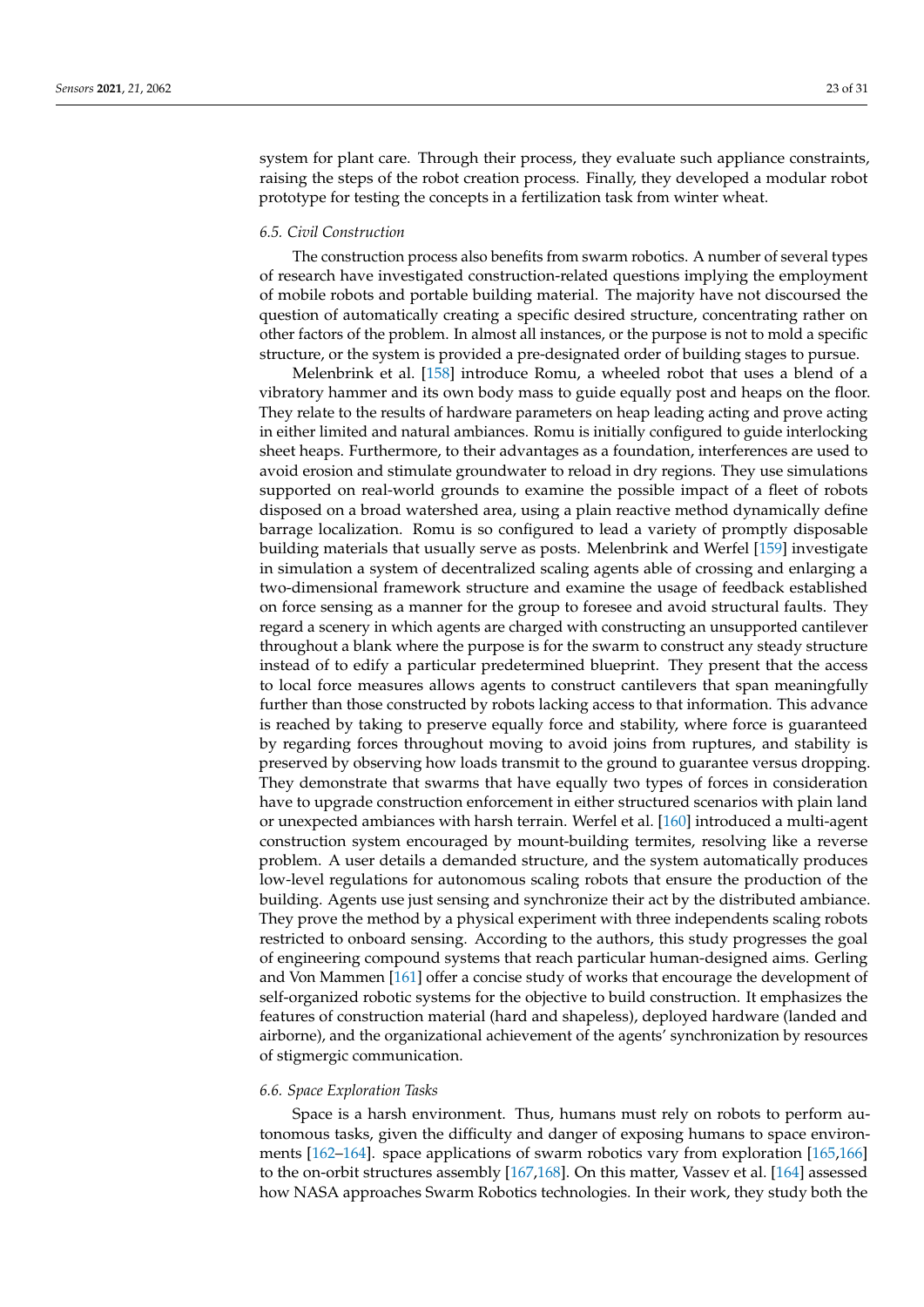system for plant care. Through their process, they evaluate such appliance constraints, raising the steps of the robot creation process. Finally, they developed a modular robot prototype for testing the concepts in a fertilization task from winter wheat.

# *6.5. Civil Construction*

The construction process also benefits from swarm robotics. A number of several types of research have investigated construction-related questions implying the employment of mobile robots and portable building material. The majority have not discoursed the question of automatically creating a specific desired structure, concentrating rather on other factors of the problem. In almost all instances, or the purpose is not to mold a specific structure, or the system is provided a pre-designated order of building stages to pursue.

Melenbrink et al. [\[158\]](#page-29-17) introduce Romu, a wheeled robot that uses a blend of a vibratory hammer and its own body mass to guide equally post and heaps on the floor. They relate to the results of hardware parameters on heap leading acting and prove acting in either limited and natural ambiances. Romu is initially configured to guide interlocking sheet heaps. Furthermore, to their advantages as a foundation, interferences are used to avoid erosion and stimulate groundwater to reload in dry regions. They use simulations supported on real-world grounds to examine the possible impact of a fleet of robots disposed on a broad watershed area, using a plain reactive method dynamically define barrage localization. Romu is so configured to lead a variety of promptly disposable building materials that usually serve as posts. Melenbrink and Werfel [\[159\]](#page-29-18) investigate in simulation a system of decentralized scaling agents able of crossing and enlarging a two-dimensional framework structure and examine the usage of feedback established on force sensing as a manner for the group to foresee and avoid structural faults. They regard a scenery in which agents are charged with constructing an unsupported cantilever throughout a blank where the purpose is for the swarm to construct any steady structure instead of to edify a particular predetermined blueprint. They present that the access to local force measures allows agents to construct cantilevers that span meaningfully further than those constructed by robots lacking access to that information. This advance is reached by taking to preserve equally force and stability, where force is guaranteed by regarding forces throughout moving to avoid joins from ruptures, and stability is preserved by observing how loads transmit to the ground to guarantee versus dropping. They demonstrate that swarms that have equally two types of forces in consideration have to upgrade construction enforcement in either structured scenarios with plain land or unexpected ambiances with harsh terrain. Werfel et al. [\[160\]](#page-29-19) introduced a multi-agent construction system encouraged by mount-building termites, resolving like a reverse problem. A user details a demanded structure, and the system automatically produces low-level regulations for autonomous scaling robots that ensure the production of the building. Agents use just sensing and synchronize their act by the distributed ambiance. They prove the method by a physical experiment with three independents scaling robots restricted to onboard sensing. According to the authors, this study progresses the goal of engineering compound systems that reach particular human-designed aims. Gerling and Von Mammen [\[161\]](#page-29-20) offer a concise study of works that encourage the development of self-organized robotic systems for the objective to build construction. It emphasizes the features of construction material (hard and shapeless), deployed hardware (landed and airborne), and the organizational achievement of the agents' synchronization by resources of stigmergic communication.

#### *6.6. Space Exploration Tasks*

Space is a harsh environment. Thus, humans must rely on robots to perform autonomous tasks, given the difficulty and danger of exposing humans to space environments [\[162](#page-29-21)[–164\]](#page-29-22). space applications of swarm robotics vary from exploration [\[165](#page-30-0)[,166\]](#page-30-1) to the on-orbit structures assembly [\[167](#page-30-2)[,168\]](#page-30-3). On this matter, Vassev et al. [\[164\]](#page-29-22) assessed how NASA approaches Swarm Robotics technologies. In their work, they study both the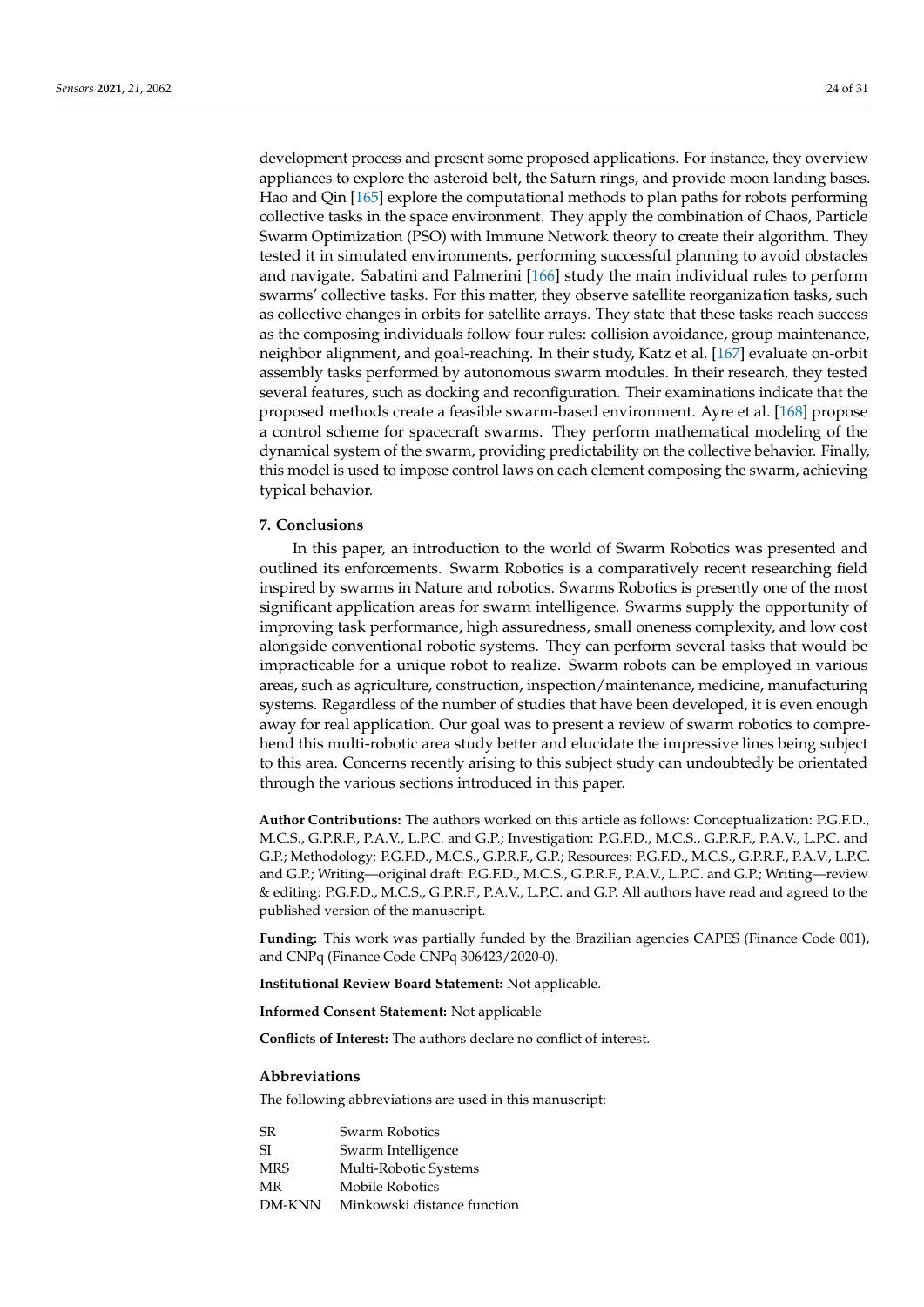development process and present some proposed applications. For instance, they overview appliances to explore the asteroid belt, the Saturn rings, and provide moon landing bases. Hao and Qin [\[165\]](#page-30-0) explore the computational methods to plan paths for robots performing collective tasks in the space environment. They apply the combination of Chaos, Particle Swarm Optimization (PSO) with Immune Network theory to create their algorithm. They tested it in simulated environments, performing successful planning to avoid obstacles and navigate. Sabatini and Palmerini [\[166\]](#page-30-1) study the main individual rules to perform swarms' collective tasks. For this matter, they observe satellite reorganization tasks, such as collective changes in orbits for satellite arrays. They state that these tasks reach success as the composing individuals follow four rules: collision avoidance, group maintenance, neighbor alignment, and goal-reaching. In their study, Katz et al. [\[167\]](#page-30-2) evaluate on-orbit assembly tasks performed by autonomous swarm modules. In their research, they tested several features, such as docking and reconfiguration. Their examinations indicate that the proposed methods create a feasible swarm-based environment. Ayre et al. [\[168\]](#page-30-3) propose a control scheme for spacecraft swarms. They perform mathematical modeling of the dynamical system of the swarm, providing predictability on the collective behavior. Finally, this model is used to impose control laws on each element composing the swarm, achieving typical behavior.

# <span id="page-23-0"></span>**7. Conclusions**

In this paper, an introduction to the world of Swarm Robotics was presented and outlined its enforcements. Swarm Robotics is a comparatively recent researching field inspired by swarms in Nature and robotics. Swarms Robotics is presently one of the most significant application areas for swarm intelligence. Swarms supply the opportunity of improving task performance, high assuredness, small oneness complexity, and low cost alongside conventional robotic systems. They can perform several tasks that would be impracticable for a unique robot to realize. Swarm robots can be employed in various areas, such as agriculture, construction, inspection/maintenance, medicine, manufacturing systems. Regardless of the number of studies that have been developed, it is even enough away for real application. Our goal was to present a review of swarm robotics to comprehend this multi-robotic area study better and elucidate the impressive lines being subject to this area. Concerns recently arising to this subject study can undoubtedly be orientated through the various sections introduced in this paper.

**Author Contributions:** The authors worked on this article as follows: Conceptualization: P.G.F.D., M.C.S., G.P.R.F., P.A.V., L.P.C. and G.P.; Investigation: P.G.F.D., M.C.S., G.P.R.F., P.A.V., L.P.C. and G.P.; Methodology: P.G.F.D., M.C.S., G.P.R.F., G.P.; Resources: P.G.F.D., M.C.S., G.P.R.F., P.A.V., L.P.C. and G.P.; Writing—original draft: P.G.F.D., M.C.S., G.P.R.F., P.A.V., L.P.C. and G.P.; Writing—review & editing: P.G.F.D., M.C.S., G.P.R.F., P.A.V., L.P.C. and G.P. All authors have read and agreed to the published version of the manuscript.

**Funding:** This work was partially funded by the Brazilian agencies CAPES (Finance Code 001), and CNPq (Finance Code CNPq 306423/2020-0).

**Institutional Review Board Statement:** Not applicable.

**Informed Consent Statement:** Not applicable

**Conflicts of Interest:** The authors declare no conflict of interest.

#### **Abbreviations**

The following abbreviations are used in this manuscript:

| SR.        | Swarm Robotics              |
|------------|-----------------------------|
| -SI        | Swarm Intelligence          |
| <b>MRS</b> | Multi-Robotic Systems       |
| MR         | Mobile Robotics             |
| DM-KNN     | Minkowski distance function |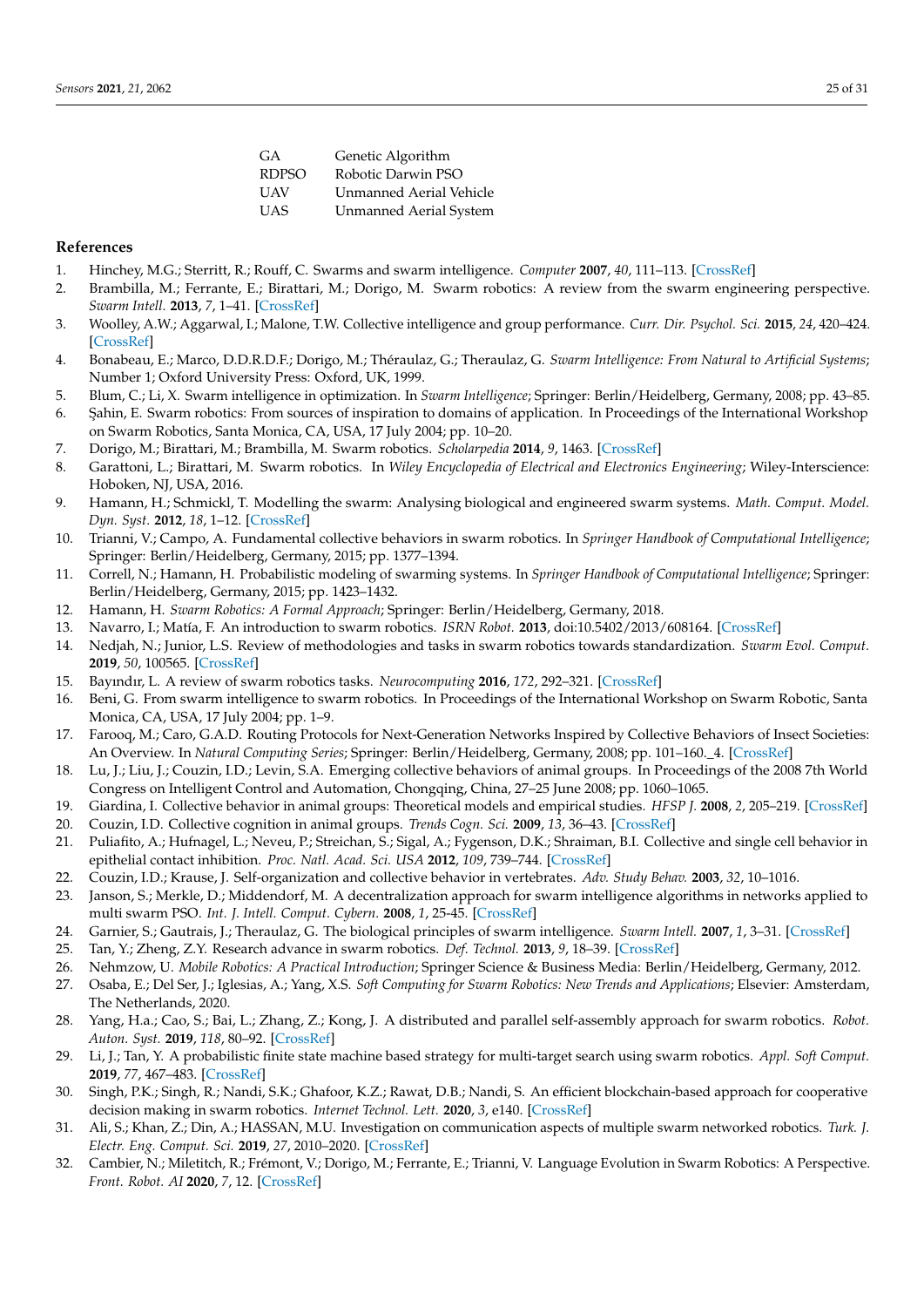| GA           | Genetic Algorithm              |
|--------------|--------------------------------|
| <b>RDPSO</b> | Robotic Darwin PSO             |
| <b>UAV</b>   | <b>Unmanned Aerial Vehicle</b> |
| <b>UAS</b>   | <b>Unmanned Aerial System</b>  |
|              |                                |

#### **References**

- <span id="page-24-0"></span>1. Hinchey, M.G.; Sterritt, R.; Rouff, C. Swarms and swarm intelligence. *Computer* **2007**, *40*, 111–113. [\[CrossRef\]](http://doi.org/10.1109/MC.2007.144)
- <span id="page-24-1"></span>2. Brambilla, M.; Ferrante, E.; Birattari, M.; Dorigo, M. Swarm robotics: A review from the swarm engineering perspective. *Swarm Intell.* **2013**, *7*, 1–41. [\[CrossRef\]](http://dx.doi.org/10.1007/s11721-012-0075-2)
- <span id="page-24-2"></span>3. Woolley, A.W.; Aggarwal, I.; Malone, T.W. Collective intelligence and group performance. *Curr. Dir. Psychol. Sci.* **2015**, *24*, 420–424. [\[CrossRef\]](http://dx.doi.org/10.1177/0963721415599543)
- <span id="page-24-3"></span>4. Bonabeau, E.; Marco, D.D.R.D.F.; Dorigo, M.; Théraulaz, G.; Theraulaz, G. *Swarm Intelligence: From Natural to Artificial Systems*; Number 1; Oxford University Press: Oxford, UK, 1999.
- <span id="page-24-4"></span>5. Blum, C.; Li, X. Swarm intelligence in optimization. In *Swarm Intelligence*; Springer: Berlin/Heidelberg, Germany, 2008; pp. 43–85.
- <span id="page-24-5"></span>6. ¸Sahin, E. Swarm robotics: From sources of inspiration to domains of application. In Proceedings of the International Workshop on Swarm Robotics, Santa Monica, CA, USA, 17 July 2004; pp. 10–20.
- <span id="page-24-6"></span>7. Dorigo, M.; Birattari, M.; Brambilla, M. Swarm robotics. *Scholarpedia* **2014**, *9*, 1463. [\[CrossRef\]](http://dx.doi.org/10.4249/scholarpedia.1463)
- <span id="page-24-8"></span>8. Garattoni, L.; Birattari, M. Swarm robotics. In *Wiley Encyclopedia of Electrical and Electronics Engineering*; Wiley-Interscience: Hoboken, NJ, USA, 2016.
- <span id="page-24-10"></span>9. Hamann, H.; Schmickl, T. Modelling the swarm: Analysing biological and engineered swarm systems. *Math. Comput. Model. Dyn. Syst.* **2012**, *18*, 1–12. [\[CrossRef\]](http://dx.doi.org/10.1080/13873954.2011.601426)
- <span id="page-24-11"></span>10. Trianni, V.; Campo, A. Fundamental collective behaviors in swarm robotics. In *Springer Handbook of Computational Intelligence*; Springer: Berlin/Heidelberg, Germany, 2015; pp. 1377–1394.
- <span id="page-24-7"></span>11. Correll, N.; Hamann, H. Probabilistic modeling of swarming systems. In *Springer Handbook of Computational Intelligence*; Springer: Berlin/Heidelberg, Germany, 2015; pp. 1423–1432.
- <span id="page-24-9"></span>12. Hamann, H. *Swarm Robotics: A Formal Approach*; Springer: Berlin/Heidelberg, Germany, 2018.
- <span id="page-24-12"></span>13. Navarro, I.; Matía, F. An introduction to swarm robotics. *ISRN Robot.* **2013**, doi:10.5402/2013/608164. [\[CrossRef\]](http://dx.doi.org/10.5402/2013/608164)
- <span id="page-24-13"></span>14. Nedjah, N.; Junior, L.S. Review of methodologies and tasks in swarm robotics towards standardization. *Swarm Evol. Comput.* **2019**, *50*, 100565. [\[CrossRef\]](http://dx.doi.org/10.1016/j.swevo.2019.100565)
- <span id="page-24-14"></span>15. Bayındır, L. A review of swarm robotics tasks. *Neurocomputing* **2016**, *172*, 292–321. [\[CrossRef\]](http://dx.doi.org/10.1016/j.neucom.2015.05.116)
- <span id="page-24-15"></span>16. Beni, G. From swarm intelligence to swarm robotics. In Proceedings of the International Workshop on Swarm Robotic, Santa Monica, CA, USA, 17 July 2004; pp. 1–9.
- <span id="page-24-16"></span>17. Farooq, M.; Caro, G.A.D. Routing Protocols for Next-Generation Networks Inspired by Collective Behaviors of Insect Societies: An Overview. In *Natural Computing Series*; Springer: Berlin/Heidelberg, Germany, 2008; pp. 101–160.\_4. [\[CrossRef\]](http://dx.doi.org/10.1007/978-3-540-74089-6_4)
- 18. Lu, J.; Liu, J.; Couzin, I.D.; Levin, S.A. Emerging collective behaviors of animal groups. In Proceedings of the 2008 7th World Congress on Intelligent Control and Automation, Chongqing, China, 27–25 June 2008; pp. 1060–1065.
- 19. Giardina, I. Collective behavior in animal groups: Theoretical models and empirical studies. *HFSP J.* **2008**, *2*, 205–219. [\[CrossRef\]](http://dx.doi.org/10.2976/1.2961038)
- <span id="page-24-17"></span>20. Couzin, I.D. Collective cognition in animal groups. *Trends Cogn. Sci.* **2009**, *13*, 36–43. [\[CrossRef\]](http://dx.doi.org/10.1016/j.tics.2008.10.002)
- <span id="page-24-18"></span>21. Puliafito, A.; Hufnagel, L.; Neveu, P.; Streichan, S.; Sigal, A.; Fygenson, D.K.; Shraiman, B.I. Collective and single cell behavior in epithelial contact inhibition. *Proc. Natl. Acad. Sci. USA* **2012**, *109*, 739–744. [\[CrossRef\]](http://dx.doi.org/10.1073/pnas.1007809109)
- <span id="page-24-19"></span>22. Couzin, I.D.; Krause, J. Self-organization and collective behavior in vertebrates. *Adv. Study Behav.* **2003**, *32*, 10–1016.
- <span id="page-24-20"></span>23. Janson, S.; Merkle, D.; Middendorf, M. A decentralization approach for swarm intelligence algorithms in networks applied to multi swarm PSO. *Int. J. Intell. Comput. Cybern.* **2008**, *1*, 25-45. [\[CrossRef\]](http://dx.doi.org/10.1108/17563780810857112)
- <span id="page-24-21"></span>24. Garnier, S.; Gautrais, J.; Theraulaz, G. The biological principles of swarm intelligence. *Swarm Intell.* **2007**, *1*, 3–31. [\[CrossRef\]](http://dx.doi.org/10.1007/s11721-007-0004-y)
- <span id="page-24-22"></span>25. Tan, Y.; Zheng, Z.Y. Research advance in swarm robotics. *Def. Technol.* **2013**, *9*, 18–39. [\[CrossRef\]](http://dx.doi.org/10.1016/j.dt.2013.03.001)
- <span id="page-24-23"></span>26. Nehmzow, U. *Mobile Robotics: A Practical Introduction*; Springer Science & Business Media: Berlin/Heidelberg, Germany, 2012.
- <span id="page-24-24"></span>27. Osaba, E.; Del Ser, J.; Iglesias, A.; Yang, X.S. *Soft Computing for Swarm Robotics: New Trends and Applications*; Elsevier: Amsterdam, The Netherlands, 2020.
- <span id="page-24-25"></span>28. Yang, H.a.; Cao, S.; Bai, L.; Zhang, Z.; Kong, J. A distributed and parallel self-assembly approach for swarm robotics. *Robot. Auton. Syst.* **2019**, *118*, 80–92. [\[CrossRef\]](http://dx.doi.org/10.1016/j.robot.2019.04.011)
- <span id="page-24-26"></span>29. Li, J.; Tan, Y. A probabilistic finite state machine based strategy for multi-target search using swarm robotics. *Appl. Soft Comput.* **2019**, *77*, 467–483. [\[CrossRef\]](http://dx.doi.org/10.1016/j.asoc.2019.01.023)
- <span id="page-24-27"></span>30. Singh, P.K.; Singh, R.; Nandi, S.K.; Ghafoor, K.Z.; Rawat, D.B.; Nandi, S. An efficient blockchain-based approach for cooperative decision making in swarm robotics. *Internet Technol. Lett.* **2020**, *3*, e140. [\[CrossRef\]](http://dx.doi.org/10.1002/itl2.140)
- <span id="page-24-28"></span>31. Ali, S.; Khan, Z.; Din, A.; HASSAN, M.U. Investigation on communication aspects of multiple swarm networked robotics. *Turk. J. Electr. Eng. Comput. Sci.* **2019**, *27*, 2010–2020. [\[CrossRef\]](http://dx.doi.org/10.3906/elk-1710-260)
- <span id="page-24-29"></span>32. Cambier, N.; Miletitch, R.; Frémont, V.; Dorigo, M.; Ferrante, E.; Trianni, V. Language Evolution in Swarm Robotics: A Perspective. *Front. Robot. AI* **2020**, *7*, 12. [\[CrossRef\]](http://dx.doi.org/10.3389/frobt.2020.00012)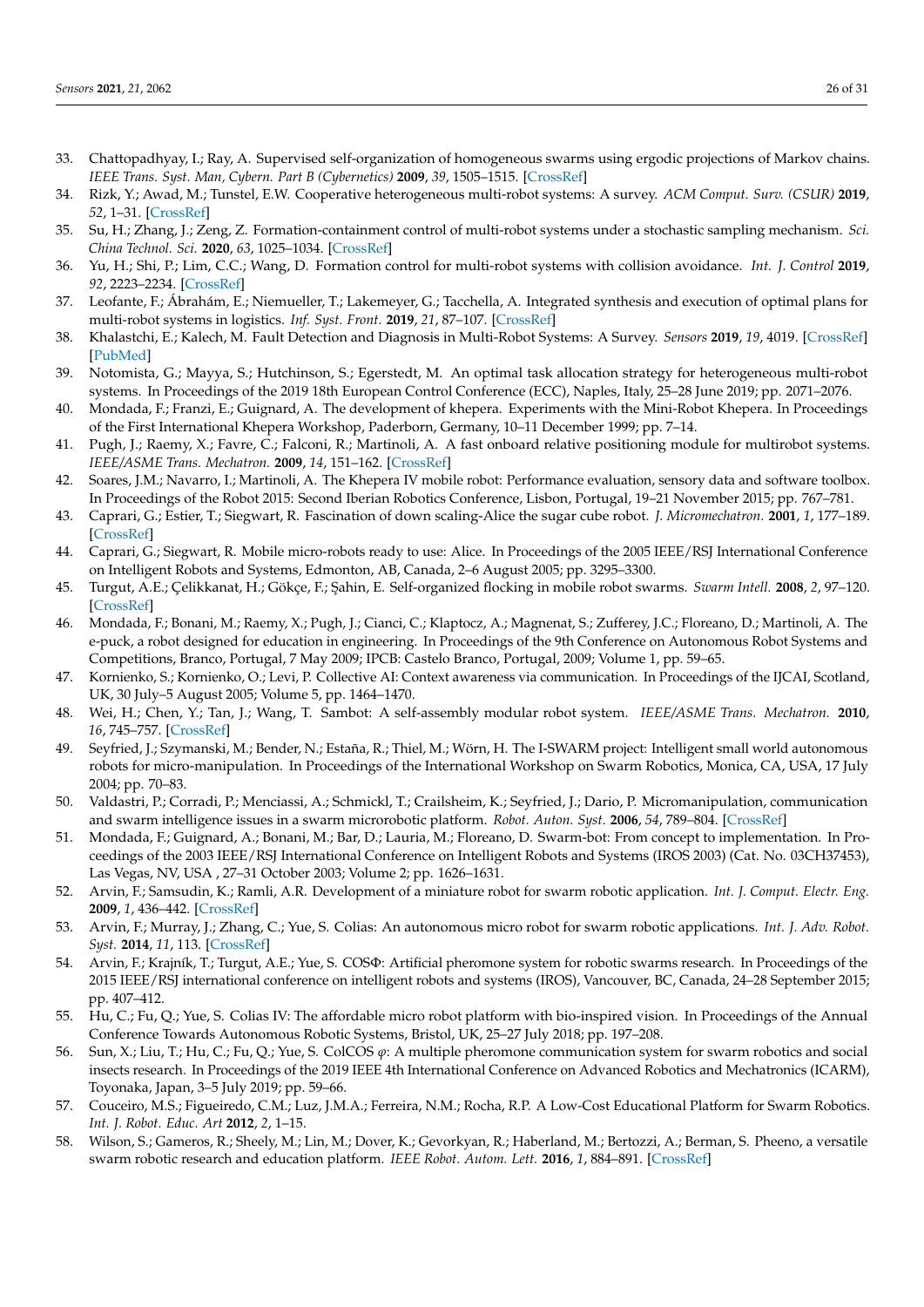- <span id="page-25-0"></span>33. Chattopadhyay, I.; Ray, A. Supervised self-organization of homogeneous swarms using ergodic projections of Markov chains. *IEEE Trans. Syst. Man, Cybern. Part B (Cybernetics)* **2009**, *39*, 1505–1515. [\[CrossRef\]](http://dx.doi.org/10.1109/TSMCB.2009.2020173)
- <span id="page-25-1"></span>34. Rizk, Y.; Awad, M.; Tunstel, E.W. Cooperative heterogeneous multi-robot systems: A survey. *ACM Comput. Surv. (CSUR)* **2019**, *52*, 1–31. [\[CrossRef\]](http://dx.doi.org/10.1145/3303848)
- <span id="page-25-2"></span>35. Su, H.; Zhang, J.; Zeng, Z. Formation-containment control of multi-robot systems under a stochastic sampling mechanism. *Sci. China Technol. Sci.* **2020**, *63*, 1025–1034. [\[CrossRef\]](http://dx.doi.org/10.1007/s11431-019-1451-6)
- <span id="page-25-3"></span>36. Yu, H.; Shi, P.; Lim, C.C.; Wang, D. Formation control for multi-robot systems with collision avoidance. *Int. J. Control* **2019**, *92*, 2223–2234. [\[CrossRef\]](http://dx.doi.org/10.1080/00207179.2018.1435906)
- <span id="page-25-4"></span>37. Leofante, F.; Ábrahám, E.; Niemueller, T.; Lakemeyer, G.; Tacchella, A. Integrated synthesis and execution of optimal plans for multi-robot systems in logistics. *Inf. Syst. Front.* **2019**, *21*, 87–107. [\[CrossRef\]](http://dx.doi.org/10.1007/s10796-018-9858-3)
- <span id="page-25-5"></span>38. Khalastchi, E.; Kalech, M. Fault Detection and Diagnosis in Multi-Robot Systems: A Survey. *Sensors* **2019**, *19*, 4019. [\[CrossRef\]](http://dx.doi.org/10.3390/s19184019) [\[PubMed\]](http://www.ncbi.nlm.nih.gov/pubmed/31540376)
- <span id="page-25-6"></span>39. Notomista, G.; Mayya, S.; Hutchinson, S.; Egerstedt, M. An optimal task allocation strategy for heterogeneous multi-robot systems. In Proceedings of the 2019 18th European Control Conference (ECC), Naples, Italy, 25–28 June 2019; pp. 2071–2076.
- <span id="page-25-7"></span>40. Mondada, F.; Franzi, E.; Guignard, A. The development of khepera. Experiments with the Mini-Robot Khepera. In Proceedings of the First International Khepera Workshop, Paderborn, Germany, 10–11 December 1999; pp. 7–14.
- <span id="page-25-8"></span>41. Pugh, J.; Raemy, X.; Favre, C.; Falconi, R.; Martinoli, A. A fast onboard relative positioning module for multirobot systems. *IEEE/ASME Trans. Mechatron.* **2009**, *14*, 151–162. [\[CrossRef\]](http://dx.doi.org/10.1109/TMECH.2008.2011810)
- <span id="page-25-9"></span>42. Soares, J.M.; Navarro, I.; Martinoli, A. The Khepera IV mobile robot: Performance evaluation, sensory data and software toolbox. In Proceedings of the Robot 2015: Second Iberian Robotics Conference, Lisbon, Portugal, 19–21 November 2015; pp. 767–781.
- <span id="page-25-10"></span>43. Caprari, G.; Estier, T.; Siegwart, R. Fascination of down scaling-Alice the sugar cube robot. *J. Micromechatron.* **2001**, *1*, 177–189. [\[CrossRef\]](http://dx.doi.org/10.1163/156856301760132097)
- <span id="page-25-11"></span>44. Caprari, G.; Siegwart, R. Mobile micro-robots ready to use: Alice. In Proceedings of the 2005 IEEE/RSJ International Conference on Intelligent Robots and Systems, Edmonton, AB, Canada, 2–6 August 2005; pp. 3295–3300.
- <span id="page-25-12"></span>45. Turgut, A.E.; Çelikkanat, H.; Gökçe, F.; ¸Sahin, E. Self-organized flocking in mobile robot swarms. *Swarm Intell.* **2008**, *2*, 97–120. [\[CrossRef\]](http://dx.doi.org/10.1007/s11721-008-0016-2)
- <span id="page-25-13"></span>46. Mondada, F.; Bonani, M.; Raemy, X.; Pugh, J.; Cianci, C.; Klaptocz, A.; Magnenat, S.; Zufferey, J.C.; Floreano, D.; Martinoli, A. The e-puck, a robot designed for education in engineering. In Proceedings of the 9th Conference on Autonomous Robot Systems and Competitions, Branco, Portugal, 7 May 2009; IPCB: Castelo Branco, Portugal, 2009; Volume 1, pp. 59–65.
- <span id="page-25-14"></span>47. Kornienko, S.; Kornienko, O.; Levi, P. Collective AI: Context awareness via communication. In Proceedings of the IJCAI, Scotland, UK, 30 July–5 August 2005; Volume 5, pp. 1464–1470.
- <span id="page-25-15"></span>48. Wei, H.; Chen, Y.; Tan, J.; Wang, T. Sambot: A self-assembly modular robot system. *IEEE/ASME Trans. Mechatron.* **2010**, *16*, 745–757. [\[CrossRef\]](http://dx.doi.org/10.1109/TMECH.2010.2085009)
- <span id="page-25-16"></span>49. Seyfried, J.; Szymanski, M.; Bender, N.; Estaña, R.; Thiel, M.; Wörn, H. The I-SWARM project: Intelligent small world autonomous robots for micro-manipulation. In Proceedings of the International Workshop on Swarm Robotics, Monica, CA, USA, 17 July 2004; pp. 70–83.
- <span id="page-25-17"></span>50. Valdastri, P.; Corradi, P.; Menciassi, A.; Schmickl, T.; Crailsheim, K.; Seyfried, J.; Dario, P. Micromanipulation, communication and swarm intelligence issues in a swarm microrobotic platform. *Robot. Auton. Syst.* **2006**, *54*, 789–804. [\[CrossRef\]](http://dx.doi.org/10.1016/j.robot.2006.05.001)
- <span id="page-25-18"></span>51. Mondada, F.; Guignard, A.; Bonani, M.; Bar, D.; Lauria, M.; Floreano, D. Swarm-bot: From concept to implementation. In Proceedings of the 2003 IEEE/RSJ International Conference on Intelligent Robots and Systems (IROS 2003) (Cat. No. 03CH37453), Las Vegas, NV, USA , 27–31 October 2003; Volume 2; pp. 1626–1631.
- <span id="page-25-19"></span>52. Arvin, F.; Samsudin, K.; Ramli, A.R. Development of a miniature robot for swarm robotic application. *Int. J. Comput. Electr. Eng.* **2009**, *1*, 436–442. [\[CrossRef\]](http://dx.doi.org/10.7763/IJCEE.2009.V1.67)
- <span id="page-25-20"></span>53. Arvin, F.; Murray, J.; Zhang, C.; Yue, S. Colias: An autonomous micro robot for swarm robotic applications. *Int. J. Adv. Robot. Syst.* **2014**, *11*, 113. [\[CrossRef\]](http://dx.doi.org/10.5772/58730)
- <span id="page-25-21"></span>54. Arvin, F.; Krajník, T.; Turgut, A.E.; Yue, S. COSΦ: Artificial pheromone system for robotic swarms research. In Proceedings of the 2015 IEEE/RSJ international conference on intelligent robots and systems (IROS), Vancouver, BC, Canada, 24–28 September 2015; pp. 407–412.
- <span id="page-25-22"></span>55. Hu, C.; Fu, Q.; Yue, S. Colias IV: The affordable micro robot platform with bio-inspired vision. In Proceedings of the Annual Conference Towards Autonomous Robotic Systems, Bristol, UK, 25–27 July 2018; pp. 197–208.
- <span id="page-25-23"></span>56. Sun, X.; Liu, T.; Hu, C.; Fu, Q.; Yue, S. ColCOS *ϕ*: A multiple pheromone communication system for swarm robotics and social insects research. In Proceedings of the 2019 IEEE 4th International Conference on Advanced Robotics and Mechatronics (ICARM), Toyonaka, Japan, 3–5 July 2019; pp. 59–66.
- <span id="page-25-24"></span>57. Couceiro, M.S.; Figueiredo, C.M.; Luz, J.M.A.; Ferreira, N.M.; Rocha, R.P. A Low-Cost Educational Platform for Swarm Robotics. *Int. J. Robot. Educ. Art* **2012**, *2*, 1–15.
- <span id="page-25-25"></span>58. Wilson, S.; Gameros, R.; Sheely, M.; Lin, M.; Dover, K.; Gevorkyan, R.; Haberland, M.; Bertozzi, A.; Berman, S. Pheeno, a versatile swarm robotic research and education platform. *IEEE Robot. Autom. Lett.* **2016**, *1*, 884–891. [\[CrossRef\]](http://dx.doi.org/10.1109/LRA.2016.2524987)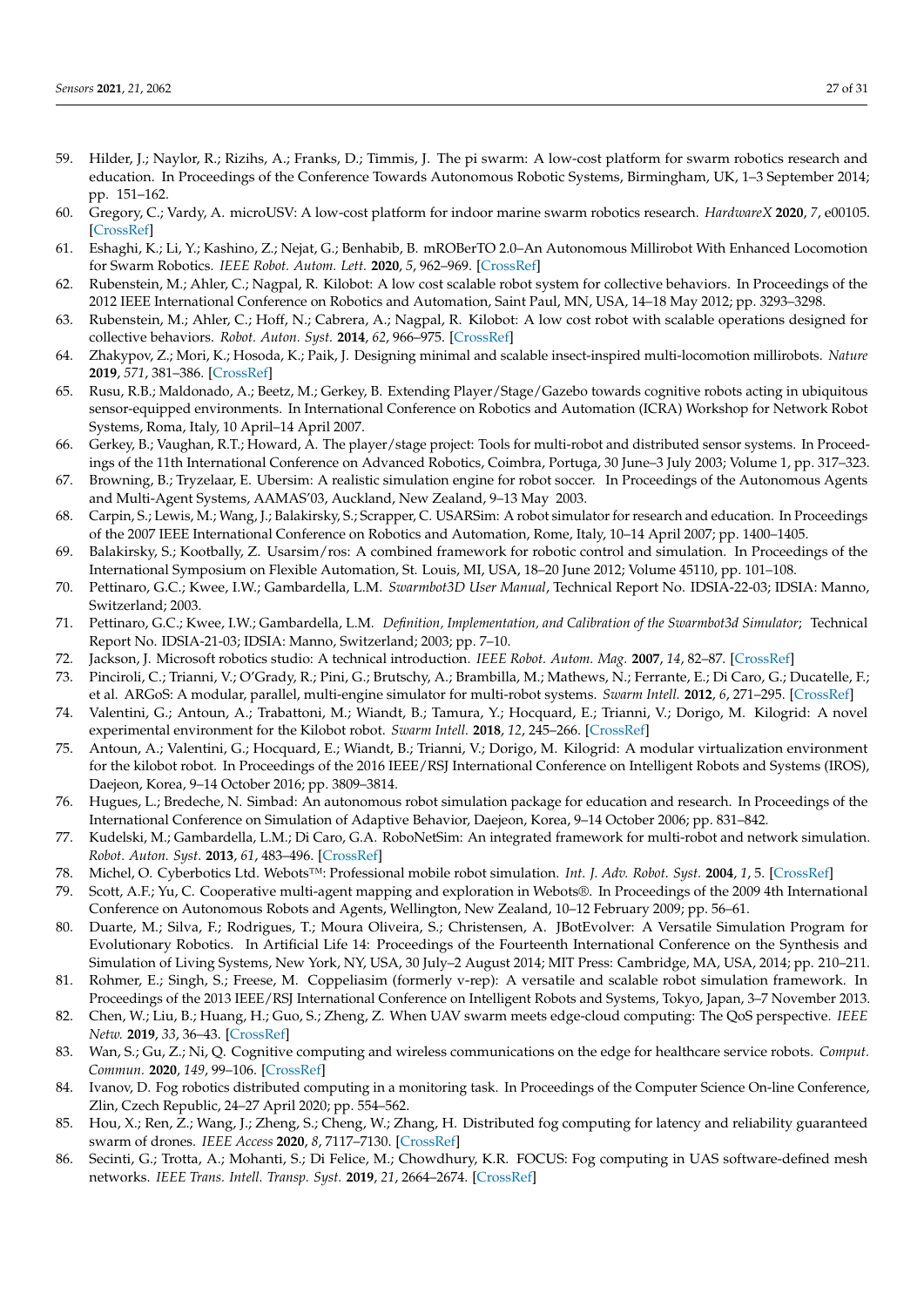- <span id="page-26-0"></span>59. Hilder, J.; Naylor, R.; Rizihs, A.; Franks, D.; Timmis, J. The pi swarm: A low-cost platform for swarm robotics research and education. In Proceedings of the Conference Towards Autonomous Robotic Systems, Birmingham, UK, 1–3 September 2014; pp. 151–162.
- <span id="page-26-1"></span>60. Gregory, C.; Vardy, A. microUSV: A low-cost platform for indoor marine swarm robotics research. *HardwareX* **2020**, *7*, e00105. [\[CrossRef\]](http://dx.doi.org/10.1016/j.ohx.2020.e00105)
- <span id="page-26-2"></span>61. Eshaghi, K.; Li, Y.; Kashino, Z.; Nejat, G.; Benhabib, B. mROBerTO 2.0–An Autonomous Millirobot With Enhanced Locomotion for Swarm Robotics. *IEEE Robot. Autom. Lett.* **2020**, *5*, 962–969. [\[CrossRef\]](http://dx.doi.org/10.1109/LRA.2020.2966411)
- <span id="page-26-3"></span>62. Rubenstein, M.; Ahler, C.; Nagpal, R. Kilobot: A low cost scalable robot system for collective behaviors. In Proceedings of the 2012 IEEE International Conference on Robotics and Automation, Saint Paul, MN, USA, 14–18 May 2012; pp. 3293–3298.
- <span id="page-26-4"></span>63. Rubenstein, M.; Ahler, C.; Hoff, N.; Cabrera, A.; Nagpal, R. Kilobot: A low cost robot with scalable operations designed for collective behaviors. *Robot. Auton. Syst.* **2014**, *62*, 966–975. [\[CrossRef\]](http://dx.doi.org/10.1016/j.robot.2013.08.006)
- <span id="page-26-5"></span>64. Zhakypov, Z.; Mori, K.; Hosoda, K.; Paik, J. Designing minimal and scalable insect-inspired multi-locomotion millirobots. *Nature* **2019**, *571*, 381–386. [\[CrossRef\]](http://dx.doi.org/10.1038/s41586-019-1388-8)
- <span id="page-26-6"></span>65. Rusu, R.B.; Maldonado, A.; Beetz, M.; Gerkey, B. Extending Player/Stage/Gazebo towards cognitive robots acting in ubiquitous sensor-equipped environments. In International Conference on Robotics and Automation (ICRA) Workshop for Network Robot Systems, Roma, Italy, 10 April–14 April 2007.
- <span id="page-26-7"></span>66. Gerkey, B.; Vaughan, R.T.; Howard, A. The player/stage project: Tools for multi-robot and distributed sensor systems. In Proceedings of the 11th International Conference on Advanced Robotics, Coimbra, Portuga, 30 June–3 July 2003; Volume 1, pp. 317–323.
- <span id="page-26-8"></span>67. Browning, B.; Tryzelaar, E. Ubersim: A realistic simulation engine for robot soccer. In Proceedings of the Autonomous Agents and Multi-Agent Systems, AAMAS'03, Auckland, New Zealand, 9–13 May 2003.
- <span id="page-26-9"></span>68. Carpin, S.; Lewis, M.; Wang, J.; Balakirsky, S.; Scrapper, C. USARSim: A robot simulator for research and education. In Proceedings of the 2007 IEEE International Conference on Robotics and Automation, Rome, Italy, 10–14 April 2007; pp. 1400–1405.
- <span id="page-26-10"></span>69. Balakirsky, S.; Kootbally, Z. Usarsim/ros: A combined framework for robotic control and simulation. In Proceedings of the International Symposium on Flexible Automation, St. Louis, MI, USA, 18–20 June 2012; Volume 45110, pp. 101–108.
- <span id="page-26-11"></span>70. Pettinaro, G.C.; Kwee, I.W.; Gambardella, L.M. *Swarmbot3D User Manual*, Technical Report No. IDSIA-22-03; IDSIA: Manno, Switzerland; 2003.
- <span id="page-26-12"></span>71. Pettinaro, G.C.; Kwee, I.W.; Gambardella, L.M. *Definition, Implementation, and Calibration of the Swarmbot3d Simulator*; Technical Report No. IDSIA-21-03; IDSIA: Manno, Switzerland; 2003; pp. 7–10.
- <span id="page-26-13"></span>72. Jackson, J. Microsoft robotics studio: A technical introduction. *IEEE Robot. Autom. Mag.* **2007**, *14*, 82–87. [\[CrossRef\]](http://dx.doi.org/10.1109/M-RA.2007.905745)
- <span id="page-26-14"></span>73. Pinciroli, C.; Trianni, V.; O'Grady, R.; Pini, G.; Brutschy, A.; Brambilla, M.; Mathews, N.; Ferrante, E.; Di Caro, G.; Ducatelle, F.; et al. ARGoS: A modular, parallel, multi-engine simulator for multi-robot systems. *Swarm Intell.* **2012**, *6*, 271–295. [\[CrossRef\]](http://dx.doi.org/10.1007/s11721-012-0072-5)
- <span id="page-26-15"></span>74. Valentini, G.; Antoun, A.; Trabattoni, M.; Wiandt, B.; Tamura, Y.; Hocquard, E.; Trianni, V.; Dorigo, M. Kilogrid: A novel experimental environment for the Kilobot robot. *Swarm Intell.* **2018**, *12*, 245–266. [\[CrossRef\]](http://dx.doi.org/10.1007/s11721-018-0155-z)
- <span id="page-26-16"></span>75. Antoun, A.; Valentini, G.; Hocquard, E.; Wiandt, B.; Trianni, V.; Dorigo, M. Kilogrid: A modular virtualization environment for the kilobot robot. In Proceedings of the 2016 IEEE/RSJ International Conference on Intelligent Robots and Systems (IROS), Daejeon, Korea, 9–14 October 2016; pp. 3809–3814.
- <span id="page-26-17"></span>76. Hugues, L.; Bredeche, N. Simbad: An autonomous robot simulation package for education and research. In Proceedings of the International Conference on Simulation of Adaptive Behavior, Daejeon, Korea, 9–14 October 2006; pp. 831–842.
- <span id="page-26-18"></span>77. Kudelski, M.; Gambardella, L.M.; Di Caro, G.A. RoboNetSim: An integrated framework for multi-robot and network simulation. *Robot. Auton. Syst.* **2013**, *61*, 483–496. [\[CrossRef\]](http://dx.doi.org/10.1016/j.robot.2013.01.003)
- <span id="page-26-19"></span>78. Michel, O. Cyberbotics Ltd. Webots™: Professional mobile robot simulation. *Int. J. Adv. Robot. Syst.* **2004**, *1*, 5. [\[CrossRef\]](http://dx.doi.org/10.5772/5618)
- <span id="page-26-20"></span>79. Scott, A.F.; Yu, C. Cooperative multi-agent mapping and exploration in Webots®. In Proceedings of the 2009 4th International Conference on Autonomous Robots and Agents, Wellington, New Zealand, 10–12 February 2009; pp. 56–61.
- <span id="page-26-21"></span>80. Duarte, M.; Silva, F.; Rodrigues, T.; Moura Oliveira, S.; Christensen, A. JBotEvolver: A Versatile Simulation Program for Evolutionary Robotics. In Artificial Life 14: Proceedings of the Fourteenth International Conference on the Synthesis and Simulation of Living Systems, New York, NY, USA, 30 July–2 August 2014; MIT Press: Cambridge, MA, USA, 2014; pp. 210–211.
- <span id="page-26-22"></span>81. Rohmer, E.; Singh, S.; Freese, M. Coppeliasim (formerly v-rep): A versatile and scalable robot simulation framework. In Proceedings of the 2013 IEEE/RSJ International Conference on Intelligent Robots and Systems, Tokyo, Japan, 3–7 November 2013.
- <span id="page-26-23"></span>82. Chen, W.; Liu, B.; Huang, H.; Guo, S.; Zheng, Z. When UAV swarm meets edge-cloud computing: The QoS perspective. *IEEE Netw.* **2019**, *33*, 36–43. [\[CrossRef\]](http://dx.doi.org/10.1109/MNET.2019.1800222)
- <span id="page-26-24"></span>83. Wan, S.; Gu, Z.; Ni, Q. Cognitive computing and wireless communications on the edge for healthcare service robots. *Comput. Commun.* **2020**, *149*, 99–106. [\[CrossRef\]](http://dx.doi.org/10.1016/j.comcom.2019.10.012)
- <span id="page-26-25"></span>84. Ivanov, D. Fog robotics distributed computing in a monitoring task. In Proceedings of the Computer Science On-line Conference, Zlin, Czech Republic, 24–27 April 2020; pp. 554–562.
- 85. Hou, X.; Ren, Z.; Wang, J.; Zheng, S.; Cheng, W.; Zhang, H. Distributed fog computing for latency and reliability guaranteed swarm of drones. *IEEE Access* **2020**, *8*, 7117–7130. [\[CrossRef\]](http://dx.doi.org/10.1109/ACCESS.2020.2964073)
- <span id="page-26-26"></span>86. Secinti, G.; Trotta, A.; Mohanti, S.; Di Felice, M.; Chowdhury, K.R. FOCUS: Fog computing in UAS software-defined mesh networks. *IEEE Trans. Intell. Transp. Syst.* **2019**, *21*, 2664–2674. [\[CrossRef\]](http://dx.doi.org/10.1109/TITS.2019.2960305)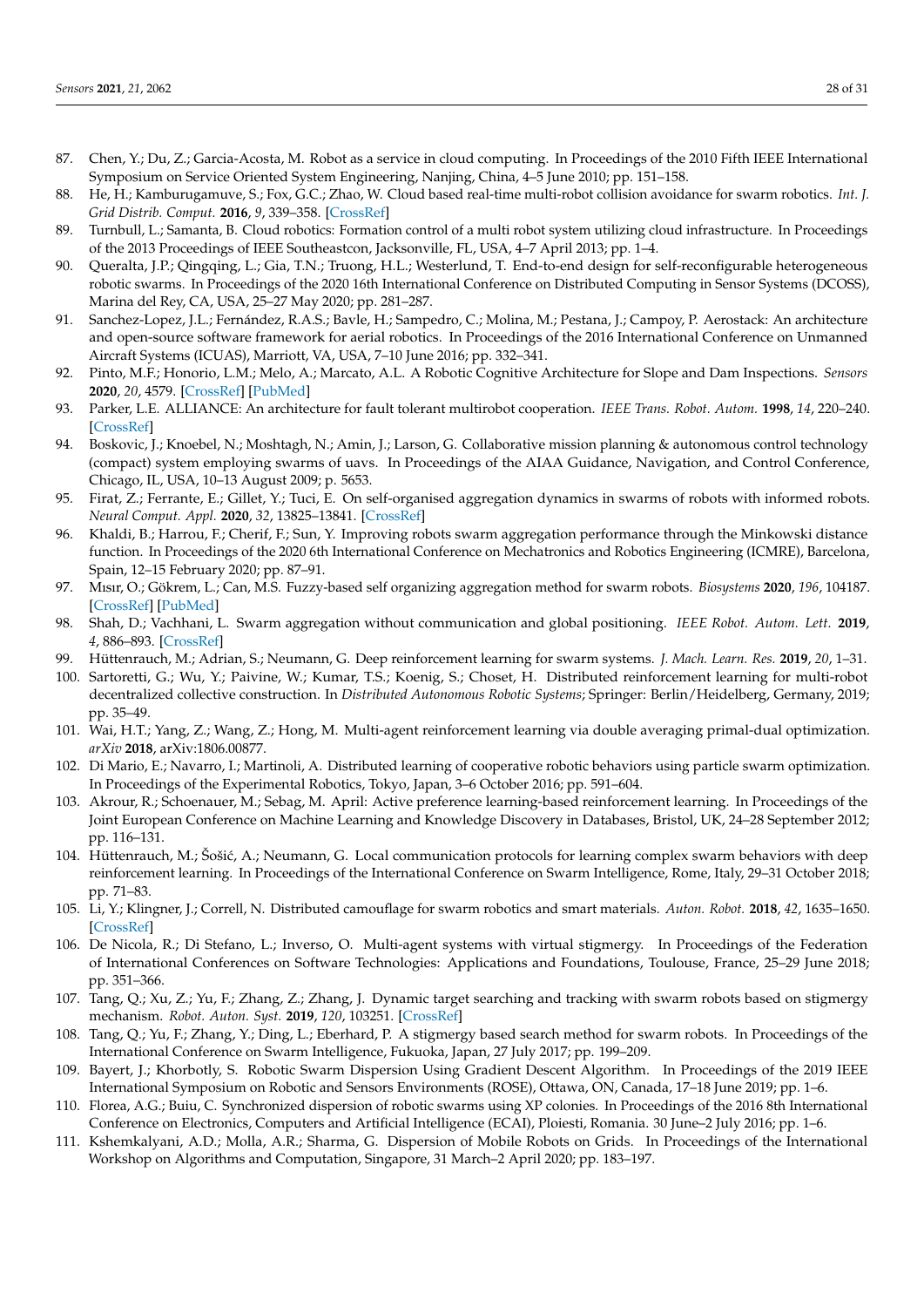- <span id="page-27-0"></span>87. Chen, Y.; Du, Z.; Garcia-Acosta, M. Robot as a service in cloud computing. In Proceedings of the 2010 Fifth IEEE International Symposium on Service Oriented System Engineering, Nanjing, China, 4–5 June 2010; pp. 151–158.
- 88. He, H.; Kamburugamuve, S.; Fox, G.C.; Zhao, W. Cloud based real-time multi-robot collision avoidance for swarm robotics. *Int. J. Grid Distrib. Comput.* **2016**, *9*, 339–358. [\[CrossRef\]](http://dx.doi.org/10.14257/ijgdc.2016.9.6.30)
- <span id="page-27-1"></span>89. Turnbull, L.; Samanta, B. Cloud robotics: Formation control of a multi robot system utilizing cloud infrastructure. In Proceedings of the 2013 Proceedings of IEEE Southeastcon, Jacksonville, FL, USA, 4–7 April 2013; pp. 1–4.
- <span id="page-27-2"></span>90. Queralta, J.P.; Qingqing, L.; Gia, T.N.; Truong, H.L.; Westerlund, T. End-to-end design for self-reconfigurable heterogeneous robotic swarms. In Proceedings of the 2020 16th International Conference on Distributed Computing in Sensor Systems (DCOSS), Marina del Rey, CA, USA, 25–27 May 2020; pp. 281–287.
- <span id="page-27-3"></span>91. Sanchez-Lopez, J.L.; Fernández, R.A.S.; Bavle, H.; Sampedro, C.; Molina, M.; Pestana, J.; Campoy, P. Aerostack: An architecture and open-source software framework for aerial robotics. In Proceedings of the 2016 International Conference on Unmanned Aircraft Systems (ICUAS), Marriott, VA, USA, 7–10 June 2016; pp. 332–341.
- <span id="page-27-4"></span>92. Pinto, M.F.; Honorio, L.M.; Melo, A.; Marcato, A.L. A Robotic Cognitive Architecture for Slope and Dam Inspections. *Sensors* **2020**, *20*, 4579. [\[CrossRef\]](http://dx.doi.org/10.3390/s20164579) [\[PubMed\]](http://www.ncbi.nlm.nih.gov/pubmed/32824151)
- <span id="page-27-5"></span>93. Parker, L.E. ALLIANCE: An architecture for fault tolerant multirobot cooperation. *IEEE Trans. Robot. Autom.* **1998**, *14*, 220–240. [\[CrossRef\]](http://dx.doi.org/10.1109/70.681242)
- <span id="page-27-6"></span>94. Boskovic, J.; Knoebel, N.; Moshtagh, N.; Amin, J.; Larson, G. Collaborative mission planning & autonomous control technology (compact) system employing swarms of uavs. In Proceedings of the AIAA Guidance, Navigation, and Control Conference, Chicago, IL, USA, 10–13 August 2009; p. 5653.
- <span id="page-27-7"></span>95. Firat, Z.; Ferrante, E.; Gillet, Y.; Tuci, E. On self-organised aggregation dynamics in swarms of robots with informed robots. *Neural Comput. Appl.* **2020**, *32*, 13825–13841. [\[CrossRef\]](http://dx.doi.org/10.1007/s00521-020-04791-0)
- <span id="page-27-8"></span>96. Khaldi, B.; Harrou, F.; Cherif, F.; Sun, Y. Improving robots swarm aggregation performance through the Minkowski distance function. In Proceedings of the 2020 6th International Conference on Mechatronics and Robotics Engineering (ICMRE), Barcelona, Spain, 12–15 February 2020; pp. 87–91.
- <span id="page-27-9"></span>97. Mısır, O.; Gökrem, L.; Can, M.S. Fuzzy-based self organizing aggregation method for swarm robots. *Biosystems* **2020**, *196*, 104187. [\[CrossRef\]](http://dx.doi.org/10.1016/j.biosystems.2020.104187) [\[PubMed\]](http://www.ncbi.nlm.nih.gov/pubmed/32599012)
- <span id="page-27-10"></span>98. Shah, D.; Vachhani, L. Swarm aggregation without communication and global positioning. *IEEE Robot. Autom. Lett.* **2019**, *4*, 886–893. [\[CrossRef\]](http://dx.doi.org/10.1109/LRA.2019.2893413)
- <span id="page-27-11"></span>99. Hüttenrauch, M.; Adrian, S.; Neumann, G. Deep reinforcement learning for swarm systems. *J. Mach. Learn. Res.* **2019**, *20*, 1–31.
- <span id="page-27-12"></span>100. Sartoretti, G.; Wu, Y.; Paivine, W.; Kumar, T.S.; Koenig, S.; Choset, H. Distributed reinforcement learning for multi-robot decentralized collective construction. In *Distributed Autonomous Robotic Systems*; Springer: Berlin/Heidelberg, Germany, 2019; pp. 35–49.
- <span id="page-27-13"></span>101. Wai, H.T.; Yang, Z.; Wang, Z.; Hong, M. Multi-agent reinforcement learning via double averaging primal-dual optimization. *arXiv* **2018**, arXiv:1806.00877.
- <span id="page-27-14"></span>102. Di Mario, E.; Navarro, I.; Martinoli, A. Distributed learning of cooperative robotic behaviors using particle swarm optimization. In Proceedings of the Experimental Robotics, Tokyo, Japan, 3–6 October 2016; pp. 591–604.
- <span id="page-27-15"></span>103. Akrour, R.; Schoenauer, M.; Sebag, M. April: Active preference learning-based reinforcement learning. In Proceedings of the Joint European Conference on Machine Learning and Knowledge Discovery in Databases, Bristol, UK, 24–28 September 2012; pp. 116–131.
- <span id="page-27-16"></span>104. Hüttenrauch, M.; Šošić, A.; Neumann, G. Local communication protocols for learning complex swarm behaviors with deep reinforcement learning. In Proceedings of the International Conference on Swarm Intelligence, Rome, Italy, 29–31 October 2018; pp. 71–83.
- <span id="page-27-17"></span>105. Li, Y.; Klingner, J.; Correll, N. Distributed camouflage for swarm robotics and smart materials. *Auton. Robot.* **2018**, *42*, 1635–1650. [\[CrossRef\]](http://dx.doi.org/10.1007/s10514-018-9717-6)
- <span id="page-27-18"></span>106. De Nicola, R.; Di Stefano, L.; Inverso, O. Multi-agent systems with virtual stigmergy. In Proceedings of the Federation of International Conferences on Software Technologies: Applications and Foundations, Toulouse, France, 25–29 June 2018; pp. 351–366.
- <span id="page-27-19"></span>107. Tang, Q.; Xu, Z.; Yu, F.; Zhang, Z.; Zhang, J. Dynamic target searching and tracking with swarm robots based on stigmergy mechanism. *Robot. Auton. Syst.* **2019**, *120*, 103251. [\[CrossRef\]](http://dx.doi.org/10.1016/j.robot.2019.103251)
- <span id="page-27-20"></span>108. Tang, Q.; Yu, F.; Zhang, Y.; Ding, L.; Eberhard, P. A stigmergy based search method for swarm robots. In Proceedings of the International Conference on Swarm Intelligence, Fukuoka, Japan, 27 July 2017; pp. 199–209.
- <span id="page-27-21"></span>109. Bayert, J.; Khorbotly, S. Robotic Swarm Dispersion Using Gradient Descent Algorithm. In Proceedings of the 2019 IEEE International Symposium on Robotic and Sensors Environments (ROSE), Ottawa, ON, Canada, 17–18 June 2019; pp. 1–6.
- <span id="page-27-22"></span>110. Florea, A.G.; Buiu, C. Synchronized dispersion of robotic swarms using XP colonies. In Proceedings of the 2016 8th International Conference on Electronics, Computers and Artificial Intelligence (ECAI), Ploiesti, Romania. 30 June–2 July 2016; pp. 1–6.
- <span id="page-27-23"></span>111. Kshemkalyani, A.D.; Molla, A.R.; Sharma, G. Dispersion of Mobile Robots on Grids. In Proceedings of the International Workshop on Algorithms and Computation, Singapore, 31 March–2 April 2020; pp. 183–197.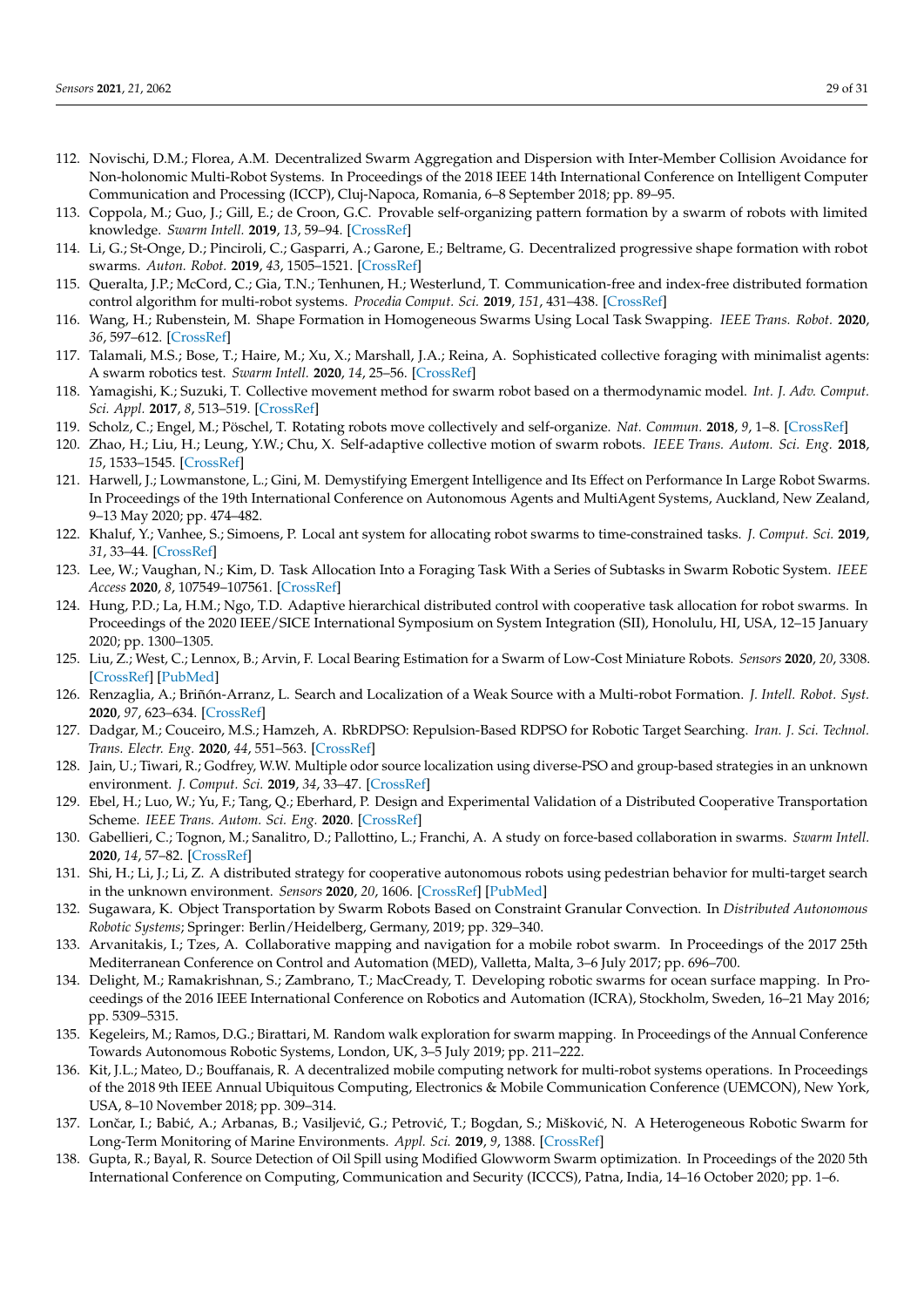- <span id="page-28-0"></span>112. Novischi, D.M.; Florea, A.M. Decentralized Swarm Aggregation and Dispersion with Inter-Member Collision Avoidance for Non-holonomic Multi-Robot Systems. In Proceedings of the 2018 IEEE 14th International Conference on Intelligent Computer Communication and Processing (ICCP), Cluj-Napoca, Romania, 6–8 September 2018; pp. 89–95.
- <span id="page-28-1"></span>113. Coppola, M.; Guo, J.; Gill, E.; de Croon, G.C. Provable self-organizing pattern formation by a swarm of robots with limited knowledge. *Swarm Intell.* **2019**, *13*, 59–94. [\[CrossRef\]](http://dx.doi.org/10.1007/s11721-019-00163-0)
- <span id="page-28-2"></span>114. Li, G.; St-Onge, D.; Pinciroli, C.; Gasparri, A.; Garone, E.; Beltrame, G. Decentralized progressive shape formation with robot swarms. *Auton. Robot.* **2019**, *43*, 1505–1521. [\[CrossRef\]](http://dx.doi.org/10.1007/s10514-018-9807-5)
- <span id="page-28-3"></span>115. Queralta, J.P.; McCord, C.; Gia, T.N.; Tenhunen, H.; Westerlund, T. Communication-free and index-free distributed formation control algorithm for multi-robot systems. *Procedia Comput. Sci.* **2019**, *151*, 431–438. [\[CrossRef\]](http://dx.doi.org/10.1016/j.procs.2019.04.059)
- <span id="page-28-4"></span>116. Wang, H.; Rubenstein, M. Shape Formation in Homogeneous Swarms Using Local Task Swapping. *IEEE Trans. Robot.* **2020**, *36*, 597–612. [\[CrossRef\]](http://dx.doi.org/10.1109/TRO.2020.2967656)
- <span id="page-28-5"></span>117. Talamali, M.S.; Bose, T.; Haire, M.; Xu, X.; Marshall, J.A.; Reina, A. Sophisticated collective foraging with minimalist agents: A swarm robotics test. *Swarm Intell.* **2020**, *14*, 25–56. [\[CrossRef\]](http://dx.doi.org/10.1007/s11721-019-00176-9)
- <span id="page-28-6"></span>118. Yamagishi, K.; Suzuki, T. Collective movement method for swarm robot based on a thermodynamic model. *Int. J. Adv. Comput. Sci. Appl.* **2017**, *8*, 513–519. [\[CrossRef\]](http://dx.doi.org/10.14569/IJACSA.2017.081163)
- <span id="page-28-7"></span>119. Scholz, C.; Engel, M.; Pöschel, T. Rotating robots move collectively and self-organize. *Nat. Commun.* **2018**, *9*, 1–8. [\[CrossRef\]](http://dx.doi.org/10.1038/s41467-018-03154-7)
- <span id="page-28-8"></span>120. Zhao, H.; Liu, H.; Leung, Y.W.; Chu, X. Self-adaptive collective motion of swarm robots. *IEEE Trans. Autom. Sci. Eng.* **2018**, *15*, 1533–1545. [\[CrossRef\]](http://dx.doi.org/10.1109/TASE.2018.2840828)
- <span id="page-28-9"></span>121. Harwell, J.; Lowmanstone, L.; Gini, M. Demystifying Emergent Intelligence and Its Effect on Performance In Large Robot Swarms. In Proceedings of the 19th International Conference on Autonomous Agents and MultiAgent Systems, Auckland, New Zealand, 9–13 May 2020; pp. 474–482.
- <span id="page-28-10"></span>122. Khaluf, Y.; Vanhee, S.; Simoens, P. Local ant system for allocating robot swarms to time-constrained tasks. *J. Comput. Sci.* **2019**, *31*, 33–44. [\[CrossRef\]](http://dx.doi.org/10.1016/j.jocs.2018.12.012)
- <span id="page-28-11"></span>123. Lee, W.; Vaughan, N.; Kim, D. Task Allocation Into a Foraging Task With a Series of Subtasks in Swarm Robotic System. *IEEE Access* **2020**, *8*, 107549–107561. [\[CrossRef\]](http://dx.doi.org/10.1109/ACCESS.2020.2999538)
- <span id="page-28-12"></span>124. Hung, P.D.; La, H.M.; Ngo, T.D. Adaptive hierarchical distributed control with cooperative task allocation for robot swarms. In Proceedings of the 2020 IEEE/SICE International Symposium on System Integration (SII), Honolulu, HI, USA, 12–15 January 2020; pp. 1300–1305.
- <span id="page-28-13"></span>125. Liu, Z.; West, C.; Lennox, B.; Arvin, F. Local Bearing Estimation for a Swarm of Low-Cost Miniature Robots. *Sensors* **2020**, *20*, 3308. [\[CrossRef\]](http://dx.doi.org/10.3390/s20113308) [\[PubMed\]](http://www.ncbi.nlm.nih.gov/pubmed/32532071)
- <span id="page-28-14"></span>126. Renzaglia, A.; Briñón-Arranz, L. Search and Localization of a Weak Source with a Multi-robot Formation. *J. Intell. Robot. Syst.* **2020**, *97*, 623–634. [\[CrossRef\]](http://dx.doi.org/10.1007/s10846-019-01014-0)
- <span id="page-28-15"></span>127. Dadgar, M.; Couceiro, M.S.; Hamzeh, A. RbRDPSO: Repulsion-Based RDPSO for Robotic Target Searching. *Iran. J. Sci. Technol. Trans. Electr. Eng.* **2020**, *44*, 551–563. [\[CrossRef\]](http://dx.doi.org/10.1007/s40998-019-00245-z)
- <span id="page-28-16"></span>128. Jain, U.; Tiwari, R.; Godfrey, W.W. Multiple odor source localization using diverse-PSO and group-based strategies in an unknown environment. *J. Comput. Sci.* **2019**, *34*, 33–47. [\[CrossRef\]](http://dx.doi.org/10.1016/j.jocs.2019.04.008)
- <span id="page-28-17"></span>129. Ebel, H.; Luo, W.; Yu, F.; Tang, Q.; Eberhard, P. Design and Experimental Validation of a Distributed Cooperative Transportation Scheme. *IEEE Trans. Autom. Sci. Eng.* **2020**. [\[CrossRef\]](http://dx.doi.org/10.1109/TASE.2020.2997411)
- <span id="page-28-18"></span>130. Gabellieri, C.; Tognon, M.; Sanalitro, D.; Pallottino, L.; Franchi, A. A study on force-based collaboration in swarms. *Swarm Intell.* **2020**, *14*, 57–82. [\[CrossRef\]](http://dx.doi.org/10.1007/s11721-019-00178-7)
- <span id="page-28-19"></span>131. Shi, H.; Li, J.; Li, Z. A distributed strategy for cooperative autonomous robots using pedestrian behavior for multi-target search in the unknown environment. *Sensors* **2020**, *20*, 1606. [\[CrossRef\]](http://dx.doi.org/10.3390/s20061606) [\[PubMed\]](http://www.ncbi.nlm.nih.gov/pubmed/32183107)
- <span id="page-28-20"></span>132. Sugawara, K. Object Transportation by Swarm Robots Based on Constraint Granular Convection. In *Distributed Autonomous Robotic Systems*; Springer: Berlin/Heidelberg, Germany, 2019; pp. 329–340.
- <span id="page-28-21"></span>133. Arvanitakis, I.; Tzes, A. Collaborative mapping and navigation for a mobile robot swarm. In Proceedings of the 2017 25th Mediterranean Conference on Control and Automation (MED), Valletta, Malta, 3–6 July 2017; pp. 696–700.
- <span id="page-28-22"></span>134. Delight, M.; Ramakrishnan, S.; Zambrano, T.; MacCready, T. Developing robotic swarms for ocean surface mapping. In Proceedings of the 2016 IEEE International Conference on Robotics and Automation (ICRA), Stockholm, Sweden, 16–21 May 2016; pp. 5309–5315.
- <span id="page-28-23"></span>135. Kegeleirs, M.; Ramos, D.G.; Birattari, M. Random walk exploration for swarm mapping. In Proceedings of the Annual Conference Towards Autonomous Robotic Systems, London, UK, 3–5 July 2019; pp. 211–222.
- <span id="page-28-24"></span>136. Kit, J.L.; Mateo, D.; Bouffanais, R. A decentralized mobile computing network for multi-robot systems operations. In Proceedings of the 2018 9th IEEE Annual Ubiquitous Computing, Electronics & Mobile Communication Conference (UEMCON), New York, USA, 8–10 November 2018; pp. 309–314.
- <span id="page-28-25"></span>137. Lončar, I.; Babić, A.; Arbanas, B.; Vasiljević, G.; Petrović, T.; Bogdan, S.; Mišković, N. A Heterogeneous Robotic Swarm for Long-Term Monitoring of Marine Environments. *Appl. Sci.* **2019**, *9*, 1388. [\[CrossRef\]](http://dx.doi.org/10.3390/app9071388)
- <span id="page-28-26"></span>138. Gupta, R.; Bayal, R. Source Detection of Oil Spill using Modified Glowworm Swarm optimization. In Proceedings of the 2020 5th International Conference on Computing, Communication and Security (ICCCS), Patna, India, 14–16 October 2020; pp. 1–6.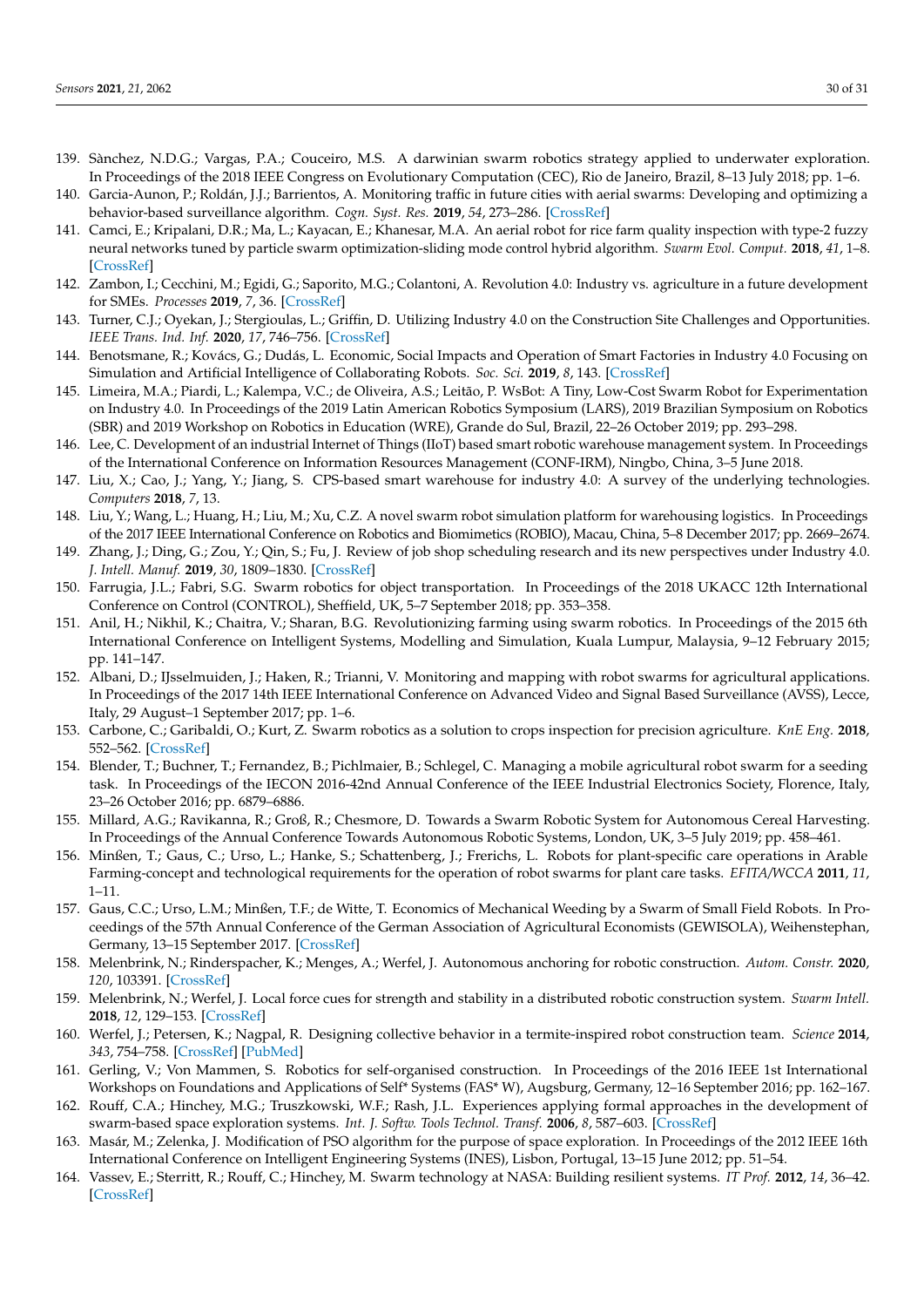- <span id="page-29-0"></span>139. Sànchez, N.D.G.; Vargas, P.A.; Couceiro, M.S. A darwinian swarm robotics strategy applied to underwater exploration. In Proceedings of the 2018 IEEE Congress on Evolutionary Computation (CEC), Rio de Janeiro, Brazil, 8–13 July 2018; pp. 1–6.
- <span id="page-29-1"></span>140. Garcia-Aunon, P.; Roldán, J.J.; Barrientos, A. Monitoring traffic in future cities with aerial swarms: Developing and optimizing a behavior-based surveillance algorithm. *Cogn. Syst. Res.* **2019**, *54*, 273–286. [\[CrossRef\]](http://dx.doi.org/10.1016/j.cogsys.2018.10.031)
- <span id="page-29-2"></span>141. Camci, E.; Kripalani, D.R.; Ma, L.; Kayacan, E.; Khanesar, M.A. An aerial robot for rice farm quality inspection with type-2 fuzzy neural networks tuned by particle swarm optimization-sliding mode control hybrid algorithm. *Swarm Evol. Comput.* **2018**, *41*, 1–8. [\[CrossRef\]](http://dx.doi.org/10.1016/j.swevo.2017.10.003)
- <span id="page-29-3"></span>142. Zambon, I.; Cecchini, M.; Egidi, G.; Saporito, M.G.; Colantoni, A. Revolution 4.0: Industry vs. agriculture in a future development for SMEs. *Processes* **2019**, *7*, 36. [\[CrossRef\]](http://dx.doi.org/10.3390/pr7010036)
- 143. Turner, C.J.; Oyekan, J.; Stergioulas, L.; Griffin, D. Utilizing Industry 4.0 on the Construction Site Challenges and Opportunities. *IEEE Trans. Ind. Inf.* **2020**, *17*, 746–756. [\[CrossRef\]](http://dx.doi.org/10.1109/TII.2020.3002197)
- <span id="page-29-4"></span>144. Benotsmane, R.; Kovács, G.; Dudás, L. Economic, Social Impacts and Operation of Smart Factories in Industry 4.0 Focusing on Simulation and Artificial Intelligence of Collaborating Robots. *Soc. Sci.* **2019**, *8*, 143. [\[CrossRef\]](http://dx.doi.org/10.3390/socsci8050143)
- <span id="page-29-5"></span>145. Limeira, M.A.; Piardi, L.; Kalempa, V.C.; de Oliveira, A.S.; Leitão, P. WsBot: A Tiny, Low-Cost Swarm Robot for Experimentation on Industry 4.0. In Proceedings of the 2019 Latin American Robotics Symposium (LARS), 2019 Brazilian Symposium on Robotics (SBR) and 2019 Workshop on Robotics in Education (WRE), Grande do Sul, Brazil, 22–26 October 2019; pp. 293–298.
- <span id="page-29-6"></span>146. Lee, C. Development of an industrial Internet of Things (IIoT) based smart robotic warehouse management system. In Proceedings of the International Conference on Information Resources Management (CONF-IRM), Ningbo, China, 3–5 June 2018.
- 147. Liu, X.; Cao, J.; Yang, Y.; Jiang, S. CPS-based smart warehouse for industry 4.0: A survey of the underlying technologies. *Computers* **2018**, *7*, 13.
- <span id="page-29-7"></span>148. Liu, Y.; Wang, L.; Huang, H.; Liu, M.; Xu, C.Z. A novel swarm robot simulation platform for warehousing logistics. In Proceedings of the 2017 IEEE International Conference on Robotics and Biomimetics (ROBIO), Macau, China, 5–8 December 2017; pp. 2669–2674.
- <span id="page-29-8"></span>149. Zhang, J.; Ding, G.; Zou, Y.; Qin, S.; Fu, J. Review of job shop scheduling research and its new perspectives under Industry 4.0. *J. Intell. Manuf.* **2019**, *30*, 1809–1830. [\[CrossRef\]](http://dx.doi.org/10.1007/s10845-017-1350-2)
- <span id="page-29-9"></span>150. Farrugia, J.L.; Fabri, S.G. Swarm robotics for object transportation. In Proceedings of the 2018 UKACC 12th International Conference on Control (CONTROL), Sheffield, UK, 5–7 September 2018; pp. 353–358.
- <span id="page-29-10"></span>151. Anil, H.; Nikhil, K.; Chaitra, V.; Sharan, B.G. Revolutionizing farming using swarm robotics. In Proceedings of the 2015 6th International Conference on Intelligent Systems, Modelling and Simulation, Kuala Lumpur, Malaysia, 9–12 February 2015; pp. 141–147.
- <span id="page-29-11"></span>152. Albani, D.; IJsselmuiden, J.; Haken, R.; Trianni, V. Monitoring and mapping with robot swarms for agricultural applications. In Proceedings of the 2017 14th IEEE International Conference on Advanced Video and Signal Based Surveillance (AVSS), Lecce, Italy, 29 August–1 September 2017; pp. 1–6.
- <span id="page-29-12"></span>153. Carbone, C.; Garibaldi, O.; Kurt, Z. Swarm robotics as a solution to crops inspection for precision agriculture. *KnE Eng.* **2018**, 552–562. [\[CrossRef\]](http://dx.doi.org/10.18502/keg.v3i1.1459)
- <span id="page-29-13"></span>154. Blender, T.; Buchner, T.; Fernandez, B.; Pichlmaier, B.; Schlegel, C. Managing a mobile agricultural robot swarm for a seeding task. In Proceedings of the IECON 2016-42nd Annual Conference of the IEEE Industrial Electronics Society, Florence, Italy, 23–26 October 2016; pp. 6879–6886.
- <span id="page-29-14"></span>155. Millard, A.G.; Ravikanna, R.; Groß, R.; Chesmore, D. Towards a Swarm Robotic System for Autonomous Cereal Harvesting. In Proceedings of the Annual Conference Towards Autonomous Robotic Systems, London, UK, 3–5 July 2019; pp. 458–461.
- <span id="page-29-15"></span>156. Minßen, T.; Gaus, C.; Urso, L.; Hanke, S.; Schattenberg, J.; Frerichs, L. Robots for plant-specific care operations in Arable Farming-concept and technological requirements for the operation of robot swarms for plant care tasks. *EFITA/WCCA* **2011**, *11*, 1–11.
- <span id="page-29-16"></span>157. Gaus, C.C.; Urso, L.M.; Minßen, T.F.; de Witte, T. Economics of Mechanical Weeding by a Swarm of Small Field Robots. In Proceedings of the 57th Annual Conference of the German Association of Agricultural Economists (GEWISOLA), Weihenstephan, Germany, 13–15 September 2017. [\[CrossRef\]](http://dx.doi.org/10.22004/ag.econ.262169)
- <span id="page-29-17"></span>158. Melenbrink, N.; Rinderspacher, K.; Menges, A.; Werfel, J. Autonomous anchoring for robotic construction. *Autom. Constr.* **2020**, *120*, 103391. [\[CrossRef\]](http://dx.doi.org/10.1016/j.autcon.2020.103391)
- <span id="page-29-18"></span>159. Melenbrink, N.; Werfel, J. Local force cues for strength and stability in a distributed robotic construction system. *Swarm Intell.* **2018**, *12*, 129–153. [\[CrossRef\]](http://dx.doi.org/10.1007/s11721-017-0149-2)
- <span id="page-29-19"></span>160. Werfel, J.; Petersen, K.; Nagpal, R. Designing collective behavior in a termite-inspired robot construction team. *Science* **2014**, *343*, 754–758. [\[CrossRef\]](http://dx.doi.org/10.1126/science.1245842) [\[PubMed\]](http://www.ncbi.nlm.nih.gov/pubmed/24531967)
- <span id="page-29-20"></span>161. Gerling, V.; Von Mammen, S. Robotics for self-organised construction. In Proceedings of the 2016 IEEE 1st International Workshops on Foundations and Applications of Self\* Systems (FAS\* W), Augsburg, Germany, 12–16 September 2016; pp. 162–167.
- <span id="page-29-21"></span>162. Rouff, C.A.; Hinchey, M.G.; Truszkowski, W.F.; Rash, J.L. Experiences applying formal approaches in the development of swarm-based space exploration systems. *Int. J. Softw. Tools Technol. Transf.* **2006**, *8*, 587–603. [\[CrossRef\]](http://dx.doi.org/10.1007/s10009-006-0027-5)
- 163. Masár, M.; Zelenka, J. Modification of PSO algorithm for the purpose of space exploration. In Proceedings of the 2012 IEEE 16th International Conference on Intelligent Engineering Systems (INES), Lisbon, Portugal, 13–15 June 2012; pp. 51–54.
- <span id="page-29-22"></span>164. Vassev, E.; Sterritt, R.; Rouff, C.; Hinchey, M. Swarm technology at NASA: Building resilient systems. *IT Prof.* **2012**, *14*, 36–42. [\[CrossRef\]](http://dx.doi.org/10.1109/MITP.2012.18)